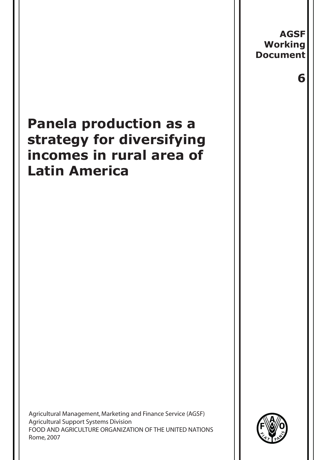# **Panela production as a strategy for diversifying incomes in rural area of Latin America**

Agricultural Management, Marketing and Finance Service (AGSF) Agricultural Support Systems Division FOOD AND AGRICULTURE ORGANIZATION OF THE UNITED NATIONS Rome, 2007



**AGSF Working Document**

 **6**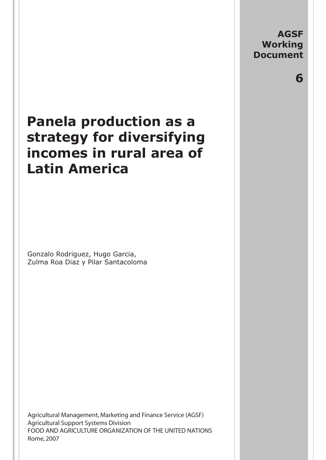**AGSF Working Document**

 **6**

# **Panela production as a strategy for diversifying incomes in rural area of Latin America**

Gonzalo Rodriguez, Hugo Garcia, Zulma Roa Diaz y Pilar Santacoloma

Agricultural Management, Marketing and Finance Service (AGSF) Agricultural Support Systems Division FOOD AND AGRICULTURE ORGANIZATION OF THE UNITED NATIONS Rome, 2007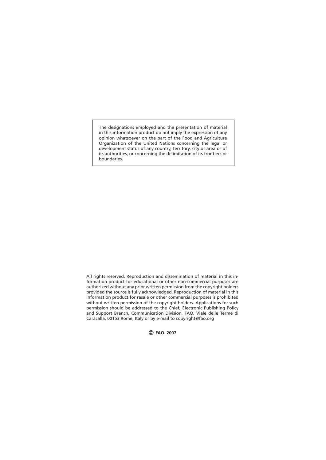The designations employed and the presentation of material in this information product do not imply the expression of any opinion whatsoever on the part of the Food and Agriculture Organization of the United Nations concerning the legal or development status of any country, territory, city or area or of its authorities, or concerning the delimitation of its frontiers or boundaries.

All rights reserved. Reproduction and dissemination of material in this information product for educational or other non-commercial purposes are authorized without any prior written permission from the copyright holders provided the source is fully acknowledged. Reproduction of material in this information product for resale or other commercial purposes is prohibited without written permission of the copyright holders. Applications for such permission should be addressed to the Chief, Electronic Publishing Policy and Support Branch, Communication Division, FAO, Viale delle Terme di Caracalla, 00153 Rome, Italy or by e-mail to copyright@fao.org

© **FAO 2007**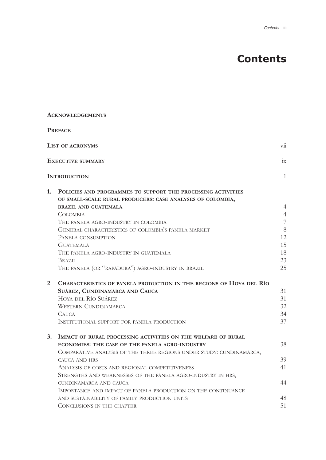# **Contents**

| <b>ACKNOWLEDGEMENTS</b>                                                                                                                                                                                                                                                                                                                                                                                                                                                        |                                                                          |
|--------------------------------------------------------------------------------------------------------------------------------------------------------------------------------------------------------------------------------------------------------------------------------------------------------------------------------------------------------------------------------------------------------------------------------------------------------------------------------|--------------------------------------------------------------------------|
| <b>PREFACE</b>                                                                                                                                                                                                                                                                                                                                                                                                                                                                 |                                                                          |
| <b>LIST OF ACRONYMS</b>                                                                                                                                                                                                                                                                                                                                                                                                                                                        | $\overline{\mathrm{vii}}$                                                |
| <b>EXECUTIVE SUMMARY</b>                                                                                                                                                                                                                                                                                                                                                                                                                                                       | 1X                                                                       |
| <b>INTRODUCTION</b>                                                                                                                                                                                                                                                                                                                                                                                                                                                            | $\mathbf{1}$                                                             |
| POLICIES AND PROGRAMMES TO SUPPORT THE PROCESSING ACTIVITIES<br>OF SMALL-SCALE RURAL PRODUCERS: CASE ANALYSES OF COLOMBIA,<br><b>BRAZIL AND GUATEMALA</b><br><b>COLOMBIA</b><br>THE PANELA AGRO-INDUSTRY IN COLOMBIA<br>GENERAL CHARACTERISTICS OF COLOMBIA'S PANELA MARKET<br>PANELA CONSUMPTION<br><b>GUATEMALA</b><br>THE PANELA AGRO-INDUSTRY IN GUATEMALA<br>BRAZIL<br>THE PANELA (OR "RAPADURA") AGRO-INDUSTRY IN BRAZIL                                                 | $\overline{4}$<br>$\overline{4}$<br>7<br>8<br>12<br>15<br>18<br>23<br>25 |
| CHARACTERISTICS OF PANELA PRODUCTION IN THE REGIONS OF HOYA DEL RÍO<br>SUÁREZ, CUNDINAMARCA AND CAUCA<br>HOYA DEL RÍO SUÁREZ<br><b>WESTERN CUNDINAMARCA</b><br><b>CAUCA</b><br>INSTITUTIONAL SUPPORT FOR PANELA PRODUCTION                                                                                                                                                                                                                                                     | 31<br>31<br>32<br>34<br>37                                               |
| IMPACT OF RURAL PROCESSING ACTIVITIES ON THE WELFARE OF RURAL<br><b>ECONOMIES: THE CASE OF THE PANELA AGRO-INDUSTRY</b><br>COMPARATIVE ANALYSIS OF THE THREE REGIONS UNDER STUDY: CUNDINAMARCA,<br>CAUCA AND HRS<br>ANALYSIS OF COSTS AND REGIONAL COMPETITIVENESS<br>STRENGTHS AND WEAKNESSES OF THE PANELA AGRO-INDUSTRY IN HRS,<br>CUNDINAMARCA AND CAUCA<br>IMPORTANCE AND IMPACT OF PANELA PRODUCTION ON THE CONTINUANCE<br>AND SUSTAINABILITY OF FAMILY PRODUCTION UNITS | 38<br>39<br>41<br>44<br>48<br>51                                         |
|                                                                                                                                                                                                                                                                                                                                                                                                                                                                                | CONCLUSIONS IN THE CHAPTER                                               |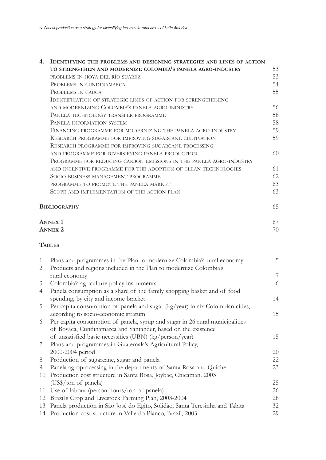| 4. | <b>IDENTIFYING THE PROBLEMS AND DESIGNING STRATEGIES AND LINES OF ACTION</b>  |    |
|----|-------------------------------------------------------------------------------|----|
|    | TO STRENGTHEN AND MODERNIZE COLOMBIA'S PANELA AGRO-INDUSTRY                   | 53 |
|    | PROBLEMS IN HOYA DEL RÍO SUÁREZ                                               | 53 |
|    | PROBLEMS IN CUNDINAMARCA                                                      | 54 |
|    | PROBLEMS IN CAUCA                                                             | 55 |
|    | <b>IDENTIFICATION OF STRATEGIC LINES OF ACTION FOR STRENGTHENING</b>          |    |
|    | AND MODERNIZING COLOMBIA'S PANELA AGRO-INDUSTRY                               | 56 |
|    | PANELA TECHNOLOGY TRANSFER PROGRAMME                                          | 58 |
|    | PANELA INFORMATION SYSTEM                                                     | 58 |
|    | FINANCING PROGRAMME FOR MODERNIZING THE PANELA AGRO-INDUSTRY                  | 59 |
|    | RESEARCH PROGRAMME FOR IMPROVING SUGARCANE CULTIVATION                        | 59 |
|    | RESEARCH PROGRAMME FOR IMPROVING SUGARCANE PROCESSING                         |    |
|    | AND PROGRAMME FOR DIVERSIFYING PANELA PRODUCTION                              | 60 |
|    | PROGRAMME FOR REDUCING CARBON EMISSIONS IN THE PANELA AGRO-INDUSTRY           |    |
|    | AND INCENTIVE PROGRAMME FOR THE ADOPTION OF CLEAN TECHNOLOGIES                | 61 |
|    | SOCIO-BUSINESS MANAGEMENT PROGRAMME                                           | 62 |
|    |                                                                               | 63 |
|    | PROGRAMME TO PROMOTE THE PANELA MARKET                                        | 63 |
|    | SCOPE AND IMPLEMENTATION OF THE ACTION PLAN                                   |    |
|    | <b>BIBLIOGRAPHY</b>                                                           | 65 |
|    | <b>ANNEX 1</b>                                                                | 67 |
|    | <b>ANNEX 2</b>                                                                | 70 |
|    | <b>TABLES</b>                                                                 |    |
| 1  | Plans and programmes in the Plan to modernize Colombia's rural economy        | 5  |
| 2  | Products and regions included in the Plan to modernize Colombia's             |    |
|    | rural economy                                                                 | 7  |
| 3  | Colombia's agriculture policy instruments                                     | 6  |
| 4  | Panela consumption as a share of the family shopping basket and of food       |    |
|    | spending, by city and income bracket                                          | 14 |
| 5  | Per capita consumption of panela and sugar (kg/year) in six Colombian cities, |    |
|    | according to socio-economic stratum                                           | 15 |
| 6  | Per capita consumption of panela, syrup and sugar in 26 rural municipalities  |    |
|    | of Boyacá, Cundinamarca and Santander, based on the existence                 |    |
|    | of unsatisfied basic necessities (UBN) (kg/person/year)                       | 15 |
| 7  | Plans and programmes in Guatemala's Agricultural Policy,                      |    |
|    | 2000-2004 period                                                              | 20 |
| 8  | Production of sugarcane, sugar and panela                                     | 22 |
| 9  | Panela agroprocessing in the departments of Santa Rosa and Quiche             | 23 |
| 10 | Production cost structure in Santa Rosa, Joybac, Chicaman. 2003               |    |
|    | (US\$/ton of panela)                                                          | 25 |
| 11 | Use of labour (person-hours/ton of panela)                                    | 26 |
| 12 | Brazil's Crop and Livestock Farming Plan, 2003-2004                           | 28 |
| 13 | Panela production in São José do Egito, Solidão, Santa Teresinha and Tabita   | 32 |
|    | 14 Production cost structure in Valle do Pianco, Brazil, 2003                 | 29 |
|    |                                                                               |    |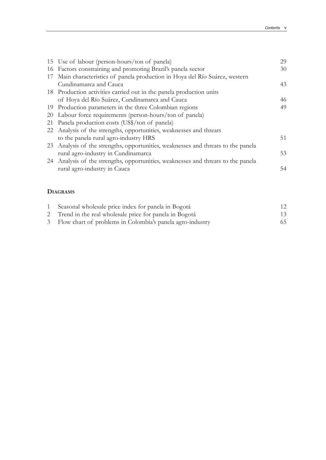|    | 15 Use of labour (person-hours/ton of panela)                                     | 29 |
|----|-----------------------------------------------------------------------------------|----|
|    | 16 Factors constraining and promoting Brazil's panela sector                      | 30 |
|    | 17 Main characteristics of panela production in Hoya del Río Suárez, western      |    |
|    | Cundinamarca and Cauca                                                            | 43 |
|    | 18 Production activities carried out in the panela production units               |    |
|    | of Hoya del Río Suárez, Cundinamarca and Cauca                                    | 46 |
|    | 19 Production parameters in the three Colombian regions                           | 49 |
|    | 20 Labour force requirements (person-hours/ton of panela)                         |    |
| 21 | Panela production costs (US\$/ton of panela)                                      |    |
|    | 22 Analysis of the strengths, opportunities, weaknesses and threats               |    |
|    | to the panela rural agro-industry HRS                                             | 51 |
|    | 23 Analysis of the strengths, opportunities, weaknesses and threats to the panela |    |
|    | rural agro-industry in Cundinamarca                                               | 53 |
|    | 24 Analysis of the strengths, opportunities, weaknesses and threats to the panela |    |
|    | rural agro-industry in Cauca                                                      | 54 |
|    |                                                                                   |    |

### **DIAGRAMS**

| 1 Seasonal wholesale price index for panela in Bogotá       | 12 |
|-------------------------------------------------------------|----|
| 2 Trend in the real wholesale price for panela in Bogotá    | 13 |
| 3 Flow chart of problems in Colombia's panela agro-industry | 65 |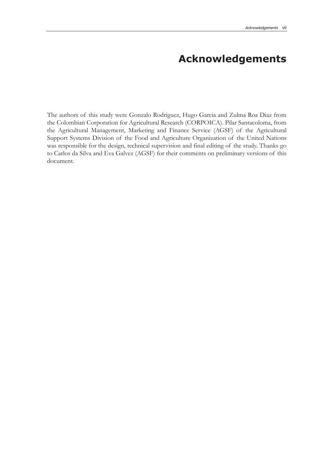# **Acknowledgements**

The authors of this study were Gonzalo Rodriguez, Hugo Garcia and Zulma Roa Diaz from the Colombian Corporation for Agricultural Research (CORPOICA). Pilar Santacoloma, from the Agricultural Management, Marketing and Finance Service (AGSF) of the Agricultural Support Systems Division of the Food and Agriculture Organization of the United Nations was responsible for the design, technical supervision and final editing of the study. Thanks go to Carlos da Silva and Eva Galvez (AGSF) for their comments on preliminary versions of this document.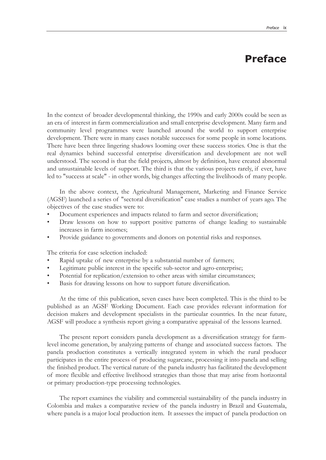## **Preface**

In the context of broader developmental thinking, the 1990s and early 2000s could be seen as an era of interest in farm commercialization and small enterprise development. Many farm and community level programmes were launched around the world to support enterprise development. There were in many cases notable successes for some people in some locations. There have been three lingering shadows looming over these success stories. One is that the real dynamics behind successful enterprise diversification and development are not well understood. The second is that the field projects, almost by definition, have created abnormal and unsustainable levels of support. The third is that the various projects rarely, if ever, have led to "success at scale" - in other words, big changes affecting the livelihoods of many people.

In the above context, the Agricultural Management, Marketing and Finance Service (AGSF) launched a series of "sectoral diversification" case studies a number of years ago. The objectives of the case studies were to:

- Document experiences and impacts related to farm and sector diversification;
- Draw lessons on how to support positive patterns of change leading to sustainable increases in farm incomes;
- Provide guidance to governments and donors on potential risks and responses.

The criteria for case selection included:

- Rapid uptake of new enterprise by a substantial number of farmers;
- Legitimate public interest in the specific sub-sector and agro-enterprise;
- Potential for replication/extension to other areas with similar circumstances;
- Basis for drawing lessons on how to support future diversification.

At the time of this publication, seven cases have been completed. This is the third to be published as an AGSF Working Document. Each case provides relevant information for decision makers and development specialists in the particular countries. In the near future, AGSF will produce a synthesis report giving a comparative appraisal of the lessons learned.

The present report considers panela development as a diversification strategy for farmlevel income generation, by analyzing patterns of change and associated success factors. The panela production constitutes a vertically integrated system in which the rural producer participates in the entire process of producing sugarcane, processing it into panela and selling the finished product. The vertical nature of the panela industry has facilitated the development of more flexible and effective livelihood strategies than those that may arise from horizontal or primary production-type processing technologies.

The report examines the viability and commercial sustainability of the panela industry in Colombia and makes a comparative review of the panela industry in Brazil and Guatemala, where panela is a major local production item. It assesses the impact of panela production on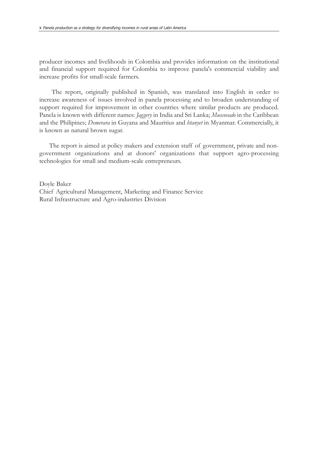producer incomes and livelihoods in Colombia and provides information on the institutional and financial support required for Colombia to improve panela's commercial viability and increase profits for small-scale farmers.

The report, originally published in Spanish, was translated into English in order to increase awareness of issues involved in panela processing and to broaden understanding of support required for improvement in other countries where similar products are produced. Panela is known with different names: *Jaggery* in India and Sri Lanka; *Muscovado* in the Caribbean and the Philipines; *Demerara* in Guyana and Mauritius and *htanyet* in Myanmar. Commercially, it is known as natural brown sugar.

The report is aimed at policy makers and extension staff of government, private and nongovernment organizations and at donors' organizations that support agro-processing technologies for small and medium-scale entrepreneurs.

Doyle Baker Chief Agricultural Management, Marketing and Finance Service Rural Infrastructure and Agro-industries Division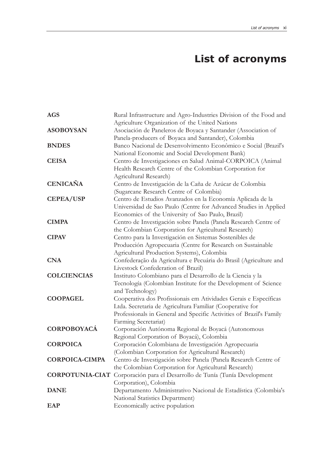# **List of acronyms**

| <b>AGS</b>             | Rural Infrastructure and Agro-Industries Division of the Food and                                                                                                                                                            |
|------------------------|------------------------------------------------------------------------------------------------------------------------------------------------------------------------------------------------------------------------------|
|                        | Agriculture Organization of the United Nations                                                                                                                                                                               |
| <b>ASOBOYSAN</b>       | Asociación de Paneleros de Boyaca y Santander (Association of<br>Panela-producers of Boyaca and Santander), Colombia                                                                                                         |
| <b>BNDES</b>           | Banco Nacional de Desenvolvimento Econômico e Social (Brazil's<br>National Economic and Social Development Bank)                                                                                                             |
| <b>CEISA</b>           | Centro de Investigaciones en Salud Animal-CORPOICA (Animal<br>Health Research Centre of the Colombian Corporation for<br>Agricultural Research)                                                                              |
| <b>CENICAÑA</b>        | Centro de Investigación de la Caña de Azúcar de Colombia<br>(Sugarcane Research Centre of Colombia)                                                                                                                          |
| <b>CEPEA/USP</b>       | Centro de Estudios Avanzados en la Economía Aplicada de la<br>Universidad de Sao Paulo (Centre for Advanced Studies in Applied<br>Economics of the University of Sao Paulo, Brazil)                                          |
| <b>CIMPA</b>           | Centro de Investigación sobre Panela (Panela Research Centre of<br>the Colombian Corporation for Agricultural Research)                                                                                                      |
| <b>CIPAV</b>           | Centro para la Investigación en Sistemas Sostenibles de<br>Producción Agropecuaria (Centre for Research on Sustainable<br>Agricultural Production Systems), Colombia                                                         |
| <b>CNA</b>             | Confederação da Agricultura e Pecuária do Brasil (Agriculture and<br>Livestock Confederation of Brazil)                                                                                                                      |
| <b>COLCIENCIAS</b>     | Instituto Colombiano para el Desarrollo de la Ciencia y la<br>Tecnología (Colombian Institute for the Development of Science<br>and Technology)                                                                              |
| <b>COOPAGEL</b>        | Cooperativa dos Profissionais em Atividades Gerais e Específicas<br>Ltda. Secretaria de Agricultura Familiar (Cooperative for<br>Professionals in General and Specific Activities of Brazil's Family<br>Farming Secretariat) |
| <b>CORPOBOYACÁ</b>     | Corporación Autónoma Regional de Boyacá (Autonomous<br>Regional Corporation of Boyacá), Colombia                                                                                                                             |
| <b>CORPOICA</b>        | Corporación Colombiana de Investigación Agropecuaria<br>(Colombian Corporation for Agricultural Research)                                                                                                                    |
| <b>CORPOICA-CIMPA</b>  | Centro de Investigación sobre Panela (Panela Research Centre of<br>the Colombian Corporation for Agricultural Research)                                                                                                      |
| <b>CORPOTUNIA-CIAT</b> | Corporación para el Desarrollo de Tunía (Tunía Development<br>Corporation), Colombia                                                                                                                                         |
| <b>DANE</b>            | Departamento Administrativo Nacional de Estadística (Colombia's<br>National Statistics Department)                                                                                                                           |
| <b>EAP</b>             | Economically active population                                                                                                                                                                                               |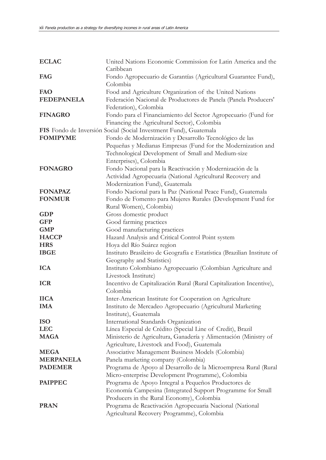| <b>ECLAC</b>      | United Nations Economic Commission for Latin America and the               |
|-------------------|----------------------------------------------------------------------------|
|                   | Caribbean                                                                  |
| FAG               | Fondo Agropecuario de Garantías (Agricultural Guarantee Fund),<br>Colombia |
| FAO               | Food and Agriculture Organization of the United Nations                    |
| <b>FEDEPANELA</b> | Federación Nacional de Productores de Panela (Panela Producers'            |
|                   | Federation), Colombia                                                      |
| <b>FINAGRO</b>    | Fondo para el Financiamiento del Sector Agropecuario (Fund for             |
|                   | Financing the Agricultural Sector), Colombia                               |
|                   | FIS Fondo de Inversión Social (Social Investment Fund), Guatemala          |
| <b>FOMIPYME</b>   | Fondo de Modernización y Desarrollo Tecnológico de las                     |
|                   | Pequeñas y Medianas Empresas (Fund for the Modernization and               |
|                   | Technological Development of Small and Medium-size                         |
|                   | Enterprises), Colombia                                                     |
| <b>FONAGRO</b>    | Fondo Nacional para la Reactivación y Modernización de la                  |
|                   | Actividad Agropecuaria (National Agricultural Recovery and                 |
|                   | Modernization Fund), Guatemala                                             |
| <b>FONAPAZ</b>    | Fondo Nacional para la Paz (National Peace Fund), Guatemala                |
| <b>FONMUR</b>     | Fondo de Fomento para Mujeres Rurales (Development Fund for                |
|                   | Rural Women), Colombia)                                                    |
| <b>GDP</b>        | Gross domestic product                                                     |
| <b>GFP</b>        | Good farming practices                                                     |
| <b>GMP</b>        | Good manufacturing practices                                               |
| <b>HACCP</b>      | Hazard Analysis and Critical Control Point system                          |
| <b>HRS</b>        | Hoya del Río Suárez region                                                 |
| <b>IBGE</b>       | Instituto Brasileiro de Geografía e Estatística (Brazilian Institute of    |
|                   | Geography and Statistics)                                                  |
| <b>ICA</b>        | Instituto Colombiano Agropecuario (Colombian Agriculture and               |
|                   | Livestock Institute)                                                       |
| <b>ICR</b>        | Incentivo de Capitalización Rural (Rural Capitalization Incentive),        |
|                   | Colombia                                                                   |
| <b>IICA</b>       | Inter-American Institute for Cooperation on Agriculture                    |
| <b>IMA</b>        | Instituto de Mercadeo Agropecuario (Agricultural Marketing                 |
|                   | Institute), Guatemala                                                      |
| <b>ISO</b>        | International Standards Organization                                       |
| <b>LEC</b>        | Línea Especial de Crédito (Special Line of Credit), Brazil                 |
| <b>MAGA</b>       | Ministerio de Agricultura, Ganadería y Alimentación (Ministry of           |
|                   | Agriculture, Livestock and Food), Guatemala                                |
| <b>MEGA</b>       | Associative Management Business Models (Colombia)                          |
| <b>MERPANELA</b>  | Panela marketing company (Colombia)                                        |
| <b>PADEMER</b>    | Programa de Apoyo al Desarrollo de la Microempresa Rural (Rural            |
|                   | Micro-enterprise Development Programme), Colombia                          |
| <b>PAIPPEC</b>    | Programa de Apoyo Integral a Pequeños Productores de                       |
|                   | Economía Campesina (Integrated Support Programme for Small                 |
|                   | Producers in the Rural Economy), Colombia                                  |
| <b>PRAN</b>       | Programa de Reactivación Agropecuaria Nacional (National                   |
|                   | Agricultural Recovery Programme), Colombia                                 |
|                   |                                                                            |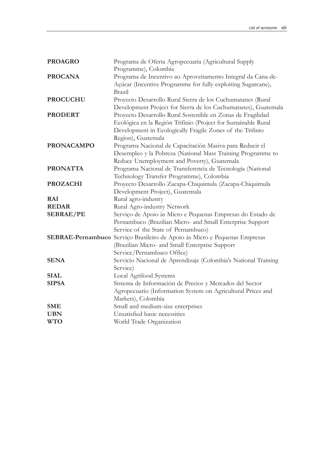| <b>PROAGRO</b>    | Programa de Oferta Agropecuaria (Agricultural Supply                       |
|-------------------|----------------------------------------------------------------------------|
|                   | Programme), Colombia                                                       |
| <b>PROCANA</b>    | Programa de Incentivo ao Aproveitamento Integral da Cana-de-               |
|                   | Açúcar (Incentive Programme for fully exploiting Sugarcane),               |
|                   | <b>Brazil</b>                                                              |
| <b>PROCUCHU</b>   | Proyecto Desarrollo Rural Sierra de los Cuchumatanes (Rural                |
|                   | Development Project for Sierra de los Cuchumatanes), Guatemala             |
| <b>PRODERT</b>    | Proyecto Desarrollo Rural Sostenible en Zonas de Fragilidad                |
|                   | Ecológica en la Región Trifinio (Project for Sustainable Rural             |
|                   | Development in Ecologically Fragile Zones of the Trifinio                  |
|                   | Region), Guatemala                                                         |
| <b>PRONACAMPO</b> | Programa Nacional de Capacitación Masiva para Reducir el                   |
|                   | Desempleo y la Pobreza (National Mass Training Programme to                |
|                   | Reduce Unemployment and Poverty), Guatemala                                |
| <b>PRONATTA</b>   | Programa Nacional de Transferencia de Tecnología (National                 |
|                   | Technology Transfer Programme), Colombia                                   |
| <b>PROZACHI</b>   | Proyecto Desarrollo Zacapa-Chiquimula (Zacapa-Chiquimula                   |
|                   | Development Project), Guatemala                                            |
| <b>RAI</b>        | Rural agro-industry                                                        |
| <b>REDAR</b>      | Rural Agro-industry Network                                                |
| <b>SEBRAE/PE</b>  | Serviço de Apoio às Micro e Pequenas Empresas do Estado de                 |
|                   | Pernambuco (Brazilian Micro- and Small Enterprise Support                  |
|                   | Service of the State of Pernambuco)                                        |
|                   | SEBRAE-Pernambuco Serviço Brasileiro de Apoio às Micro e Pequenas Empresas |
|                   | (Brazilian Micro- and Small Enterprise Support                             |
|                   | Service/Pernambuco Office)                                                 |
| <b>SENA</b>       | Servicio Nacional de Aprendizaje (Colombia's National Training             |
|                   | Service)                                                                   |
| <b>SIAL</b>       | Local Agrifood Systems                                                     |
| <b>SIPSA</b>      | Sistema de Información de Precios y Mercados del Sector                    |
|                   | Agropecuario (Information System on Agricultural Prices and                |
|                   | Markets), Colombia                                                         |
| <b>SME</b>        | Small and medium-size enterprises                                          |
| <b>UBN</b>        | Unsatisfied basic necessities                                              |
| <b>WTO</b>        | World Trade Organization                                                   |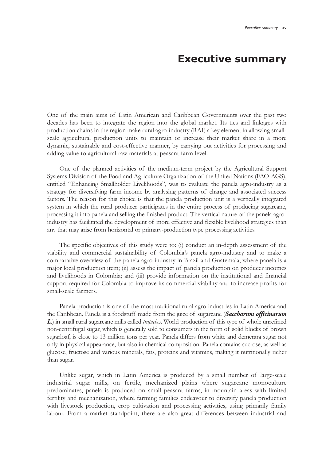## **Executive summary**

One of the main aims of Latin American and Caribbean Governments over the past two decades has been to integrate the region into the global market. Its ties and linkages with production chains in the region make rural agro-industry (RAI) a key element in allowing smallscale agricultural production units to maintain or increase their market share in a more dynamic, sustainable and cost-effective manner, by carrying out activities for processing and adding value to agricultural raw materials at peasant farm level.

One of the planned activities of the medium-term project by the Agricultural Support Systems Division of the Food and Agriculture Organization of the United Nations (FAO-AGS), entitled "Enhancing Smallholder Livelihoods", was to evaluate the panela agro-industry as a strategy for diversifying farm income by analysing patterns of change and associated success factors. The reason for this choice is that the panela production unit is a vertically integrated system in which the rural producer participates in the entire process of producing sugarcane, processing it into panela and selling the finished product. The vertical nature of the panela agroindustry has facilitated the development of more effective and flexible livelihood strategies than any that may arise from horizontal or primary-production type processing activities.

The specific objectives of this study were to: (i) conduct an in-depth assessment of the viability and commercial sustainability of Colombia's panela agro-industry and to make a comparative overview of the panela agro-industry in Brazil and Guatemala, where panela is a major local production item; (ii) assess the impact of panela production on producer incomes and livelihoods in Colombia; and (iii) provide information on the institutional and financial support required for Colombia to improve its commercial viability and to increase profits for small-scale farmers.

Panela production is one of the most traditional rural agro-industries in Latin America and the Caribbean. Panela is a foodstuff made from the juice of sugarcane (*Saccharum officinarum L*.) in small rural sugarcane mills called *trapiches*. World production of this type of whole unrefined non-centrifugal sugar, which is generally sold to consumers in the form of solid blocks of brown sugarloaf, is close to 13 million tons per year. Panela differs from white and demerara sugar not only in physical appearance, but also in chemical composition. Panela contains sucrose, as well as glucose, fructose and various minerals, fats, proteins and vitamins, making it nutritionally richer than sugar.

Unlike sugar, which in Latin America is produced by a small number of large-scale industrial sugar mills, on fertile, mechanized plains where sugarcane monoculture predominates, panela is produced on small peasant farms, in mountain areas with limited fertility and mechanization, where farming families endeavour to diversify panela production with livestock production, crop cultivation and processing activities, using primarily family labour. From a market standpoint, there are also great differences between industrial and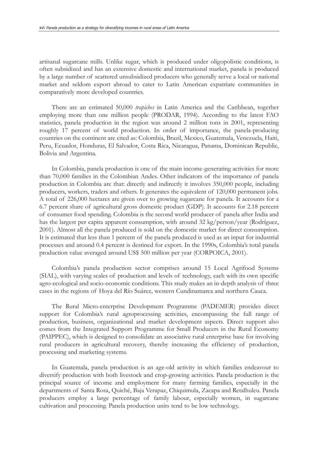artisanal sugarcane mills. Unlike sugar, which is produced under oligopolistic conditions, is often subsidized and has an extensive domestic and international market, panela is produced by a large number of scattered unsubsidized producers who generally serve a local or national market and seldom export abroad to cater to Latin American expatriate communities in comparatively more developed countries.

There are an estimated 50,000 *trapiches* in Latin America and the Caribbean, together employing more than one million people (PRODAR, 1994). According to the latest FAO statistics, panela production in the region was around 2 million tons in 2001, representing roughly 17 percent of world production. In order of importance, the panela-producing countries on the continent are cited as: Colombia, Brazil, Mexico, Guatemala, Venezuela, Haiti, Peru, Ecuador, Honduras, El Salvador, Costa Rica, Nicaragua, Panama, Dominican Republic, Bolivia and Argentina.

In Colombia, panela production is one of the main income-generating activities for more than 70,000 families in the Colombian Andes. Other indicators of the importance of panela production in Colombia are that: directly and indirectly it involves 350,000 people, including producers, workers, traders and others. It generates the equivalent of 120,000 permanent jobs. A total of 226,000 hectares are given over to growing sugarcane for panela. It accounts for a 6.7 percent share of agricultural gross domestic product (GDP). It accounts for 2.18 percent of consumer food spending. Colombia is the second world producer of panela after India and has the largest per capita apparent consumption, with around 32 kg/person/year (Rodríguez, 2001). Almost all the panela produced is sold on the domestic market for direct consumption. It is estimated that less than 1 percent of the panela produced is used as an input for industrial processes and around 0.4 percent is destined for export. In the 1990s, Colombia's total panela production value averaged around US\$ 500 million per year (CORPOICA, 2001).

Colombia's panela production sector comprises around 15 Local Agrifood Systems (SIAL), with varying scales of production and levels of technology, each with its own specific agro-ecological and socio-economic conditions. This study makes an in-depth analysis of three cases in the regions of Hoya del Río Suárez, western Cundinamarca and northern Cauca.

The Rural Micro-enterprise Development Programme (PADEMER) provides direct support for Colombia's rural agroprocessing activities, encompassing the full range of production, business, organizational and market development aspects. Direct support also comes from the Integrated Support Programme for Small Producers in the Rural Economy (PAIPPEC), which is designed to consolidate an associative rural enterprise base for involving rural producers in agricultural recovery, thereby increasing the efficiency of production, processing and marketing systems.

In Guatemala, panela production is an age-old activity in which families endeavour to diversify production with both livestock and crop-growing activities. Panela production is the principal source of income and employment for many farming families, especially in the departments of Santa Rosa, Quiché, Baja Verapaz, Chiquimula, Zacapa and Retalhuleu. Panela producers employ a large percentage of family labour, especially women, in sugarcane cultivation and processing. Panela production units tend to be low technology.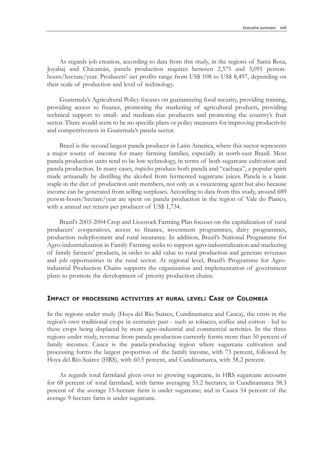As regards job creation, according to data from this study, in the regions of Santa Rosa, Joyabaj and Chicamán, panela production requires between 2,375 and 3,091 personhours/hectare/year. Producers' net profits range from US\$ 108 to US\$ 8,497, depending on their scale of production and level of technology.

Guatemala's Agricultural Policy focuses on guaranteeing food security, providing training, providing access to finance, promoting the marketing of agricultural products, providing technical support to small- and medium-size producers and promoting the country's fruit sector. There would seem to be no specific plans or policy measures for improving productivity and competitiveness in Guatemala's panela sector.

Brazil is the second largest panela producer in Latin America, where this sector represents a major source of income for many farming families, especially in north-east Brazil. Most panela production units tend to be low technology, in terms of both sugarcane cultivation and panela production. In many cases, *trapiches* produce both panela and "cachaça", a popular spirit made artisanally by distilling the alcohol from fermented sugarcane juices. Panela is a basic staple in the diet of production unit members, not only as a sweetening agent but also because income can be generated from selling surpluses. According to data from this study, around 689 person-hours/hectare/year are spent on panela production in the region of Vale do Pianco, with a annual net return per producer of US\$ 1,734.

Brazil's 2003-2004 Crop and Livestock Farming Plan focuses on the capitalization of rural producers' cooperatives, access to finance, investment programmes, dairy programmes, production redeployment and rural insurance. In addition, Brazil's National Programme for Agro-industrialization in Family Farming seeks to support agro-industrialization and marketing of family farmers' products, in order to add value to rural production and generate revenues and job opportunities in the rural sector. At regional level, Brazil's Programme for Agroindustrial Production Chains supports the organization and implementation of government plans to promote the development of priority production chains.

#### **IMPACT OF PROCESSING ACTIVITIES AT RURAL LEVEL: CASE OF COLOMBIA**

In the regions under study (Hoya del Río Suárez, Cundinamarca and Cauca), the crisis in the region's own traditional crops in centuries past - such as tobacco, coffee and cotton - led to these crops being displaced by more agro-industrial and commercial activities. In the three regions under study, revenue from panela production currently forms more than 50 percent of family incomes. Cauca is the panela-producing region where sugarcane cultivation and processing forms the largest proportion of the family income, with 73 percent, followed by Hoya del Río Suárez (HRS), with 60.5 percent, and Cundinamarca, with 58.2 percent.

As regards total farmland given over to growing sugarcane, in HRS sugarcane accounts for 68 percent of total farmland, with farms averaging 55.2 hectares; in Cundinamarca 58.3 percent of the average 15-hectare farm is under sugarcane; and in Cauca 54 percent of the average 9-hectare farm is under sugarcane.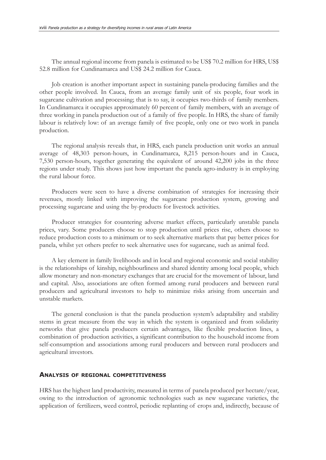The annual regional income from panela is estimated to be US\$ 70.2 million for HRS, US\$ 52.8 million for Cundinamarca and US\$ 24.2 million for Cauca.

Job creation is another important aspect in sustaining panela-producing families and the other people involved. In Cauca, from an average family unit of six people, four work in sugarcane cultivation and processing; that is to say, it occupies two-thirds of family members. In Cundinamarca it occupies approximately 60 percent of family members, with an average of three working in panela production out of a family of five people. In HRS, the share of family labour is relatively low: of an average family of five people, only one or two work in panela production.

The regional analysis reveals that, in HRS, each panela production unit works an annual average of 48,303 person-hours, in Cundinamarca, 8,215 person-hours and in Cauca, 7,530 person-hours, together generating the equivalent of around 42,200 jobs in the three regions under study. This shows just how important the panela agro-industry is in employing the rural labour force.

Producers were seen to have a diverse combination of strategies for increasing their revenues, mostly linked with improving the sugarcane production system, growing and processing sugarcane and using the by-products for livestock activities.

Producer strategies for countering adverse market effects, particularly unstable panela prices, vary. Some producers choose to stop production until prices rise, others choose to reduce production costs to a minimum or to seek alternative markets that pay better prices for panela, whilst yet others prefer to seek alternative uses for sugarcane, such as animal feed.

A key element in family livelihoods and in local and regional economic and social stability is the relationships of kinship, neighbourliness and shared identity among local people, which allow monetary and non-monetary exchanges that are crucial for the movement of labour, land and capital. Also, associations are often formed among rural producers and between rural producers and agricultural investors to help to minimize risks arising from uncertain and unstable markets.

The general conclusion is that the panela production system's adaptability and stability stems in great measure from the way in which the system is organized and from solidarity networks that give panela producers certain advantages, like flexible production lines, a combination of production activities, a significant contribution to the household income from self-consumption and associations among rural producers and between rural producers and agricultural investors.

#### **ANALYSIS OF REGIONAL COMPETITIVENESS**

HRS has the highest land productivity, measured in terms of panela produced per hectare/year, owing to the introduction of agronomic technologies such as new sugarcane varieties, the application of fertilizers, weed control, periodic replanting of crops and, indirectly, because of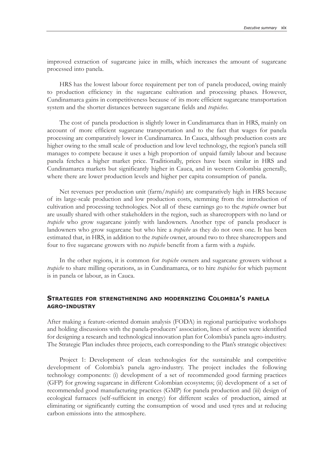improved extraction of sugarcane juice in mills, which increases the amount of sugarcane processed into panela.

HRS has the lowest labour force requirement per ton of panela produced, owing mainly to production efficiency in the sugarcane cultivation and processing phases. However, Cundinamarca gains in competitiveness because of its more efficient sugarcane transportation system and the shorter distances between sugarcane fields and *trapiches*.

The cost of panela production is slightly lower in Cundinamarca than in HRS, mainly on account of more efficient sugarcane transportation and to the fact that wages for panela processing are comparatively lower in Cundinamarca. In Cauca, although production costs are higher owing to the small scale of production and low level technology, the region's panela still manages to compete because it uses a high proportion of unpaid family labour and because panela fetches a higher market price. Traditionally, prices have been similar in HRS and Cundinamarca markets but significantly higher in Cauca, and in western Colombia generally, where there are lower production levels and higher per capita consumption of panela.

Net revenues per production unit (farm/*trapiche*) are comparatively high in HRS because of its large-scale production and low production costs, stemming from the introduction of cultivation and processing technologies. Not all of these earnings go to the *trapiche* owner but are usually shared with other stakeholders in the region, such as sharecroppers with no land or *trapiche* who grow sugarcane jointly with landowners. Another type of panela producer is landowners who grow sugarcane but who hire a *trapiche* as they do not own one. It has been estimated that, in HRS, in addition to the *trapiche* owner, around two to three sharecroppers and four to five sugarcane growers with no *trapiche* benefit from a farm with a *trapiche*.

In the other regions, it is common for *trapiche* owners and sugarcane growers without a *trapiche* to share milling operations, as in Cundinamarca, or to hire *trapiches* for which payment is in panela or labour, as in Cauca.

### **STRATEGIES FOR STRENGTHENING AND MODERNIZING COLOMBIA'S PANELA AGRO-INDUSTRY**

After making a feature-oriented domain analysis (FODA) in regional participative workshops and holding discussions with the panela-producers' association, lines of action were identified for designing a research and technological innovation plan for Colombia's panela agro-industry. The Strategic Plan includes three projects, each corresponding to the Plan's strategic objectives:

Project 1: Development of clean technologies for the sustainable and competitive development of Colombia's panela agro-industry. The project includes the following technology components: (i) development of a set of recommended good farming practices (GFP) for growing sugarcane in different Colombian ecosystems; (ii) development of a set of recommended good manufacturing practices (GMP) for panela production and (iii) design of ecological furnaces (self-sufficient in energy) for different scales of production, aimed at eliminating or significantly cutting the consumption of wood and used tyres and at reducing carbon emissions into the atmosphere.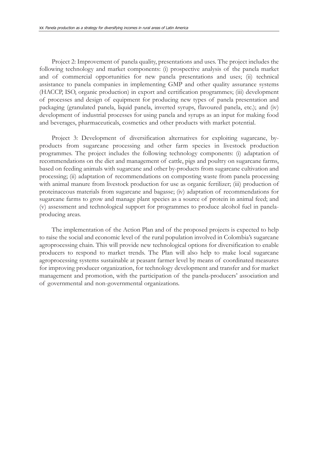Project 2: Improvement of panela quality, presentations and uses. The project includes the following technology and market components: (i) prospective analysis of the panela market and of commercial opportunities for new panela presentations and uses; (ii) technical assistance to panela companies in implementing GMP and other quality assurance systems (HACCP, ISO, organic production) in export and certification programmes; (iii) development of processes and design of equipment for producing new types of panela presentation and packaging (granulated panela, liquid panela, inverted syrups, flavoured panela, etc.); and (iv) development of industrial processes for using panela and syrups as an input for making food and beverages, pharmaceuticals, cosmetics and other products with market potential.

Project 3: Development of diversification alternatives for exploiting sugarcane, byproducts from sugarcane processing and other farm species in livestock production programmes. The project includes the following technology components: (i) adaptation of recommendations on the diet and management of cattle, pigs and poultry on sugarcane farms, based on feeding animals with sugarcane and other by-products from sugarcane cultivation and processing; (ii) adaptation of recommendations on composting waste from panela processing with animal manure from livestock production for use as organic fertilizer; (iii) production of proteinaceous materials from sugarcane and bagasse; (iv) adaptation of recommendations for sugarcane farms to grow and manage plant species as a source of protein in animal feed; and (v) assessment and technological support for programmes to produce alcohol fuel in panelaproducing areas.

The implementation of the Action Plan and of the proposed projects is expected to help to raise the social and economic level of the rural population involved in Colombia's sugarcane agroprocessing chain. This will provide new technological options for diversification to enable producers to respond to market trends. The Plan will also help to make local sugarcane agroprocessing systems sustainable at peasant farmer level by means of coordinated measures for improving producer organization, for technology development and transfer and for market management and promotion, with the participation of the panela-producers' association and of governmental and non-governmental organizations.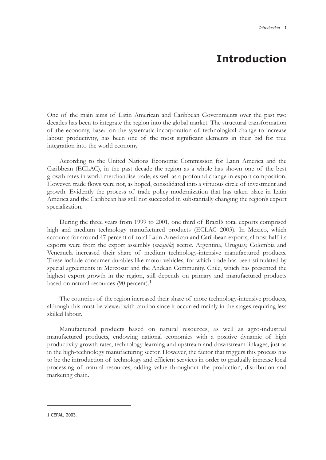## **Introduction**

One of the main aims of Latin American and Caribbean Governments over the past two decades has been to integrate the region into the global market. The structural transformation of the economy, based on the systematic incorporation of technological change to increase labour productivity, has been one of the most significant elements in their bid for true integration into the world economy.

According to the United Nations Economic Commission for Latin America and the Caribbean (ECLAC), in the past decade the region as a whole has shown one of the best growth rates in world merchandise trade, as well as a profound change in export composition. However, trade flows were not, as hoped, consolidated into a virtuous circle of investment and growth. Evidently the process of trade policy modernization that has taken place in Latin America and the Caribbean has still not succeeded in substantially changing the region's export specialization.

During the three years from 1999 to 2001, one third of Brazil's total exports comprised high and medium technology manufactured products (ECLAC 2003). In Mexico, which accounts for around 47 percent of total Latin American and Caribbean exports, almost half its exports were from the export assembly (*maquila*) sector. Argentina, Uruguay, Colombia and Venezuela increased their share of medium technology-intensive manufactured products. These include consumer durables like motor vehicles, for which trade has been stimulated by special agreements in Mercosur and the Andean Community. Chile, which has presented the highest export growth in the region, still depends on primary and manufactured products based on natural resources (90 percent).<sup>1</sup>

The countries of the region increased their share of more technology-intensive products, although this must be viewed with caution since it occurred mainly in the stages requiring less skilled labour.

Manufactured products based on natural resources, as well as agro-industrial manufactured products, endowing national economies with a positive dynamic of high productivity growth rates, technology learning and upstream and downstream linkages, just as in the high-technology manufacturing sector. However, the factor that triggers this process has to be the introduction of technology and efficient services in order to gradually increase local processing of natural resources, adding value throughout the production, distribution and marketing chain.

<sup>1</sup> CEPAL, 2003.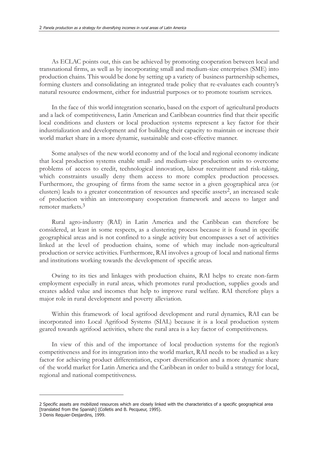As ECLAC points out, this can be achieved by promoting cooperation between local and transnational firms, as well as by incorporating small and medium-size enterprises (SME) into production chains. This would be done by setting up a variety of business partnership schemes, forming clusters and consolidating an integrated trade policy that re-evaluates each country's natural resource endowment, either for industrial purposes or to promote tourism services.

In the face of this world integration scenario, based on the export of agricultural products and a lack of competitiveness, Latin American and Caribbean countries find that their specific local conditions and clusters or local production systems represent a key factor for their industrialization and development and for building their capacity to maintain or increase their world market share in a more dynamic, sustainable and cost-effective manner.

Some analyses of the new world economy and of the local and regional economy indicate that local production systems enable small- and medium-size production units to overcome problems of access to credit, technological innovation, labour recruitment and risk-taking, which constraints usually deny them access to more complex production processes. Furthermore, the grouping of firms from the same sector in a given geographical area (or clusters) leads to a greater concentration of resources and specific assets2, an increased scale of production within an intercompany cooperation framework and access to larger and remoter markets.3

Rural agro-industry (RAI) in Latin America and the Caribbean can therefore be considered, at least in some respects, as a clustering process because it is found in specific geographical areas and is not confined to a single activity but encompasses a set of activities linked at the level of production chains, some of which may include non-agricultural production or service activities. Furthermore, RAI involves a group of local and national firms and institutions working towards the development of specific areas.

Owing to its ties and linkages with production chains, RAI helps to create non-farm employment especially in rural areas, which promotes rural production, supplies goods and creates added value and incomes that help to improve rural welfare. RAI therefore plays a major role in rural development and poverty alleviation.

Within this framework of local agrifood development and rural dynamics, RAI can be incorporated into Local Agrifood Systems (SIAL) because it is a local production system geared towards agrifood activities, where the rural area is a key factor of competitiveness.

In view of this and of the importance of local production systems for the region's competitiveness and for its integration into the world market, RAI needs to be studied as a key factor for achieving product differentiation, export diversification and a more dynamic share of the world market for Latin America and the Caribbean in order to build a strategy for local, regional and national competitiveness.

<sup>2</sup> Specific assets are mobilized resources which are closely linked with the characteristics of a specific geographical area [translated from the Spanish] (Colletis and B. Pecqueur, 1995).

<sup>3</sup> Denis Requier-Desjardins, 1999.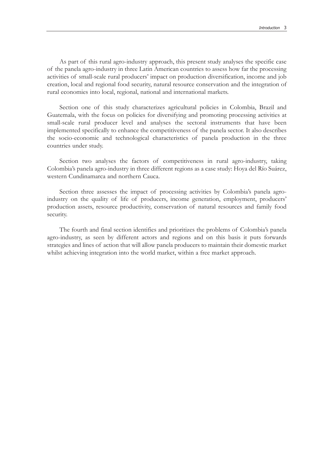As part of this rural agro-industry approach, this present study analyses the specific case of the panela agro-industry in three Latin American countries to assess how far the processing activities of small-scale rural producers' impact on production diversification, income and job creation, local and regional food security, natural resource conservation and the integration of rural economies into local, regional, national and international markets.

Section one of this study characterizes agricultural policies in Colombia, Brazil and Guatemala, with the focus on policies for diversifying and promoting processing activities at small-scale rural producer level and analyses the sectoral instruments that have been implemented specifically to enhance the competitiveness of the panela sector. It also describes the socio-economic and technological characteristics of panela production in the three countries under study.

Section two analyses the factors of competitiveness in rural agro-industry, taking Colombia's panela agro-industry in three different regions as a case study: Hoya del Río Suárez, western Cundinamarca and northern Cauca.

Section three assesses the impact of processing activities by Colombia's panela agroindustry on the quality of life of producers, income generation, employment, producers' production assets, resource productivity, conservation of natural resources and family food security.

The fourth and final section identifies and prioritizes the problems of Colombia's panela agro-industry, as seen by different actors and regions and on this basis it puts forwards strategies and lines of action that will allow panela producers to maintain their domestic market whilst achieving integration into the world market, within a free market approach.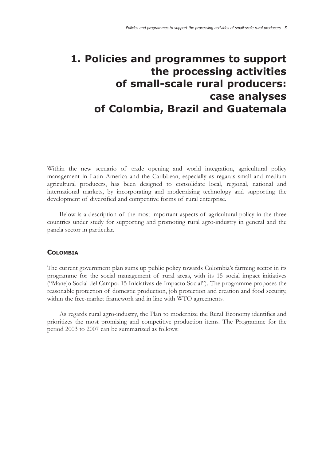# **1. Policies and programmes to support the processing activities of small-scale rural producers: case analyses of Colombia, Brazil and Guatemala**

Within the new scenario of trade opening and world integration, agricultural policy management in Latin America and the Caribbean, especially as regards small and medium agricultural producers, has been designed to consolidate local, regional, national and international markets, by incorporating and modernizing technology and supporting the development of diversified and competitive forms of rural enterprise.

Below is a description of the most important aspects of agricultural policy in the three countries under study for supporting and promoting rural agro-industry in general and the panela sector in particular.

#### **COLOMBIA**

The current government plan sums up public policy towards Colombia's farming sector in its programme for the social management of rural areas, with its 15 social impact initiatives ("Manejo Social del Campo: 15 Iniciativas de Impacto Social"). The programme proposes the reasonable protection of domestic production, job protection and creation and food security, within the free-market framework and in line with WTO agreements.

As regards rural agro-industry, the Plan to modernize the Rural Economy identifies and prioritizes the most promising and competitive production items. The Programme for the period 2003 to 2007 can be summarized as follows: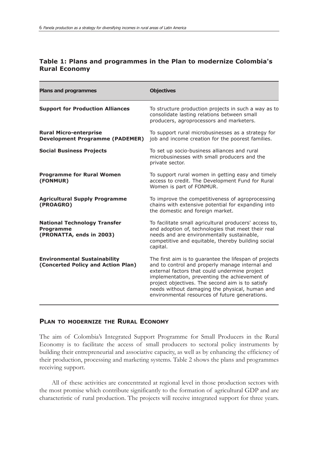### **Table 1: Plans and programmes in the Plan to modernize Colombia's Rural Economy**

| <b>Plans and programmes</b>                                                         | <b>Objectives</b>                                                                                                                                                                                                                                                                                                                                                   |
|-------------------------------------------------------------------------------------|---------------------------------------------------------------------------------------------------------------------------------------------------------------------------------------------------------------------------------------------------------------------------------------------------------------------------------------------------------------------|
| <b>Support for Production Alliances</b>                                             | To structure production projects in such a way as to<br>consolidate lasting relations between small<br>producers, agroprocessors and marketers.                                                                                                                                                                                                                     |
| <b>Rural Micro-enterprise</b><br><b>Development Programme (PADEMER)</b>             | To support rural microbusinesses as a strategy for<br>job and income creation for the poorest families.                                                                                                                                                                                                                                                             |
| <b>Social Business Projects</b>                                                     | To set up socio-business alliances and rural<br>microbusinesses with small producers and the<br>private sector.                                                                                                                                                                                                                                                     |
| <b>Programme for Rural Women</b><br>(FONMUR)                                        | To support rural women in getting easy and timely<br>access to credit. The Development Fund for Rural<br>Women is part of FONMUR.                                                                                                                                                                                                                                   |
| <b>Agricultural Supply Programme</b><br>(PROAGRO)                                   | To improve the competitiveness of agroprocessing<br>chains with extensive potential for expanding into<br>the domestic and foreign market.                                                                                                                                                                                                                          |
| <b>National Technology Transfer</b><br><b>Programme</b><br>(PRONATTA, ends in 2003) | To facilitate small agricultural producers' access to,<br>and adoption of, technologies that meet their real<br>needs and are environmentally sustainable,<br>competitive and equitable, thereby building social<br>capital.                                                                                                                                        |
| <b>Environmental Sustainability</b><br>(Concerted Policy and Action Plan)           | The first aim is to guarantee the lifespan of projects<br>and to control and properly manage internal and<br>external factors that could undermine project<br>implementation, preventing the achievement of<br>project objectives. The second aim is to satisfy<br>needs without damaging the physical, human and<br>environmental resources of future generations. |

### **PLAN TO MODERNIZE THE RURAL ECONOMY**

The aim of Colombia's Integrated Support Programme for Small Producers in the Rural Economy is to facilitate the access of small producers to sectoral policy instruments by building their entrepreneurial and associative capacity, as well as by enhancing the efficiency of their production, processing and marketing systems. Table 2 shows the plans and programmes receiving support.

All of these activities are concentrated at regional level in those production sectors with the most promise which contribute significantly to the formation of agricultural GDP and are characteristic of rural production. The projects will receive integrated support for three years.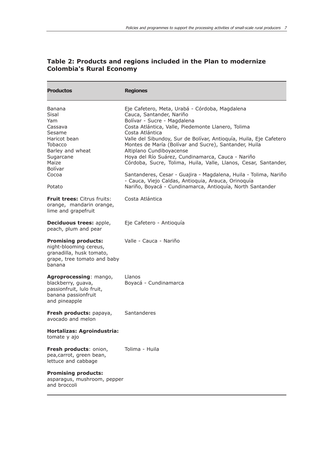| <b>Productos</b>                                                                                                                                                    | <b>Regiones</b>                                                                                                                                                                                                                                                                                                                                                                                                                                                                                                                                                                                                                                               |
|---------------------------------------------------------------------------------------------------------------------------------------------------------------------|---------------------------------------------------------------------------------------------------------------------------------------------------------------------------------------------------------------------------------------------------------------------------------------------------------------------------------------------------------------------------------------------------------------------------------------------------------------------------------------------------------------------------------------------------------------------------------------------------------------------------------------------------------------|
| <b>Banana</b><br><b>Sisal</b><br>Yam<br>Cassava<br>Sesame<br>Haricot bean<br>Tobacco<br>Barley and wheat<br>Sugarcane<br>Maize<br><b>Bolívar</b><br>Cocoa<br>Potato | Eje Cafetero, Meta, Urabá - Córdoba, Magdalena<br>Cauca, Santander, Nariño<br>Bolívar - Sucre - Magdalena<br>Costa Atlántica, Valle, Piedemonte Llanero, Tolima<br>Costa Atlántica<br>Valle del Sibundoy, Sur de Bolívar, Antioquía, Huila, Eje Cafetero<br>Montes de María (Bolívar and Sucre), Santander, Huila<br>Altiplano Cundiboyacense<br>Hoya del Río Suárez, Cundinamarca, Cauca - Nariño<br>Córdoba, Sucre, Tolima, Huila, Valle, Llanos, Cesar, Santander,<br>Santanderes, Cesar - Guajira - Magdalena, Huila - Tolima, Nariño<br>- Cauca, Viejo Caldas, Antioquia, Arauca, Orinoquía<br>Nariño, Boyacá - Cundinamarca, Antioquía, North Santander |
| <b>Fruit trees: Citrus fruits:</b><br>orange, mandarin orange,<br>lime and grapefruit                                                                               | Costa Atlántica                                                                                                                                                                                                                                                                                                                                                                                                                                                                                                                                                                                                                                               |
| <b>Deciduous trees: apple,</b><br>peach, plum and pear                                                                                                              | Eje Cafetero - Antioquía                                                                                                                                                                                                                                                                                                                                                                                                                                                                                                                                                                                                                                      |
| <b>Promising products:</b><br>night-blooming cereus,<br>granadilla, husk tomato,<br>grape, tree tomato and baby<br>banana                                           | Valle - Cauca - Nariño                                                                                                                                                                                                                                                                                                                                                                                                                                                                                                                                                                                                                                        |
| Agroprocessing: mango,<br>blackberry, guava,<br>passionfruit, lulo fruit,<br>banana passionfruit<br>and pineapple                                                   | Llanos<br>Boyacá - Cundinamarca                                                                                                                                                                                                                                                                                                                                                                                                                                                                                                                                                                                                                               |
| Fresh products: papaya,<br>avocado and melon                                                                                                                        | Santanderes                                                                                                                                                                                                                                                                                                                                                                                                                                                                                                                                                                                                                                                   |
| Hortalizas: Agroindustria:<br>tomate y ajo                                                                                                                          |                                                                                                                                                                                                                                                                                                                                                                                                                                                                                                                                                                                                                                                               |
| Fresh products: onion,<br>pea, carrot, green bean,<br>lettuce and cabbage                                                                                           | Tolima - Huila                                                                                                                                                                                                                                                                                                                                                                                                                                                                                                                                                                                                                                                |
| <b>Promising products:</b><br>asparagus, mushroom, pepper<br>and broccoli                                                                                           |                                                                                                                                                                                                                                                                                                                                                                                                                                                                                                                                                                                                                                                               |

### **Table 2: Products and regions included in the Plan to modernize Colombia's Rural Economy**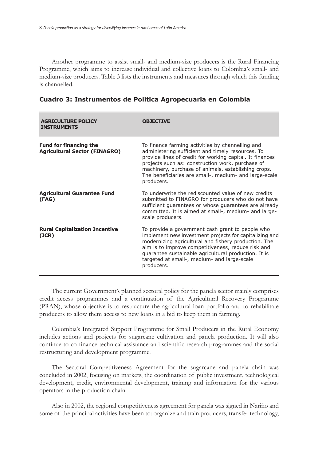Another programme to assist small- and medium-size producers is the Rural Financing Programme, which aims to increase individual and collective loans to Colombia's small- and medium-size producers. Table 3 lists the instruments and measures through which this funding is channelled.

| <b>AGRICULTURE POLICY</b><br><b>INSTRUMENTS</b>                       | OBJECTIVE                                                                                                                                                                                                                                                                                                                                           |
|-----------------------------------------------------------------------|-----------------------------------------------------------------------------------------------------------------------------------------------------------------------------------------------------------------------------------------------------------------------------------------------------------------------------------------------------|
| <b>Fund for financing the</b><br><b>Agricultural Sector (FINAGRO)</b> | To finance farming activities by channelling and<br>administering sufficient and timely resources. To<br>provide lines of credit for working capital. It finances<br>projects such as: construction work, purchase of<br>machinery, purchase of animals, establishing crops.<br>The beneficiaries are small-, medium- and large-scale<br>producers. |
| <b>Agricultural Guarantee Fund</b><br>(FAG)                           | To underwrite the rediscounted value of new credits<br>submitted to FINAGRO for producers who do not have<br>sufficient guarantees or whose guarantees are already<br>committed. It is aimed at small-, medium- and large-<br>scale producers.                                                                                                      |
| <b>Rural Capitalization Incentive</b><br>(ICR)                        | To provide a government cash grant to people who<br>implement new investment projects for capitalizing and<br>modernizing agricultural and fishery production. The<br>aim is to improve competitiveness, reduce risk and<br>guarantee sustainable agricultural production. It is<br>targeted at small-, medium- and large-scale<br>producers.       |

**Cuadro 3: Instrumentos de Politica Agropecuaria en Colombia**

The current Government's planned sectoral policy for the panela sector mainly comprises credit access programmes and a continuation of the Agricultural Recovery Programme (PRAN), whose objective is to restructure the agricultural loan portfolio and to rehabilitate producers to allow them access to new loans in a bid to keep them in farming.

Colombia's Integrated Support Programme for Small Producers in the Rural Economy includes actions and projects for sugarcane cultivation and panela production. It will also continue to co-finance technical assistance and scientific research programmes and the social restructuring and development programme.

The Sectoral Competitiveness Agreement for the sugarcane and panela chain was concluded in 2002, focusing on markets, the coordination of public investment, technological development, credit, environmental development, training and information for the various operators in the production chain.

Also in 2002, the regional competitiveness agreement for panela was signed in Nariño and some of the principal activities have been to: organize and train producers, transfer technology,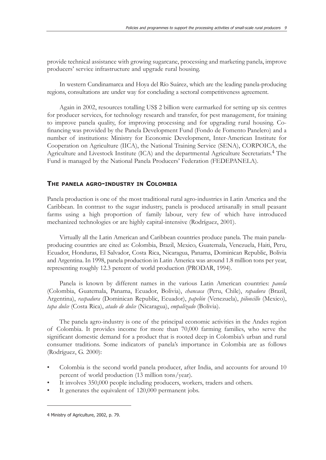provide technical assistance with growing sugarcane, processing and marketing panela, improve producers' service infrastructure and upgrade rural housing.

In western Cundinamarca and Hoya del Río Suárez, which are the leading panela-producing regions, consultations are under way for concluding a sectoral competitiveness agreement.

Again in 2002, resources totalling US\$ 2 billion were earmarked for setting up six centres for producer services, for technology research and transfer, for pest management, for training to improve panela quality, for improving processing and for upgrading rural housing. Cofinancing was provided by the Panela Development Fund (Fondo de Fomento Panelero) and a number of institutions: Ministry for Economic Development, Inter-American Institute for Cooperation on Agriculture (IICA), the National Training Service (SENA), CORPOICA, the Agriculture and Livestock Institute (ICA) and the departmental Agriculture Secretariats.4 The Fund is managed by the National Panela Producers' Federation (FEDEPANELA).

#### **THE PANELA AGRO-INDUSTRY IN COLOMBIA**

Panela production is one of the most traditional rural agro-industries in Latin America and the Caribbean. In contrast to the sugar industry, panela is produced artisanally in small peasant farms using a high proportion of family labour, very few of which have introduced mechanized technologies or are highly capital-intensive (Rodríguez, 2001).

Virtually all the Latin American and Caribbean countries produce panela. The main panelaproducing countries are cited as: Colombia, Brazil, Mexico, Guatemala, Venezuela, Haiti, Peru, Ecuador, Honduras, El Salvador, Costa Rica, Nicaragua, Panama, Dominican Republic, Bolivia and Argentina. In 1998, panela production in Latin America was around 1.8 million tons per year, representing roughly 12.3 percent of world production (PRODAR, 1994).

Panela is known by different names in the various Latin American countries: *panela* (Colombia, Guatemala, Panama, Ecuador, Bolivia), *chancaca* (Peru, Chile), *rapadura* (Brazil, Argentina), *raspadura* (Dominican Republic, Ecuador), *papelón* (Venezuela), *piloncillo* (Mexico), *tapa dulce* (Costa Rica), *atado de dulce* (Nicaragua), *empalizado* (Bolivia).

The panela agro-industry is one of the principal economic activities in the Andes region of Colombia. It provides income for more than 70,000 farming families, who serve the significant domestic demand for a product that is rooted deep in Colombia's urban and rural consumer traditions. Some indicators of panela's importance in Colombia are as follows (Rodríguez, G. 2000):

- Colombia is the second world panela producer, after India, and accounts for around 10 percent of world production (13 million tons/year).
- It involves 350,000 people including producers, workers, traders and others.
- It generates the equivalent of 120,000 permanent jobs.

<sup>4</sup> Ministry of Agriculture, 2002, p. 79.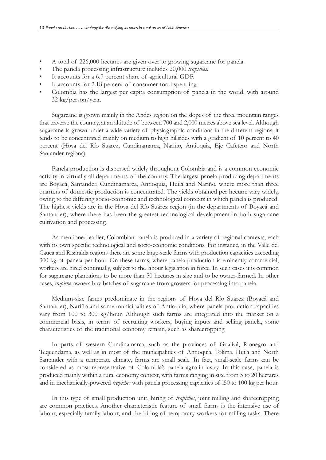- A total of 226,000 hectares are given over to growing sugarcane for panela.
- The panela processing infrastructure includes 20,000 *trapiches*.
- It accounts for a 6.7 percent share of agricultural GDP.
- It accounts for 2.18 percent of consumer food spending.
- Colombia has the largest per capita consumption of panela in the world, with around 32 kg/person/year.

Sugarcane is grown mainly in the Andes region on the slopes of the three mountain ranges that traverse the country, at an altitude of between 700 and 2,000 metres above sea level. Although sugarcane is grown under a wide variety of physiographic conditions in the different regions, it tends to be concentrated mainly on medium to high hillsides with a gradient of 10 percent to 40 percent (Hoya del Río Suárez, Cundinamarca, Nariño, Antioquia, Eje Cafetero and North Santander regions).

Panela production is dispersed widely throughout Colombia and is a common economic activity in virtually all departments of the country. The largest panela-producing departments are Boyacá, Santander, Cundinamarca, Antioquia, Huila and Nariño, where more than three quarters of domestic production is concentrated. The yields obtained per hectare vary widely, owing to the differing socio-economic and technological contexts in which panela is produced. The highest yields are in the Hoya del Río Suárez region (in the departments of Boyacá and Santander), where there has been the greatest technological development in both sugarcane cultivation and processing.

As mentioned earlier, Colombian panela is produced in a variety of regional contexts, each with its own specific technological and socio-economic conditions. For instance, in the Valle del Cauca and Risaralda regions there are some large-scale farms with production capacities exceeding 300 kg of panela per hour. On these farms, where panela production is eminently commercial, workers are hired continually, subject to the labour legislation in force. In such cases it is common for sugarcane plantations to be more than 50 hectares in size and to be owner-farmed. In other cases, *trapiche* owners buy batches of sugarcane from growers for processing into panela.

Medium-size farms predominate in the regions of Hoya del Río Suárez (Boyacá and Santander), Nariño and some municipalities of Antioquia, where panela production capacities vary from 100 to 300 kg/hour. Although such farms are integrated into the market on a commercial basis, in terms of recruiting workers, buying inputs and selling panela, some characteristics of the traditional economy remain, such as sharecropping.

In parts of western Cundinamarca, such as the provinces of Gualivá, Rionegro and Tequendama, as well as in most of the municipalities of Antioquia, Tolima, Huila and North Santander with a temperate climate, farms are small scale. In fact, small-scale farms can be considered as most representative of Colombia's panela agro-industry. In this case, panela is produced mainly within a rural economy context, with farms ranging in size from 5 to 20 hectares and in mechanically-powered *trapiches* with panela processing capacities of l50 to 100 kg per hour.

In this type of small production unit, hiring of *trapiches*, joint milling and sharecropping are common practices. Another characteristic feature of small farms is the intensive use of labour, especially family labour, and the hiring of temporary workers for milling tasks. There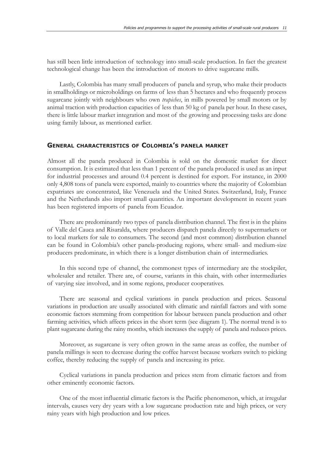has still been little introduction of technology into small-scale production. In fact the greatest technological change has been the introduction of motors to drive sugarcane mills.

Lastly, Colombia has many small producers of panela and syrup, who make their products in smallholdings or microholdings on farms of less than 5 hectares and who frequently process sugarcane jointly with neighbours who own *trapiches*, in mills powered by small motors or by animal traction with production capacities of less than 50 kg of panela per hour. In these cases, there is little labour market integration and most of the growing and processing tasks are done using family labour, as mentioned earlier.

#### **GENERAL CHARACTERISTICS OF COLOMBIA'S PANELA MARKET**

Almost all the panela produced in Colombia is sold on the domestic market for direct consumption. It is estimated that less than 1 percent of the panela produced is used as an input for industrial processes and around 0.4 percent is destined for export. For instance, in 2000 only 4,808 tons of panela were exported, mainly to countries where the majority of Colombian expatriates are concentrated, like Venezuela and the United States. Switzerland, Italy, France and the Netherlands also import small quantities. An important development in recent years has been registered imports of panela from Ecuador.

There are predominantly two types of panela distribution channel. The first is in the plains of Valle del Cauca and Risaralda, where producers dispatch panela directly to supermarkets or to local markets for sale to consumers. The second (and most common) distribution channel can be found in Colombia's other panela-producing regions, where small- and medium-size producers predominate, in which there is a longer distribution chain of intermediaries.

In this second type of channel, the commonest types of intermediary are the stockpiler, wholesaler and retailer. There are, of course, variants in this chain, with other intermediaries of varying size involved, and in some regions, producer cooperatives.

There are seasonal and cyclical variations in panela production and prices. Seasonal variations in production are usually associated with climatic and rainfall factors and with some economic factors stemming from competition for labour between panela production and other farming activities, which affects prices in the short term (see diagram 1). The normal trend is to plant sugarcane during the rainy months, which increases the supply of panela and reduces prices.

Moreover, as sugarcane is very often grown in the same areas as coffee, the number of panela millings is seen to decrease during the coffee harvest because workers switch to picking coffee, thereby reducing the supply of panela and increasing its price.

Cyclical variations in panela production and prices stem from climatic factors and from other eminently economic factors.

One of the most influential climatic factors is the Pacific phenomenon, which, at irregular intervals, causes very dry years with a low sugarcane production rate and high prices, or very rainy years with high production and low prices.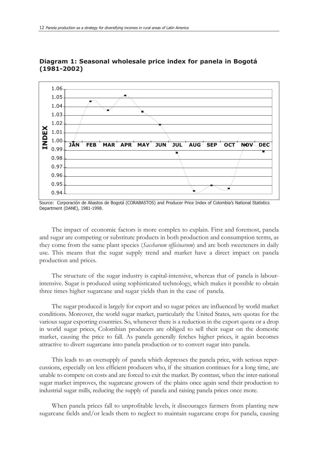

**Diagram 1: Seasonal wholesale price index for panela in Bogotá (1981-2002)**

The impact of economic factors is more complex to explain. First and foremost, panela and sugar are competing or substitute products in both production and consumption terms, as they come from the same plant species (*Saccharum officinarum*) and are both sweeteners in daily use. This means that the sugar supply trend and market have a direct impact on panela production and prices.

The structure of the sugar industry is capital-intensive, whereas that of panela is labourintensive. Sugar is produced using sophisticated technology, which makes it possible to obtain three times higher sugarcane and sugar yields than in the case of panela.

The sugar produced is largely for export and so sugar prices are influenced by world market conditions. Moreover, the world sugar market, particularly the United States, sets quotas for the various sugar exporting countries. So, whenever there is a reduction in the export quota or a drop in world sugar prices, Colombian producers are obliged to sell their sugar on the domestic market, causing the price to fall. As panela generally fetches higher prices, it again becomes attractive to divert sugarcane into panela production or to convert sugar into panela.

This leads to an oversupply of panela which depresses the panela price, with serious repercussions, especially on less efficient producers who, if the situation continues for a long time, are unable to compete on costs and are forced to exit the market. By contrast, when the inter-national sugar market improves, the sugarcane growers of the plains once again send their production to industrial sugar mills, reducing the supply of panela and raising panela prices once more.

When panela prices fall to unprofitable levels, it discourages farmers from planting new sugarcane fields and/or leads them to neglect to maintain sugarcane crops for panela, causing

Source: Corporación de Abastos de Bogotá (CORABASTOS) and Producer Price Index of Colombia's National Statistics Department (DANE), 1981-1998.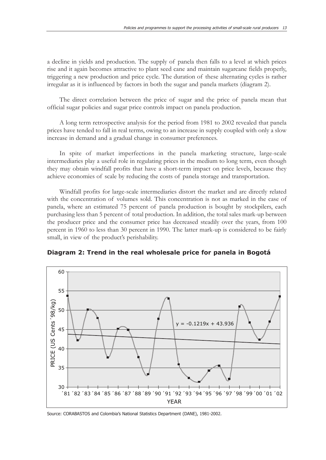a decline in yields and production. The supply of panela then falls to a level at which prices rise and it again becomes attractive to plant seed cane and maintain sugarcane fields properly, triggering a new production and price cycle. The duration of these alternating cycles is rather irregular as it is influenced by factors in both the sugar and panela markets (diagram 2).

The direct correlation between the price of sugar and the price of panela mean that official sugar policies and sugar price controls impact on panela production.

A long term retrospective analysis for the period from 1981 to 2002 revealed that panela prices have tended to fall in real terms, owing to an increase in supply coupled with only a slow increase in demand and a gradual change in consumer preferences.

In spite of market imperfections in the panela marketing structure, large-scale intermediaries play a useful role in regulating prices in the medium to long term, even though they may obtain windfall profits that have a short-term impact on price levels, because they achieve economies of scale by reducing the costs of panela storage and transportation.

Windfall profits for large-scale intermediaries distort the market and are directly related with the concentration of volumes sold. This concentration is not as marked in the case of panela, where an estimated 75 percent of panela production is bought by stockpilers, each purchasing less than 5 percent of total production. In addition, the total sales mark-up between the producer price and the consumer price has decreased steadily over the years, from 100 percent in 1960 to less than 30 percent in 1990. The latter mark-up is considered to be fairly small, in view of the product's perishability.





Source: CORABASTOS and Colombia's National Statistics Department (DANE), 1981-2002.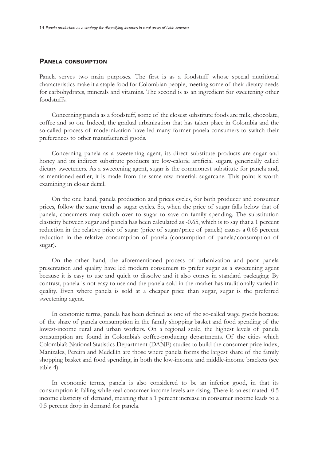#### **PANELA CONSUMPTION**

Panela serves two main purposes. The first is as a foodstuff whose special nutritional characteristics make it a staple food for Colombian people, meeting some of their dietary needs for carbohydrates, minerals and vitamins. The second is as an ingredient for sweetening other foodstuffs.

Concerning panela as a foodstuff, some of the closest substitute foods are milk, chocolate, coffee and so on. Indeed, the gradual urbanization that has taken place in Colombia and the so-called process of modernization have led many former panela consumers to switch their preferences to other manufactured goods.

Concerning panela as a sweetening agent, its direct substitute products are sugar and honey and its indirect substitute products are low-calorie artificial sugars, generically called dietary sweeteners. As a sweetening agent, sugar is the commonest substitute for panela and, as mentioned earlier, it is made from the same raw material: sugarcane. This point is worth examining in closer detail.

On the one hand, panela production and prices cycles, for both producer and consumer prices, follow the same trend as sugar cycles. So, when the price of sugar falls below that of panela, consumers may switch over to sugar to save on family spending. The substitution elasticity between sugar and panela has been calculated as -0.65, which is to say that a 1 percent reduction in the relative price of sugar (price of sugar/price of panela) causes a 0.65 percent reduction in the relative consumption of panela (consumption of panela/consumption of sugar).

On the other hand, the aforementioned process of urbanization and poor panela presentation and quality have led modern consumers to prefer sugar as a sweetening agent because it is easy to use and quick to dissolve and it also comes in standard packaging. By contrast, panela is not easy to use and the panela sold in the market has traditionally varied in quality. Even where panela is sold at a cheaper price than sugar, sugar is the preferred sweetening agent.

In economic terms, panela has been defined as one of the so-called wage goods because of the share of panela consumption in the family shopping basket and food spending of the lowest-income rural and urban workers. On a regional scale, the highest levels of panela consumption are found in Colombia's coffee-producing departments. Of the cities which Colombia's National Statistics Department (DANE) studies to build the consumer price index, Manizales, Pereira and Medellín are those where panela forms the largest share of the family shopping basket and food spending, in both the low-income and middle-income brackets (see table 4).

In economic terms, panela is also considered to be an inferior good, in that its consumption is falling while real consumer income levels are rising. There is an estimated -0.5 income elasticity of demand, meaning that a 1 percent increase in consumer income leads to a 0.5 percent drop in demand for panela.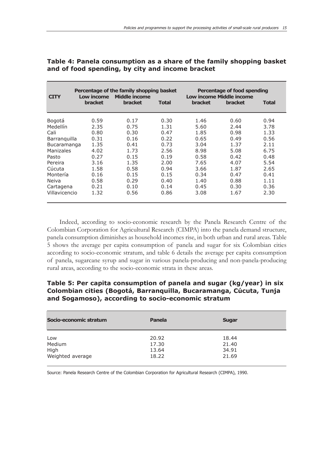| <b>CITY</b>        | Low income<br><b>bracket</b> | Percentage of the family shopping basket<br>Middle income<br><b>bracket</b> | <b>Total</b> | <b>bracket</b> | Percentage of food spending<br>Low income Middle income<br><b>bracket</b> | <b>Total</b> |
|--------------------|------------------------------|-----------------------------------------------------------------------------|--------------|----------------|---------------------------------------------------------------------------|--------------|
| Bogotá             | 0.59                         | 0.17                                                                        | 0.30         | 1.46           | 0.60                                                                      | 0.94         |
| Medellín           | 2.35                         | 0.75                                                                        | 1.31         | 5.60           | 2.44                                                                      | 3.78         |
| Cali               | 0.80                         | 0.30                                                                        | 0.47         | 1.85           | 0.98                                                                      | 1.33         |
| Barranquilla       | 0.31                         | 0.16                                                                        | 0.22         | 0.65           | 0.49                                                                      | 0.56         |
| <b>Bucaramanga</b> | 1.35                         | 0.41                                                                        | 0.73         | 3.04           | 1.37                                                                      | 2.11         |
| Manizales          | 4.02                         | 1.73                                                                        | 2.56         | 8.98           | 5.08                                                                      | 6.75         |
| Pasto              | 0.27                         | 0.15                                                                        | 0.19         | 0.58           | 0.42                                                                      | 0.48         |
| Pereira            | 3.16                         | 1.35                                                                        | 2.00         | 7.65           | 4.07                                                                      | 5.54         |
| Cúcuta             | 1.58                         | 0.58                                                                        | 0.94         | 3.66           | 1.87                                                                      | 2.65         |
| Montería           | 0.16                         | 0.15                                                                        | 0.15         | 0.34           | 0.47                                                                      | 0.41         |
| Neiva              | 0.58                         | 0.29                                                                        | 0.40         | 1.40           | 0.88                                                                      | 1.11         |
| Cartagena          | 0.21                         | 0.10                                                                        | 0.14         | 0.45           | 0.30                                                                      | 0.36         |
| Villavicencio      | 1.32                         | 0.56                                                                        | 0.86         | 3.08           | 1.67                                                                      | 2.30         |

### **Table 4: Panela consumption as a share of the family shopping basket and of food spending, by city and income bracket**

Indeed, according to socio-economic research by the Panela Research Centre of the Colombian Corporation for Agricultural Research (CIMPA) into the panela demand structure, panela consumption diminishes as household incomes rise, in both urban and rural areas. Table 5 shows the average per capita consumption of panela and sugar for six Colombian cities according to socio-economic stratum, and table 6 details the average per capita consumption of panela, sugarcane syrup and sugar in various panela-producing and non-panela-producing rural areas, according to the socio-economic strata in these areas.

### **Table 5: Per capita consumption of panela and sugar (kg/year) in six Colombian cities (Bogotá, Barranquilla, Bucaramanga, Cúcuta, Tunja and Sogamoso), according to socio-economic stratum**

| Socio-economic stratum | Panela | <b>Sugar</b> |  |
|------------------------|--------|--------------|--|
| Low                    | 20.92  | 18.44        |  |
| Medium                 | 17.30  | 21.40        |  |
| High                   | 13.64  | 34.91        |  |
| Weighted average       | 18.22  | 21.69        |  |

Source: Panela Research Centre of the Colombian Corporation for Agricultural Research (CIMPA), 1990.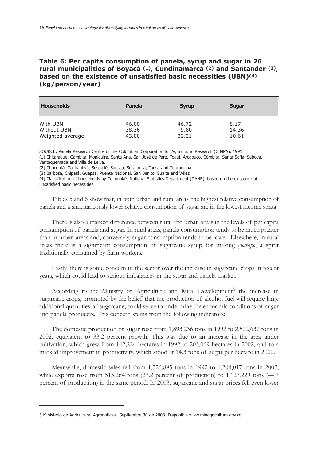# **Table 6: Per capita consumption of panela, syrup and sugar in 26 rural municipalities of Boyacá (1), Cundinamarca (2) and Santander (3), based on the existence of unsatisfied basic necessities (UBN)(4) (kg/person/year)**

| <b>Households</b> | Panela | <b>Syrup</b> | <b>Sugar</b> |
|-------------------|--------|--------------|--------------|
| With UBN          | 46.00  | 46.72        | 8.17         |
| Without UBN       | 38.36  | 9.80         | 14.36        |
| Weighted average  | 43.00  | 32.21        | 10.61        |

SOURCE: Panela Research Centre of the Colombian Corporation for Agricultural Research (CIMPA), 1991

(1) Chitaraque, Gámbita, Moniquirá, Santa Ana, San José de Pare, Toguí, Arcabuco, Cómbita, Santa Sofía, Saboyá, Ventaquemada and Villa de Leiva.

(2) Chocontá, Gachantivá, Sesquilé, Suesca, Sutatausa, Tausa and Toncancipá.

(3) Barbosa, Chipatá, Güepsa, Puente Nacional, San Benito, Suaita and Vélez.

(4) Classification of households by Colombia's National Statistics Department (DANE), based on the existence of unsatisfied basic necessities.

Tables 5 and 6 show that, in both urban and rural areas, the highest relative consumption of panela and a simultaneously lower relative consumption of sugar are in the lowest income strata.

There is also a marked difference between rural and urban areas in the levels of per capita consumption of panela and sugar. In rural areas, panela consumption tends to be much greater than in urban areas and, conversely, sugar consumption tends to be lower. Elsewhere, in rural areas there is a significant consumption of sugarcane syrup for making *guarapo*, a spirit traditionally consumed by farm workers.

Lastly, there is some concern in the sector over the increase in sugarcane crops in recent years, which could lead to serious imbalances in the sugar and panela market.

According to the Ministry of Agriculture and Rural Development<sup>5</sup> the increase in sugarcane crops, prompted by the belief that the production of alcohol fuel will require large additional quantities of sugarcane, could serve to undermine the economic conditions of sugar and panela producers. This concern stems from the following indicators:

The domestic production of sugar rose from 1,893,236 tons in 1992 to 2,522,637 tons in 2002, equivalent to 33.2 percent growth. This was due to an increase in the area under cultivation, which grew from 142,224 hectares in 1992 to 203,069 hectares in 2002, and to a marked improvement in productivity, which stood at 14.3 tons of sugar per hectare in 2002.

Meanwhile, domestic sales fell from 1,326,895 tons in 1992 to 1,204,017 tons in 2002, while exports rose from 515,264 tons (27.2 percent of production) to 1,127,229 tons (44.7 percent of production) in the same period. In 2003, sugarcane and sugar prices fell even lower

<sup>5</sup> Ministerio de Agricultura. Agronoticias, Septiembre 30 de 2003. Disponible www.minagricultura.gov.co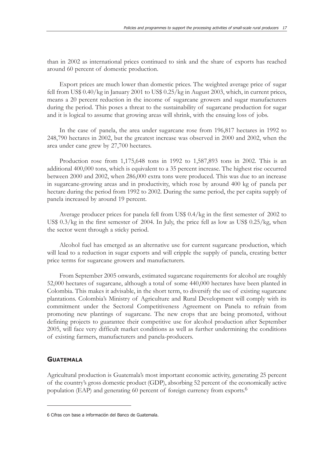than in 2002 as international prices continued to sink and the share of exports has reached around 60 percent of domestic production.

Export prices are much lower than domestic prices. The weighted average price of sugar fell from US\$ 0.40/kg in January 2001 to US\$ 0.25/kg in August 2003, which, in current prices, means a 20 percent reduction in the income of sugarcane growers and sugar manufacturers during the period. This poses a threat to the sustainability of sugarcane production for sugar and it is logical to assume that growing areas will shrink, with the ensuing loss of jobs.

In the case of panela, the area under sugarcane rose from 196,817 hectares in 1992 to 248,790 hectares in 2002, but the greatest increase was observed in 2000 and 2002, when the area under cane grew by 27,700 hectares.

Production rose from 1,175,648 tons in 1992 to 1,587,893 tons in 2002. This is an additional 400,000 tons, which is equivalent to a 35 percent increase. The highest rise occurred between 2000 and 2002, when 286,000 extra tons were produced. This was due to an increase in sugarcane-growing areas and in productivity, which rose by around 400 kg of panela per hectare during the period from 1992 to 2002. During the same period, the per capita supply of panela increased by around 19 percent.

Average producer prices for panela fell from US\$ 0.4/kg in the first semester of 2002 to US\$ 0.3/kg in the first semester of 2004. In July, the price fell as low as US\$ 0.25/kg, when the sector went through a sticky period.

Alcohol fuel has emerged as an alternative use for current sugarcane production, which will lead to a reduction in sugar exports and will cripple the supply of panela, creating better price terms for sugarcane growers and manufacturers.

From September 2005 onwards, estimated sugarcane requirements for alcohol are roughly 52,000 hectares of sugarcane, although a total of some 440,000 hectares have been planted in Colombia. This makes it advisable, in the short term, to diversify the use of existing sugarcane plantations. Colombia's Ministry of Agriculture and Rural Development will comply with its commitment under the Sectoral Competitiveness Agreement on Panela to refrain from promoting new plantings of sugarcane. The new crops that are being promoted, without defining projects to guarantee their competitive use for alcohol production after September 2005, will face very difficult market conditions as well as further undermining the conditions of existing farmers, manufacturers and panela-producers.

#### **GUATEMALA**

Agricultural production is Guatemala's most important economic activity, generating 25 percent of the country's gross domestic product (GDP), absorbing 52 percent of the economically active population (EAP) and generating 60 percent of foreign currency from exports.6

<sup>6</sup> Cifras con base a información del Banco de Guatemala.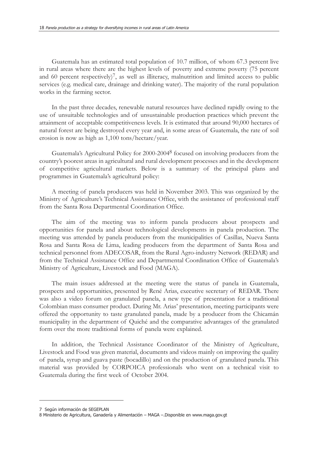Guatemala has an estimated total population of 10.7 million, of whom 67.3 percent live in rural areas where there are the highest levels of poverty and extreme poverty (75 percent and 60 percent respectively)<sup>7</sup>, as well as illiteracy, malnutrition and limited access to public services (e.g. medical care, drainage and drinking water). The majority of the rural population works in the farming sector.

In the past three decades, renewable natural resources have declined rapidly owing to the use of unsuitable technologies and of unsustainable production practices which prevent the attainment of acceptable competitiveness levels. It is estimated that around 90,000 hectares of natural forest are being destroyed every year and, in some areas of Guatemala, the rate of soil erosion is now as high as 1,100 tons/hectare/year.

Guatemala's Agricultural Policy for 2000-20048 focused on involving producers from the country's poorest areas in agricultural and rural development processes and in the development of competitive agricultural markets. Below is a summary of the principal plans and programmes in Guatemala's agricultural policy:

A meeting of panela producers was held in November 2003. This was organized by the Ministry of Agriculture's Technical Assistance Office, with the assistance of professional staff from the Santa Rosa Departmental Coordination Office.

The aim of the meeting was to inform panela producers about prospects and opportunities for panela and about technological developments in panela production. The meeting was attended by panela producers from the municipalities of Casillas, Nueva Santa Rosa and Santa Rosa de Lima, leading producers from the department of Santa Rosa and technical personnel from ADECOSAR, from the Rural Agro-industry Network (REDAR) and from the Technical Assistance Office and Departmental Coordination Office of Guatemala's Ministry of Agriculture, Livestock and Food (MAGA).

The main issues addressed at the meeting were the status of panela in Guatemala, prospects and opportunities, presented by René Arias, executive secretary of REDAR. There was also a video forum on granulated panela, a new type of presentation for a traditional Colombian mass consumer product. During Mr. Arias' presentation, meeting participants were offered the opportunity to taste granulated panela, made by a producer from the Chicamán municipality in the department of Quiché and the comparative advantages of the granulated form over the more traditional forms of panela were explained.

In addition, the Technical Assistance Coordinator of the Ministry of Agriculture, Livestock and Food was given material, documents and videos mainly on improving the quality of panela, syrup and guava paste (bocadillo) and on the production of granulated panela. This material was provided by CORPOICA professionals who went on a technical visit to Guatemala during the first week of October 2004.

<sup>7</sup> Según información de SEGEPLAN

<sup>8</sup> Ministerio de Agricultura, Ganadería y Alimentación – MAGA –.Disponible en www.maga.gov.gt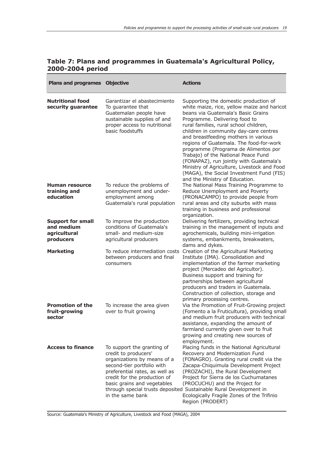| <b>Plans and programes Objective</b>                                |                                                                                                                                                                                                                                      | <b>Actions</b>                                                                                                                                                                                                                                                                                                                                                                                                                                                                                                                                                                            |
|---------------------------------------------------------------------|--------------------------------------------------------------------------------------------------------------------------------------------------------------------------------------------------------------------------------------|-------------------------------------------------------------------------------------------------------------------------------------------------------------------------------------------------------------------------------------------------------------------------------------------------------------------------------------------------------------------------------------------------------------------------------------------------------------------------------------------------------------------------------------------------------------------------------------------|
| <b>Nutritional food</b><br>security guarantee                       | Garantizar el abastecimiento<br>To guarantee that<br>Guatemalan people have<br>sustainable supplies of and<br>proper access to nutritional<br>basic foodstuffs                                                                       | Supporting the domestic production of<br>white maize, rice, yellow maize and haricot<br>beans via Guatemala's Basic Grains<br>Programme. Delivering food to<br>rural families, rural school children,<br>children in community day-care centres<br>and breastfeeding mothers in various<br>regions of Guatemala. The food-for-work<br>programme (Programa de Alimentos por<br>Trabajo) of the National Peace Fund<br>(FONAPAZ), run jointly with Guatemala's<br>Ministry of Agriculture, Livestock and Food<br>(MAGA), the Social Investment Fund (FIS)<br>and the Ministry of Education. |
| Human resource<br>training and<br>education                         | To reduce the problems of<br>unemployment and under-<br>employment among<br>Guatemala's rural population                                                                                                                             | The National Mass Training Programme to<br>Reduce Unemployment and Poverty<br>(PRONACAMPO) to provide people from<br>rural areas and city suburbs with mass<br>training in business and professional<br>organization.                                                                                                                                                                                                                                                                                                                                                                     |
| <b>Support for small</b><br>and medium<br>agricultural<br>producers | To improve the production<br>conditions of Guatemala's<br>small- and medium-size<br>agricultural producers                                                                                                                           | Delivering fertilizers, providing technical<br>training in the management of inputs and<br>agrochemicals, building mini-irrigation<br>systems, embankments, breakwaters,<br>dams and dykes.                                                                                                                                                                                                                                                                                                                                                                                               |
| <b>Marketing</b>                                                    | To reduce intermediation costs<br>between producers and final<br>consumers                                                                                                                                                           | Creation of the Agricultural Marketing<br>Institute (IMA). Consolidation and<br>implementation of the farmer marketing<br>project (Mercadeo del Agricultor).<br>Business support and training for<br>partnerships between agricultural<br>producers and traders in Guatemala.<br>Construction of collection, storage and<br>primary processing centres.                                                                                                                                                                                                                                   |
| <b>Promotion of the</b><br>fruit-growing<br>sector                  | To increase the area given<br>over to fruit growing                                                                                                                                                                                  | Via the Promotion of Fruit-Growing project<br>(Fomento a la Fruticultura), providing small<br>and medium fruit producers with technical<br>assistance, expanding the amount of<br>farmland currently given over to fruit<br>growing and creating new sources of<br>employment.                                                                                                                                                                                                                                                                                                            |
| <b>Access to finance</b>                                            | To support the granting of<br>credit to producers'<br>organizations by means of a<br>second-tier portfolio with<br>preferential rates, as well as<br>credit for the production of<br>basic grains and vegetables<br>in the same bank | Placing funds in the National Agricultural<br>Recovery and Modernization Fund<br>(FONAGRO). Granting rural credit via the<br>Zacapa-Chiquimula Development Project<br>(PROZACHI), the Rural Development<br>Project for Sierra de los Cuchumatanes<br>(PROCUCHU) and the Project for<br>through special trusts deposited Sustainable Rural Development in<br>Ecologically Fragile Zones of the Trifinio<br>Region (PRODERT)                                                                                                                                                                |

## **Table 7: Plans and programmes in Guatemala's Agricultural Policy, 2000-2004 period**

Source: Guatemala's Ministry of Agriculture, Livestock and Food (MAGA), 2004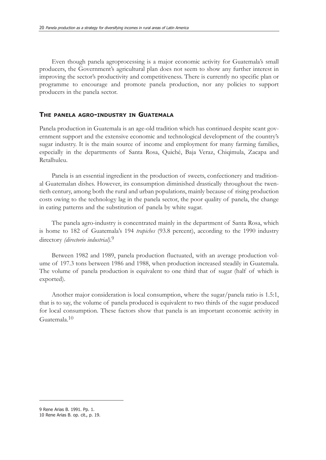Even though panela agroprocessing is a major economic activity for Guatemala's small producers, the Government's agricultural plan does not seem to show any further interest in improving the sector's productivity and competitiveness. There is currently no specific plan or programme to encourage and promote panela production, nor any policies to support producers in the panela sector.

#### **THE PANELA AGRO-INDUSTRY IN GUATEMALA**

Panela production in Guatemala is an age-old tradition which has continued despite scant government support and the extensive economic and technological development of the country's sugar industry. It is the main source of income and employment for many farming families, especially in the departments of Santa Rosa, Quiché, Baja Veraz, Chiqimula, Zacapa and Retalhuleu.

Panela is an essential ingredient in the production of sweets, confectionery and traditional Guatemalan dishes. However, its consumption diminished drastically throughout the twentieth century, among both the rural and urban populations, mainly because of rising production costs owing to the technology lag in the panela sector, the poor quality of panela, the change in eating patterns and the substitution of panela by white sugar.

The panela agro-industry is concentrated mainly in the department of Santa Rosa, which is home to 182 of Guatemala's 194 *trapiches* (93.8 percent), according to the 1990 industry directory *(directorio industrial)*. 9

Between 1982 and 1989, panela production fluctuated, with an average production volume of 197.3 tons between 1986 and 1988, when production increased steadily in Guatemala. The volume of panela production is equivalent to one third that of sugar (half of which is exported).

Another major consideration is local consumption, where the sugar/panela ratio is 1.5:1, that is to say, the volume of panela produced is equivalent to two thirds of the sugar produced for local consumption. These factors show that panela is an important economic activity in Guatemala.10

<sup>9</sup> Rene Arias B. 1991. Pp. 1.

<sup>10</sup> Rene Arias B. op. cit., p. 19.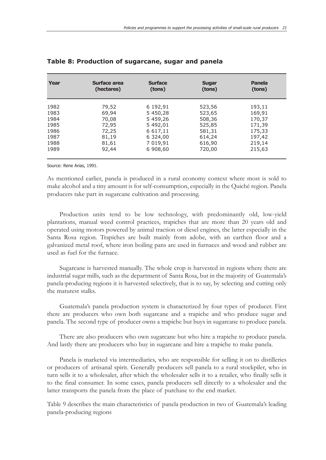| Year | Surface area | <b>Surface</b> | <b>Sugar</b> | <b>Panela</b> |
|------|--------------|----------------|--------------|---------------|
|      | (hectares)   | (tons)         | (tons)       | (tons)        |
| 1982 | 79,52        | 6 192,91       | 523,56       | 193,11        |
| 1983 | 69,94        | 5 450,28       | 523,65       | 169,91        |
| 1984 | 70,08        | 5 459,26       | 508,36       | 170,37        |
| 1985 | 72,95        | 5 492,01       | 525,85       | 171,39        |
| 1986 | 72,25        | 6 617,11       | 581,31       | 175,33        |
| 1987 | 81,19        | 6 324,00       | 614,24       | 197,42        |
| 1988 | 81,61        | 7 019,91       | 616,90       | 219,14        |
| 1989 | 92,44        | 6 908,60       | 720,00       | 215,63        |

#### **Table 8: Production of sugarcane, sugar and panela**

Source: Rene Arias, 1991.

As mentioned earlier, panela is produced in a rural economy context where most is sold to make alcohol and a tiny amount is for self-consumption, especially in the Quiché region. Panela producers take part in sugarcane cultivation and processing.

Production units tend to be low technology, with predominantly old, low-yield plantations, manual weed control practices, trapiches that are more than 20 years old and operated using motors powered by animal traction or diesel engines, the latter especially in the Santa Rosa region. Trapiches are built mainly from adobe, with an earthen floor and a galvanized metal roof, where iron boiling pans are used in furnaces and wood and rubber are used as fuel for the furnace.

Sugarcane is harvested manually. The whole crop is harvested in regions where there are industrial sugar mills, such as the department of Santa Rosa, but in the majority of Guatemala's panela-producing regions it is harvested selectively, that is to say, by selecting and cutting only the maturest stalks.

Guatemala's panela production system is characterized by four types of producer. First there are producers who own both sugarcane and a trapiche and who produce sugar and panela. The second type of producer owns a trapiche but buys in sugarcane to produce panela.

There are also producers who own sugarcane but who hire a trapiche to produce panela. And lastly there are producers who buy in sugarcane and hire a trapiche to make panela.

Panela is marketed via intermediaries, who are responsible for selling it on to distilleries or producers of artisanal spirit. Generally producers sell panela to a rural stockpiler, who in turn sells it to a wholesaler, after which the wholesaler sells it to a retailer, who finally sells it to the final consumer. In some cases, panela producers sell directly to a wholesaler and the latter transports the panela from the place of purchase to the end market.

Table 9 describes the main characteristics of panela production in two of Guatemala's leading panela-producing regions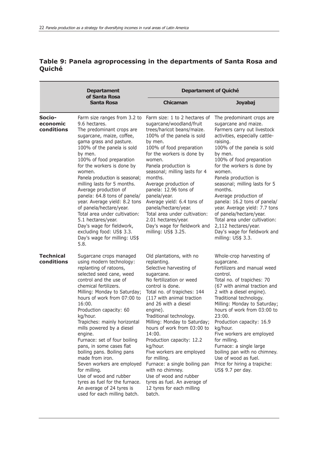# **Table 9: Panela agroprocessing in the departments of Santa Rosa and Quiché**

|                                  | <b>Departament</b>                                                                                                                                                                                                                                                                                                                                                                                                                                                                                                                                                                                                                       | <b>Departament of Quiché</b>                                                                                                                                                                                                                                                                                                                                                                                                                                                                                                                                                     |                                                                                                                                                                                                                                                                                                                                                                                                                                                                                                                                                     |  |  |
|----------------------------------|------------------------------------------------------------------------------------------------------------------------------------------------------------------------------------------------------------------------------------------------------------------------------------------------------------------------------------------------------------------------------------------------------------------------------------------------------------------------------------------------------------------------------------------------------------------------------------------------------------------------------------------|----------------------------------------------------------------------------------------------------------------------------------------------------------------------------------------------------------------------------------------------------------------------------------------------------------------------------------------------------------------------------------------------------------------------------------------------------------------------------------------------------------------------------------------------------------------------------------|-----------------------------------------------------------------------------------------------------------------------------------------------------------------------------------------------------------------------------------------------------------------------------------------------------------------------------------------------------------------------------------------------------------------------------------------------------------------------------------------------------------------------------------------------------|--|--|
|                                  | of Santa Rosa<br><b>Santa Rosa</b>                                                                                                                                                                                                                                                                                                                                                                                                                                                                                                                                                                                                       | <b>Chicaman</b>                                                                                                                                                                                                                                                                                                                                                                                                                                                                                                                                                                  | <b>Joyabaj</b>                                                                                                                                                                                                                                                                                                                                                                                                                                                                                                                                      |  |  |
| Socio-<br>economic<br>conditions | Farm size ranges from 3.2 to<br>9.6 hectares.<br>The predominant crops are<br>sugarcane, maize, coffee,<br>gama grass and pasture.<br>100% of the panela is sold<br>by men.<br>100% of food preparation<br>for the workers is done by<br>women.<br>Panela production is seasonal;<br>milling lasts for 5 months.<br>Average production of<br>panela: 64.8 tons of panela/<br>year. Average yield: 8.2 tons<br>of panela/hectare/year.<br>Total area under cultivation:<br>5.1 hectares/year.<br>Day's wage for fieldwork,<br>excluding food: US\$ 3.3.<br>Day's wage for milling: US\$<br>5.8.                                           | Farm size: 1 to 2 hectares of<br>sugarcane/woodland/fruit<br>trees/haricot beans/maize.<br>100% of the panela is sold<br>by men.<br>100% of food preparation<br>for the workers is done by<br>women.<br>Panela production is<br>seasonal; milling lasts for 4<br>months.<br>Average production of<br>panela: 12.96 tons of<br>panela/year.<br>Average yield: 6.4 tons of<br>panela/hectare/year.<br>Total area under cultivation:<br>2.01 hectares/year.<br>Day's wage for fieldwork and<br>milling: US\$ 3.25.                                                                  | The predominant crops are<br>sugarcane and maize.<br>Farmers carry out livestock<br>activities, especially cattle-<br>raising.<br>100% of the panela is sold<br>by men.<br>100% of food preparation<br>for the workers is done by<br>women.<br>Panela production is<br>seasonal; milling lasts for 5<br>months.<br>Average production of<br>panela: 16.2 tons of panela/<br>year. Average yield: 7.7 tons<br>of panela/hectare/year.<br>Total area under cultivation:<br>2,112 hectares/year.<br>Day's wage for fieldwork and<br>milling: US\$ 3.3. |  |  |
| <b>Technical</b><br>conditions   | Sugarcane crops managed<br>using modern technology:<br>replanting of ratoons,<br>selected seed cane, weed<br>control and the use of<br>chemical fertilizers.<br>Milling: Monday to Saturday;<br>hours of work from 07:00 to<br>16:00.<br>Production capacity: 60<br>kg/hour.<br>Trapiches: mainly horizontal<br>mills powered by a diesel<br>engine.<br>Furnace: set of four boiling<br>pans, in some cases flat<br>boiling pans. Boiling pans<br>made from iron.<br>Seven workers are employed<br>for milling.<br>Use of wood and rubber<br>tyres as fuel for the furnace.<br>An average of 24 tyres is<br>used for each milling batch. | Old plantations, with no<br>replanting.<br>Selective harvesting of<br>sugarcane.<br>No fertilization or weed<br>control is done.<br>Total no. of trapiches: 144<br>(117 with animal traction<br>and 26 with a diesel<br>engine).<br>Traditional technology.<br>Milling: Monday to Saturday;<br>hours of work from 03:00 to<br>14:00.<br>Production capacity: 12.2<br>kg/hour.<br>Five workers are employed<br>for milling.<br>Furnace: a single boiling pan<br>with no chimney.<br>Use of wood and rubber<br>tyres as fuel. An average of<br>12 tyres for each milling<br>batch. | Whole-crop harvesting of<br>sugarcane.<br>Fertilizers and manual weed<br>control.<br>Total no. of trapiches: 70<br>(67 with animal traction and<br>2 with a diesel engine).<br>Traditional technology.<br>Milling: Monday to Saturday;<br>hours of work from 03:00 to<br>23:00.<br>Production capacity: 16.9<br>kg/hour.<br>Five workers are employed<br>for milling.<br>Furnace: a single large<br>boiling pan with no chimney.<br>Use of wood as fuel.<br>Price for hiring a trapiche:<br>US\$ 9.7 per day.                                       |  |  |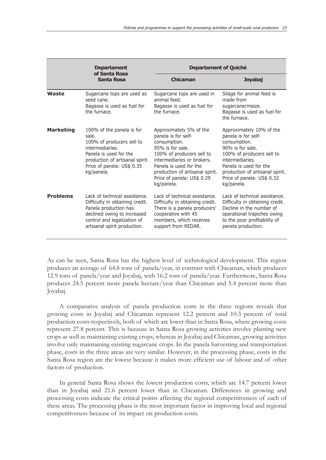|                  | <b>Departament</b><br>of Santa Rosa                                                                                                                                                         | Departament of Quiché                                                                                                                                                                                                                                  |                                                                                                                                                                                                                                              |  |
|------------------|---------------------------------------------------------------------------------------------------------------------------------------------------------------------------------------------|--------------------------------------------------------------------------------------------------------------------------------------------------------------------------------------------------------------------------------------------------------|----------------------------------------------------------------------------------------------------------------------------------------------------------------------------------------------------------------------------------------------|--|
|                  | Santa Rosa                                                                                                                                                                                  | Chicaman                                                                                                                                                                                                                                               | Joyabaj                                                                                                                                                                                                                                      |  |
| Waste            | Sugarcane tops are used as<br>seed cane.<br>Bagasse is used as fuel for<br>the furnace.                                                                                                     | Sugarcane tops are used in<br>animal feed.<br>Bagasse is used as fuel for<br>the furnace.                                                                                                                                                              | Silage for animal feed is<br>made from<br>sugarcane/maize.<br>Bagasse is used as fuel for<br>the furnace.                                                                                                                                    |  |
| <b>Marketing</b> | 100% of the panela is for<br>sale.<br>100% of producers sell to<br>intermediaries.<br>Panela is used for the<br>production of artisanal spirit.<br>Price of panela: US\$ 0.35<br>kg/panela. | Approximately 5% of the<br>panela is for self-<br>consumption.<br>95% is for sale.<br>100% of producers sell to<br>intermediaries or brokers.<br>Panela is used for the<br>production of artisanal spirit.<br>Price of panela: US\$ 0.29<br>kg/panela. | Approximately 10% of the<br>panela is for self-<br>consumption.<br>90% is for sale.<br>100% of producers sell to<br>intermediaries.<br>Panela is used for the<br>production of artisanal spirit.<br>Price of panela: US\$ 0.32<br>kg/panela. |  |
| <b>Problems</b>  | Lack of technical assistance.<br>Difficulty in obtaining credit.<br>Panela production has<br>declined owing to increased<br>control and legalization of<br>artisanal spirit production.     | Lack of technical assistance.<br>Difficulty in obtaining credit.<br>There is a panela producers'<br>cooperative with 45<br>members, which receives<br>support from REDAR.                                                                              | Lack of technical assistance.<br>Difficulty in obtaining credit.<br>Decline in the number of<br>operational trapiches owing<br>to the poor profitability of<br>panela production.                                                            |  |

As can be seen, Santa Rosa has the highest level of technological development. This region produces an average of 64.8 tons of panela/year, in contrast with Chicaman, which produces 12.9 tons of panela/year and Joyabaj, with 16.2 tons of panela/year. Furthermore, Santa Rosa produces 24.5 percent more panela hectare/year than Chicaman and 5.4 percent more than Joyabaj.

A comparative analysis of panela production costs in the three regions reveals that growing costs in Joyabaj and Chicaman represent 12.2 percent and 10.3 percent of total production costs respectively, both of which are lower than in Santa Rosa, where growing costs represent 27.8 percent. This is because in Santa Rosa growing activities involve planting new crops as well as maintaining existing crops, whereas in Joyabaj and Chicaman, growing activities involve only maintaining existing sugarcane crops. In the panela harvesting and transportation phase, costs in the three areas are very similar. However, in the processing phase, costs in the Santa Rosa region are the lowest because it makes more efficient use of labour and of other factors of production.

In general Santa Rosa shows the lowest production costs, which are 14.7 percent lower than in Joyabaj and 21.6 percent lower than in Chicaman. Differences in growing and processing costs indicate the critical points affecting the regional competitiveness of each of these areas. The processing phase is the most important factor in improving local and regional competitiveness because of its impact on production costs.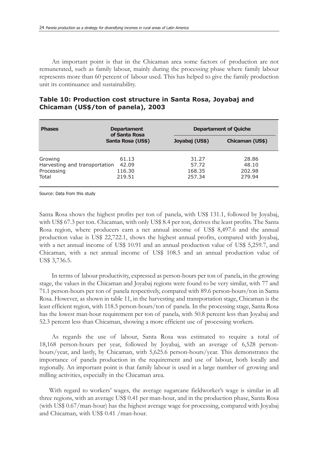An important point is that in the Chicaman area some factors of production are not remunerated, such as family labour, mainly during the processing phase where family labour represents more than 60 percent of labour used. This has helped to give the family production unit its continuance and sustainability.

| <b>Phases</b>                                                   | <b>Departament</b><br>of Santa Rosa |                                    | <b>Departament of Quiche</b>       |
|-----------------------------------------------------------------|-------------------------------------|------------------------------------|------------------------------------|
|                                                                 | Santa Rosa (US\$)                   | Joyabaj (US\$)                     | Chicaman (US\$)                    |
| Growing<br>Harvesting and transportation<br>Processing<br>Total | 61.13<br>42.09<br>116.30<br>219.51  | 31.27<br>57.72<br>168.35<br>257.34 | 28.86<br>48.10<br>202.98<br>279.94 |

| Table 10: Production cost structure in Santa Rosa, Joyabaj and |  |  |  |
|----------------------------------------------------------------|--|--|--|
| Chicaman (US\$/ton of panela), 2003                            |  |  |  |

Source: Data from this study

Santa Rosa shows the highest profits per ton of panela, with US\$ 131.1, followed by Joyabaj, with US\$ 67.3 per ton. Chicaman, with only US\$ 8.4 per ton, derives the least profits. The Santa Rosa region, where producers earn a net annual income of US\$ 8,497.6 and the annual production value is US\$ 22,722.1, shows the highest annual profits, compared with Joyabaj, with a net annual income of US\$ 10.91 and an annual production value of US\$ 5,259.7, and Chicaman, with a net annual income of US\$ 108.5 and an annual production value of US\$ 3,736.5.

In terms of labour productivity, expressed as person-hours per ton of panela, in the growing stage, the values in the Chicaman and Joyabaj regions were found to be very similar, with 77 and 71.1 person-hours per ton of panela respectively, compared with 89.6 person-hours/ton in Santa Rosa. However, as shown in table 11, in the harvesting and transportation stage, Chicaman is the least efficient region, with 118.5 person-hours/ton of panela. In the processing stage, Santa Rosa has the lowest man-hour requirement per ton of panela, with 50.8 percent less than Joyabaj and 52.3 percent less than Chicaman, showing a more efficient use of processing workers.

As regards the use of labour, Santa Rosa was estimated to require a total of 18,168 person-hours per year, followed by Joyabaj, with an average of 6,528 personhours/year, and lastly, by Chicaman, with 5,625.6 person-hours/year. This demonstrates the importance of panela production in the requirement and use of labour, both locally and regionally. An important point is that family labour is used in a large number of growing and milling activities, especially in the Chicaman area.

With regard to workers' wages, the average sugarcane fieldworker's wage is similar in all three regions, with an average US\$ 0.41 per man-hour, and in the production phase, Santa Rosa (with US\$ 0.67/man-hour) has the highest average wage for processing, compared with Joyabaj and Chicaman, with US\$ 0.41 /man-hour.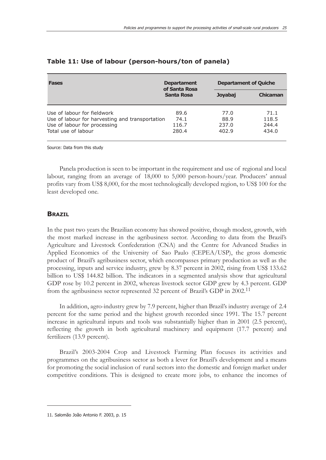| <b>Fases</b>                                                                                                                          | <b>Departament</b><br>of Santa Rosa |                                | <b>Departament of Quiche</b>    |  |
|---------------------------------------------------------------------------------------------------------------------------------------|-------------------------------------|--------------------------------|---------------------------------|--|
|                                                                                                                                       | Santa Rosa                          | <b>Joyabaj</b>                 | <b>Chicaman</b>                 |  |
| Use of labour for fieldwork<br>Use of labour for harvesting and transportation<br>Use of labour for processing<br>Total use of labour | 89.6<br>74.1<br>116.7<br>280.4      | 77.0<br>88.9<br>237.0<br>402.9 | 71.1<br>118.5<br>244.4<br>434.0 |  |

#### **Table 11: Use of labour (person-hours/ton of panela)**

Source: Data from this study

Panela production is seen to be important in the requirement and use of regional and local labour, ranging from an average of 18,000 to 5,000 person-hours/year. Producers' annual profits vary from US\$ 8,000, for the most technologically developed region, to US\$ 100 for the least developed one.

#### **BRAZIL**

In the past two years the Brazilian economy has showed positive, though modest, growth, with the most marked increase in the agribusiness sector. According to data from the Brazil's Agriculture and Livestock Confederation (CNA) and the Centre for Advanced Studies in Applied Economics of the University of Sao Paulo (CEPEA/USP), the gross domestic product of Brazil's agribusiness sector, which encompasses primary production as well as the processing, inputs and service industry, grew by 8.37 percent in 2002, rising from US\$ 133.62 billion to US\$ 144.82 billion. The indicators in a segmented analysis show that agricultural GDP rose by 10.2 percent in 2002, whereas livestock sector GDP grew by 4.3 percent. GDP from the agribusiness sector represented 32 percent of Brazil's GDP in 2002.11

In addition, agro-industry grew by 7.9 percent, higher than Brazil's industry average of 2.4 percent for the same period and the highest growth recorded since 1991. The 15.7 percent increase in agricultural inputs and tools was substantially higher than in 2001 (2.5 percent), reflecting the growth in both agricultural machinery and equipment (17.7 percent) and fertilizers (13.9 percent).

Brazil's 2003-2004 Crop and Livestock Farming Plan focuses its activities and programmes on the agribusiness sector as both a lever for Brazil's development and a means for promoting the social inclusion of rural sectors into the domestic and foreign market under competitive conditions. This is designed to create more jobs, to enhance the incomes of

<sup>11.</sup> Salomão João Antonio F. 2003, p. 15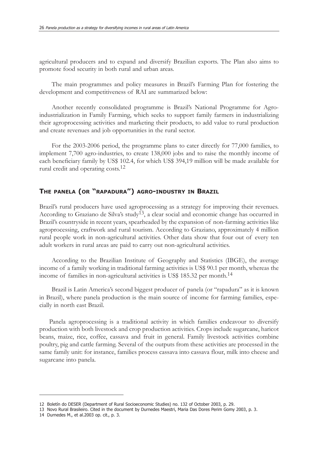agricultural producers and to expand and diversify Brazilian exports. The Plan also aims to promote food security in both rural and urban areas.

The main programmes and policy measures in Brazil's Farming Plan for fostering the development and competitiveness of RAI are summarized below:

Another recently consolidated programme is Brazil's National Programme for Agroindustrialization in Family Farming, which seeks to support family farmers in industrializing their agroprocessing activities and marketing their products, to add value to rural production and create revenues and job opportunities in the rural sector.

For the 2003-2006 period, the programme plans to cater directly for 77,000 families, to implement 7,700 agro-industries, to create 138,000 jobs and to raise the monthly income of each beneficiary family by US\$ 102.4, for which US\$ 394,19 million will be made available for rural credit and operating costs.12

## **THE PANELA (OR "RAPADURA") AGRO-INDUSTRY IN BRAZIL**

Brazil's rural producers have used agroprocessing as a strategy for improving their revenues. According to Graziano de Silva's study<sup>13</sup>, a clear social and economic change has occurred in Brazil's countryside in recent years, spearheaded by the expansion of non-farming activities like agroprocessing, craftwork and rural tourism. According to Graziano, approximately 4 million rural people work in non-agricultural activities. Other data show that four out of every ten adult workers in rural areas are paid to carry out non-agricultural activities.

According to the Brazilian Institute of Geography and Statistics (IBGE), the average income of a family working in traditional farming activities is US\$ 90.1 per month, whereas the income of families in non-agricultural activities is US\$ 185.32 per month.14

Brazil is Latin America's second biggest producer of panela (or "rapadura" as it is known in Brazil), where panela production is the main source of income for farming families, especially in north east Brazil.

Panela agroprocessing is a traditional activity in which families endeavour to diversify production with both livestock and crop production activities. Crops include sugarcane, haricot beans, maize, rice, coffee, cassava and fruit in general. Family livestock activities combine poultry, pig and cattle farming. Several of the outputs from these activities are processed in the same family unit: for instance, families process cassava into cassava flour, milk into cheese and sugarcane into panela.

<sup>12</sup> Boletín do DESER (Department of Rural Socioeconomic Studies) no. 132 of October 2003, p. 29.

<sup>13</sup> Novo Rural Brasileiro. Cited in the document by Durnedes Maestri, Maria Das Dores Perim Gomy 2003, p. 3.

<sup>14</sup> Durnedes M., et al.2003 op. cit., p. 3.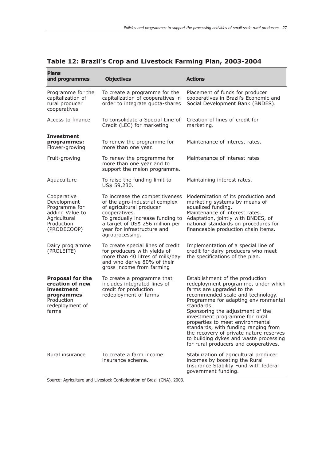| <b>Plans</b><br>and programmes                                                                                   | <b>Objectives</b>                                                                                                                                                                                                                        | <b>Actions</b>                                                                                                                                                                                                                                                                                                                                                                                                                                                                 |
|------------------------------------------------------------------------------------------------------------------|------------------------------------------------------------------------------------------------------------------------------------------------------------------------------------------------------------------------------------------|--------------------------------------------------------------------------------------------------------------------------------------------------------------------------------------------------------------------------------------------------------------------------------------------------------------------------------------------------------------------------------------------------------------------------------------------------------------------------------|
| Programme for the<br>capitalization of<br>rural producer<br>cooperatives                                         | To create a programme for the<br>capitalization of cooperatives in<br>order to integrate quota-shares                                                                                                                                    | Placement of funds for producer<br>cooperatives in Brazil's Economic and<br>Social Development Bank (BNDES).                                                                                                                                                                                                                                                                                                                                                                   |
| Access to finance                                                                                                | To consolidate a Special Line of<br>Credit (LEC) for marketing                                                                                                                                                                           | Creation of lines of credit for<br>marketing.                                                                                                                                                                                                                                                                                                                                                                                                                                  |
| <b>Investment</b><br>programmes:<br>Flower-growing                                                               | To renew the programme for<br>more than one year.                                                                                                                                                                                        | Maintenance of interest rates.                                                                                                                                                                                                                                                                                                                                                                                                                                                 |
| Fruit-growing                                                                                                    | To renew the programme for<br>more than one year and to<br>support the melon programme.                                                                                                                                                  | Maintenance of interest rates                                                                                                                                                                                                                                                                                                                                                                                                                                                  |
| Aquaculture                                                                                                      | To raise the funding limit to<br>US\$ 59,230.                                                                                                                                                                                            | Maintaining interest rates.                                                                                                                                                                                                                                                                                                                                                                                                                                                    |
| Cooperative<br>Development<br>Programme for<br>adding Value to<br>Agricultural<br>Production<br>(PRODECOOP)      | To increase the competitiveness<br>of the agro-industrial complex<br>of agricultural producer<br>cooperatives.<br>To gradually increase funding to<br>a target of US\$ 256 million per<br>year for infrastructure and<br>agroprocessing. | Modernization of its production and<br>marketing systems by means of<br>equalized funding.<br>Maintenance of interest rates.<br>Adaptation, jointly with BNDES, of<br>national standards on procedures for<br>financeable production chain items.                                                                                                                                                                                                                              |
| Dairy programme<br>(PROLEITE)                                                                                    | To create special lines of credit<br>for producers with yields of<br>more than 40 litres of milk/day<br>and who derive 80% of their<br>gross income from farming                                                                         | Implementation of a special line of<br>credit for dairy producers who meet<br>the specifications of the plan.                                                                                                                                                                                                                                                                                                                                                                  |
| <b>Proposal for the</b><br>creation of new<br>investment<br>programmes<br>Production<br>redeployment of<br>farms | To create a programme that<br>includes integrated lines of<br>credit for production<br>redeployment of farms                                                                                                                             | Establishment of the production<br>redeployment programme, under which<br>farms are upgraded to the<br>recommended scale and technology.<br>Programme for adapting environmental<br>standards.<br>Sponsoring the adjustment of the<br>investment programme for rural<br>properties to meet environmental<br>standards, with funding ranging from<br>the recovery of private nature reserves<br>to building dykes and waste processing<br>for rural producers and cooperatives. |
| Rural insurance                                                                                                  | To create a farm income<br>insurance scheme.                                                                                                                                                                                             | Stabilization of agricultural producer<br>incomes by boosting the Rural<br>Insurance Stability Fund with federal<br>government funding.                                                                                                                                                                                                                                                                                                                                        |

# **Table 12: Brazil's Crop and Livestock Farming Plan, 2003-2004**

Source: Agriculture and Livestock Confederation of Brazil (CNA), 2003.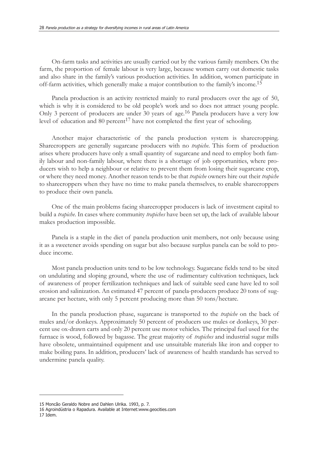On-farm tasks and activities are usually carried out by the various family members. On the farm, the proportion of female labour is very large, because women carry out domestic tasks and also share in the family's various production activities. In addition, women participate in off-farm activities, which generally make a major contribution to the family's income.<sup>15</sup>

Panela production is an activity restricted mainly to rural producers over the age of 50, which is why it is considered to be old people's work and so does not attract young people. Only 3 percent of producers are under 30 years of age.16 Panela producers have a very low level of education and 80 percent<sup>17</sup> have not completed the first year of schooling.

Another major characteristic of the panela production system is sharecropping. Sharecroppers are generally sugarcane producers with no *trapiche*. This form of production arises where producers have only a small quantity of sugarcane and need to employ both family labour and non-family labour, where there is a shortage of job opportunities, where producers wish to help a neighbour or relative to prevent them from losing their sugarcane crop, or where they need money. Another reason tends to be that *trapiche* owners hire out their *trapiche* to sharecroppers when they have no time to make panela themselves, to enable sharecroppers to produce their own panela.

One of the main problems facing sharecropper producers is lack of investment capital to build a *trapiche*. In cases where community *trapiches* have been set up, the lack of available labour makes production impossible.

Panela is a staple in the diet of panela production unit members, not only because using it as a sweetener avoids spending on sugar but also because surplus panela can be sold to produce income.

Most panela production units tend to be low technology. Sugarcane fields tend to be sited on undulating and sloping ground, where the use of rudimentary cultivation techniques, lack of awareness of proper fertilization techniques and lack of suitable seed cane have led to soil erosion and salinization. An estimated 47 percent of panela-producers produce 20 tons of sugarcane per hectare, with only 5 percent producing more than 50 tons/hectare.

In the panela production phase, sugarcane is transported to the *trapiche* on the back of mules and/or donkeys. Approximately 50 percent of producers use mules or donkeys, 30 percent use ox-drawn carts and only 20 percent use motor vehicles. The principal fuel used for the furnace is wood, followed by bagasse. The great majority of *trapiches* and industrial sugar mills have obsolete, unmaintained equipment and use unsuitable materials like iron and copper to make boiling pans. In addition, producers' lack of awareness of health standards has served to undermine panela quality.

<sup>15</sup> Moncão Geraldo Nobre and Dahlen Ulrika. 1993, p. 7.

<sup>16</sup> Agroindústria o Rapadura. Available at Internet:www.geocities.com 17 Idem.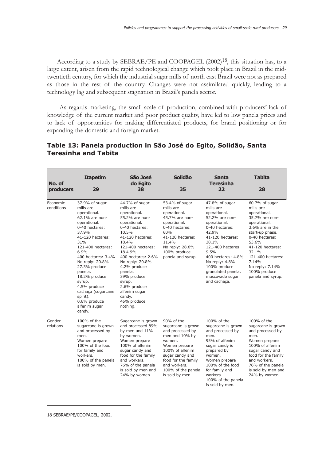According to a study by SEBRAE/PE and COOPAGEL  $(2002)^{18}$ , this situation has, to a large extent, arisen from the rapid technological change which took place in Brazil in the midtwentieth century, for which the industrial sugar mills of north east Brazil were not as prepared as those in the rest of the country. Changes were not assimilated quickly, leading to a technology lag and subsequent stagnation in Brazil's panela sector.

As regards marketing, the small scale of production, combined with producers' lack of knowledge of the current market and poor product quality, have led to low panela prices and to lack of opportunities for making differentiated products, for brand positioning or for expanding the domestic and foreign market.

| No. of<br>producers    | <b>Itapetim</b><br>29                                                                                                                                                                                                                                                                                                                                         | São José<br>do Egito<br>38                                                                                                                                                                                                                                                                                                               | Solidão<br>35                                                                                                                                                                                                           | <b>Santa</b><br><b>Teresinha</b><br>22                                                                                                                                                                                                                                              | <b>Tabita</b><br>28                                                                                                                                                                                                                                               |
|------------------------|---------------------------------------------------------------------------------------------------------------------------------------------------------------------------------------------------------------------------------------------------------------------------------------------------------------------------------------------------------------|------------------------------------------------------------------------------------------------------------------------------------------------------------------------------------------------------------------------------------------------------------------------------------------------------------------------------------------|-------------------------------------------------------------------------------------------------------------------------------------------------------------------------------------------------------------------------|-------------------------------------------------------------------------------------------------------------------------------------------------------------------------------------------------------------------------------------------------------------------------------------|-------------------------------------------------------------------------------------------------------------------------------------------------------------------------------------------------------------------------------------------------------------------|
| Economic<br>conditions | 37.9% of sugar<br>mills are<br>operational.<br>62.1% are non-<br>operational.<br>0-40 hectares:<br>37.9%<br>41-120 hectares:<br>31%<br>121-400 hectares:<br>6.9%<br>400 hectares: 3.4%<br>No reply: 20.8%<br>27.3% produce<br>panela.<br>18.2% produce<br>syrup.<br>4.5% produce<br>cachaça (sugarcane<br>spirit).<br>0.6% produce<br>alfenim sugar<br>candy. | 44.7% of sugar<br>mills are<br>operational.<br>55.2% are non-<br>operational.<br>0-40 hectares:<br>10.5%<br>41-120 hectares:<br>18.4%<br>121-400 hectares:<br>18.4.9%<br>400 hectares: 2.6%<br>No reply: 20.8%<br>4.2% produce<br>panela.<br>39% produce<br>syrup.<br>2.6% produce<br>alfenim sugar<br>candy.<br>45% produce<br>nothing. | 53.4% of sugar<br>mills are<br>operational.<br>45.7% are non-<br>operational.<br>0-40 hectares:<br>60%<br>41-120 hectares:<br>11.4%<br>No reply: 28.6%<br>100% produce<br>panela and syrup.                             | 47.8% of sugar<br>mills are<br>operational.<br>52.2% are non-<br>operational.<br>0-40 hectares:<br>42.9%<br>41-120 hectares:<br>38.1%<br>121-400 hectares:<br>9.5%<br>400 hectares: 4.8%<br>No reply: 4.8%<br>100% produce<br>granulated panela,<br>muscovado sugar<br>and cachaça. | 60.7% of sugar<br>mills are<br>operational.<br>35.7% are non-<br>operational.<br>3.6% are in the<br>start-up phase.<br>0-40 hectares:<br>53.6%<br>41-120 hectares:<br>32.1%<br>121-400 hectares:<br>7.14%<br>No reply: 7.14%<br>100% produce<br>panela and syrup. |
| Gender<br>relations    | 100% of the<br>sugarcane is grown<br>and processed by<br>men.<br>Women prepare<br>100% of the food<br>for family and<br>workers.<br>100% of the panela<br>is sold by men.                                                                                                                                                                                     | Sugarcane is grown<br>and processed 89%<br>by men and 11%<br>by women.<br>Women prepare<br>100% of alfenim<br>sugar candy and<br>food for the family<br>and workers.<br>76% of the panela<br>is sold by men and<br>24% by women.                                                                                                         | 90% of the<br>sugarcane is grown<br>and processed by<br>men and 10% by<br>women.<br>Women prepare<br>100% of alfenim<br>sugar candy and<br>food for the family<br>and workers.<br>100% of the panela<br>is sold by men. | 100% of the<br>sugarcane is grown<br>and processed by<br>men.<br>95% of alfenim<br>sugar candy is<br>prepared by<br>women.<br>Women prepare<br>100% of the food<br>for family and<br>workers.<br>100% of the panela<br>is sold by men.                                              | 100% of the<br>sugarcane is grown<br>and processed by<br>men.<br>Women prepare<br>100% of alfenim<br>sugar candy and<br>food for the family<br>and workers.<br>76% of the panela<br>is sold by men and<br>24% by women.                                           |

## **Table 13: Panela production in São José do Egito, Solidão, Santa Teresinha and Tabita**

18 SEBRAE/PE/COOPAGEL, 2002.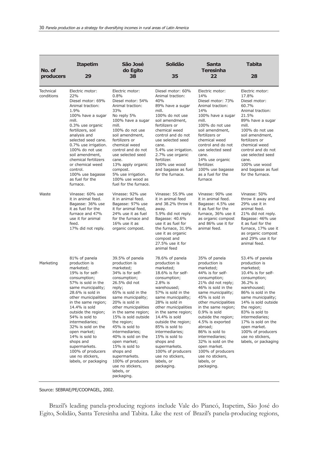| No. of<br>producers            | <b>Itapetim</b><br>29                                                                                                                                                                                                                                                                                                                                                                                                              | São José<br>do Egito<br>38                                                                                                                                                                                                                                                                                                                                                                                                                                      | Solidão<br>35                                                                                                                                                                                                                                                                                                                                                                                                                | Santa<br><b>Teresinha</b><br>22                                                                                                                                                                                                                                                                                                                                                                                                             | <b>Tabita</b><br>28                                                                                                                                                                                                                                                                                                                          |
|--------------------------------|------------------------------------------------------------------------------------------------------------------------------------------------------------------------------------------------------------------------------------------------------------------------------------------------------------------------------------------------------------------------------------------------------------------------------------|-----------------------------------------------------------------------------------------------------------------------------------------------------------------------------------------------------------------------------------------------------------------------------------------------------------------------------------------------------------------------------------------------------------------------------------------------------------------|------------------------------------------------------------------------------------------------------------------------------------------------------------------------------------------------------------------------------------------------------------------------------------------------------------------------------------------------------------------------------------------------------------------------------|---------------------------------------------------------------------------------------------------------------------------------------------------------------------------------------------------------------------------------------------------------------------------------------------------------------------------------------------------------------------------------------------------------------------------------------------|----------------------------------------------------------------------------------------------------------------------------------------------------------------------------------------------------------------------------------------------------------------------------------------------------------------------------------------------|
| <b>Technical</b><br>conditions | Electric motor:<br>22%<br>Diesel motor: 69%<br>Animal traction:<br>1.9%<br>100% have a sugar<br>mill.<br>0.3% use organic<br>fertilizers, soil<br>analysis and<br>selected seed cane.<br>0.7% use irrigation.<br>100% do not use<br>soil amendment,<br>chemical fertilizers<br>or chemical weed<br>control.<br>100% use bagasse<br>as fuel for the<br>furnace.                                                                     | Electric motor:<br>0.8%<br>Diesel motor: 54%<br>Animal traction:<br>33%<br>No reply 5%<br>100% have a sugar<br>mill.<br>100% do not use<br>soil amendment,<br>fertilizers or<br>chemical weed<br>control and do not<br>use selected seed<br>cane.<br>13% apply organic<br>compost.<br>5% use irrigation.<br>100% use wood as<br>fuel for the furnace.                                                                                                           | Diesel motor: 60%<br>Animal traction:<br>40%<br>89% have a sugar<br>mill.<br>100% do not use<br>soil amendment,<br>fertilizers or<br>chemical weed<br>control and do not<br>use selected seed<br>cane.<br>5.4% use irrigation.<br>2.7% use organic<br>fertilizer.<br>100% use wood<br>and bagasse as fuel<br>for the furnace.                                                                                                | Electric motor:<br>14%<br>Diesel motor: 73%<br>Animal traction:<br>14%<br>100% have a sugar<br>mill.<br>100% do not use<br>soil amendment.<br>fertilizers or<br>chemical weed<br>control and do not<br>use selected seed<br>cane.<br>14% use organic<br>fertilizer.<br>100% use bagasse<br>as a fuel for the<br>furnace                                                                                                                     | Electric motor:<br>17.8%<br>Diesel motor:<br>60.7%<br>Animal traction:<br>21.5%<br>89% have a sugar<br>mill.<br>100% do not use<br>soil amendment,<br>fertilizers or<br>chemical weed<br>control and do not<br>use selected seed<br>cane.<br>100% use wood<br>and bagasse as fuel<br>for the furnace.                                        |
| Waste                          | Vinasse: 60% use<br>it in animal feed.<br>Bagasse: 36% use<br>it as fuel for the<br>furnace and 47%<br>use it for animal<br>feed.<br>17% did not reply.                                                                                                                                                                                                                                                                            | Vinasse: 92% use<br>it in animal feed.<br>Bagasse: 97% use<br>it for animal feed,<br>24% use it as fuel<br>for the furnace and<br>$16\%$ use it as<br>organic compost.                                                                                                                                                                                                                                                                                          | Vinasse: 55.9% use<br>it in animal feed<br>and 38.2% throw it<br>away.<br>5.9% did not reply.<br>Bagasse: 40.6%<br>use it as fuel for<br>the furnace, 31.9%<br>use it as organic<br>compost and<br>27.5% use it for<br>animal feed                                                                                                                                                                                           | Vinasse: 90% use<br>it in animal feed.<br>Bagasse: 4.5% use<br>it as fuel for the<br>furnace, 36% use it<br>as organic compost<br>and 86% use it for<br>animal feed.                                                                                                                                                                                                                                                                        | Vinasse: 50%<br>throw it away and<br>29% use it in<br>animal feed.<br>21% did not reply.<br>Bagasse: 46% use<br>it as fuel for the<br>furnace, 17% use it<br>as organic compost<br>and 29% use it for<br>animal feed.                                                                                                                        |
| Marketing                      | 81% of panela<br>production is<br>marketed;<br>19% is for self-<br>consumption;<br>57% is sold in the<br>same municipality;<br>28.6% is sold in<br>other municipalities<br>in the same region;<br>14.4% is sold<br>outside the region;<br>54% is sold to<br>intermediaries;<br>32% is sold on the<br>open market;<br>14% is sold to<br>shops and<br>supermarkets.<br>100% of producers<br>use no stickers,<br>labels, or packaging | 39.5% of panela<br>production is<br>marketed;<br>34% is for self-<br>consumption;<br>26.5% did not<br>reply;<br>65% is sold in the<br>same municipality;<br>20% is sold in<br>other municipalities<br>in the same region;<br>15% is sold outside<br>the region;<br>45% is sold to<br>intermediaries;<br>40% is sold on the<br>open market;<br>15% is sold to<br>shops and<br>supermarkets.<br>100% of producers<br>use no stickers,<br>labels, or<br>packaging. | 78.6% of panela<br>production is<br>marketed;<br>18.6% is for self-<br>consumption;<br>2.8% is<br>warehoused;<br>57% is sold in the<br>same municipality;<br>28% is sold in<br>other municipalities<br>in the same region;<br>14.4% is sold<br>outside the region;<br>85% is sold to<br>intermediaries;<br>15% is sold to<br>shops and<br>supermarkets.<br>100% of producers<br>use no stickers,<br>labels, or<br>packaging. | 35% of panela<br>production is<br>marketed;<br>44% is for self-<br>consumption;<br>21% did not reply;<br>46% is sold in the<br>same municipality;<br>45% is sold in<br>other municipalities<br>in the same region;<br>$0.9\%$ is sold<br>outside the region;<br>4.5% is exported<br>abroad;<br>86% is sold to<br>intermediaries;<br>32% is sold on the<br>open market.<br>100% of producers<br>use no stickers,<br>labels, or<br>packaging. | 53.4% of panela<br>production is<br>marketed;<br>10.4% is for self-<br>consumption;<br>36.2% is<br>warehoused;<br>86% is sold in the<br>same municipality;<br>14% is sold outside<br>the region;<br>83% is sold to<br>intermediaries;<br>17% is sold on the<br>open market.<br>100% of producers<br>use no stickers,<br>labels, or packaging |

Source: SEBRAE/PE/COOPAGEL, 2002.

Brazil's leading panela-producing regions include Vale do Piancó, Itapetim, São José do Egito, Solidão, Santa Teresinha and Tabita. Like the rest of Brazil's panela-producing regions,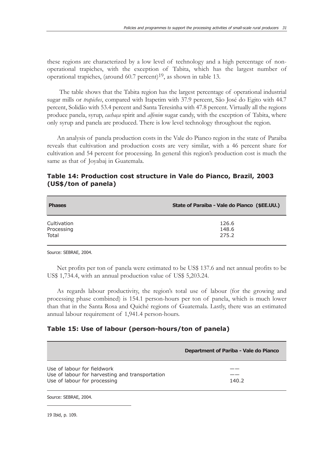these regions are characterized by a low level of technology and a high percentage of nonoperational trapiches, with the exception of Tabita, which has the largest number of operational trapiches, (around  $60.7$  percent)<sup>19</sup>, as shown in table 13.

The table shows that the Tabita region has the largest percentage of operational industrial sugar mills or *trapiches*, compared with Itapetim with 37.9 percent, São José do Egito with 44.7 percent, Solidão with 53.4 percent and Santa Teresinha with 47.8 percent. Virtually all the regions produce panela, syrup, *cachaça* spirit and *alfenim* sugar candy, with the exception of Tabita, where only syrup and panela are produced. There is low level technology throughout the region.

An analysis of panela production costs in the Vale do Pianco region in the state of Paraiba reveals that cultivation and production costs are very similar, with a 46 percent share for cultivation and 54 percent for processing. In general this region's production cost is much the same as that of Joyabaj in Guatemala.

## **Table 14: Production cost structure in Vale do Pianco, Brazil, 2003 (US\$/ton of panela)**

| <b>Phases</b> | State of Paraiba - Vale do Pianco (\$EE.UU.) |
|---------------|----------------------------------------------|
| Cultivation   | 126.6                                        |
| Processing    | 148.6                                        |
| Total         | 275.2                                        |

Source: SEBRAE, 2004.

Net profits per ton of panela were estimated to be US\$ 137.6 and net annual profits to be US\$ 1,734.4, with an annual production value of US\$ 5,203.24.

As regards labour productivity, the region's total use of labour (for the growing and processing phase combined) is 154.1 person-hours per ton of panela, which is much lower than that in the Santa Rosa and Quiché regions of Guatemala. Lastly, there was an estimated annual labour requirement of 1,941.4 person-hours.

#### **Table 15: Use of labour (person-hours/ton of panela)**

|                                                                                                                | Department of Pariba - Vale do Pianco |
|----------------------------------------------------------------------------------------------------------------|---------------------------------------|
| Use of labour for fieldwork<br>Use of labour for harvesting and transportation<br>Use of labour for processing | 140.2                                 |

Source: SEBRAE, 2004.

19 Ibid, p. 109.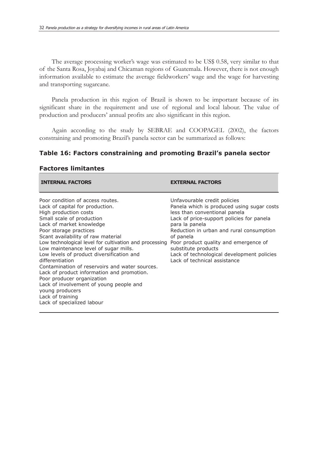The average processing worker's wage was estimated to be US\$ 0.58, very similar to that of the Santa Rosa, Joyabaj and Chicaman regions of Guatemala. However, there is not enough information available to estimate the average fieldworkers' wage and the wage for harvesting and transporting sugarcane.

Panela production in this region of Brazil is shown to be important because of its significant share in the requirement and use of regional and local labour. The value of production and producers' annual profits are also significant in this region.

Again according to the study by SEBRAE and COOPAGEL (2002), the factors constraining and promoting Brazil's panela sector can be summarized as follows:

### **Table 16: Factors constraining and promoting Brazil's panela sector**

| <b>INTERNAL FACTORS</b>                                                                                                                                                                                                                                                                                                                                                                                                                                                                                                                                                                                                                | <b>EXTERNAL FACTORS</b>                                                                                                                                                                                                                                                                                                                                                           |
|----------------------------------------------------------------------------------------------------------------------------------------------------------------------------------------------------------------------------------------------------------------------------------------------------------------------------------------------------------------------------------------------------------------------------------------------------------------------------------------------------------------------------------------------------------------------------------------------------------------------------------------|-----------------------------------------------------------------------------------------------------------------------------------------------------------------------------------------------------------------------------------------------------------------------------------------------------------------------------------------------------------------------------------|
| Poor condition of access routes.<br>Lack of capital for production.<br>High production costs<br>Small scale of production<br>Lack of market knowledge<br>Poor storage practices<br>Scant availability of raw material<br>Low technological level for cultivation and processing<br>Low maintenance level of sugar mills.<br>Low levels of product diversification and<br>differentiation<br>Contamination of reservoirs and water sources.<br>Lack of product information and promotion.<br>Poor producer organization<br>Lack of involvement of young people and<br>young producers<br>Lack of training<br>Lack of specialized labour | Unfavourable credit policies<br>Panela which is produced using sugar costs<br>less than conventional panela<br>Lack of price-support policies for panela<br>para la panela<br>Reduction in urban and rural consumption<br>of panela<br>Poor product quality and emergence of<br>substitute products<br>Lack of technological development policies<br>Lack of technical assistance |

#### **Factores limitantes**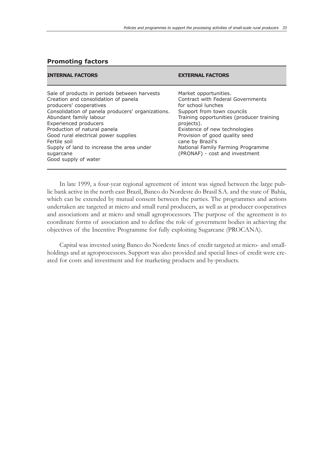#### **Promoting factors**

| <b>INTERNAL FACTORS</b>                                                                                                                                                                                                                                                                                                                                                                                  | <b>EXTERNAL FACTORS</b>                                                                                                                                                                                                                                                                                                                 |
|----------------------------------------------------------------------------------------------------------------------------------------------------------------------------------------------------------------------------------------------------------------------------------------------------------------------------------------------------------------------------------------------------------|-----------------------------------------------------------------------------------------------------------------------------------------------------------------------------------------------------------------------------------------------------------------------------------------------------------------------------------------|
| Sale of products in periods between harvests<br>Creation and consolidation of panela<br>producers' cooperatives<br>Consolidation of panela producers' organizations.<br>Abundant family labour<br><b>Experienced producers</b><br>Production of natural panela<br>Good rural electrical power supplies<br>Fertile soil<br>Supply of land to increase the area under<br>sugarcane<br>Good supply of water | Market opportunities.<br>Contract with Federal Governments<br>for school lunches<br>Support from town councils<br>Training opportunities (producer training<br>projects).<br>Existence of new technologies<br>Provision of good quality seed<br>cane by Brazil's<br>National Family Farming Programme<br>(PRONAF) - cost and investment |

In late 1999, a four-year regional agreement of intent was signed between the large public bank active in the north east Brazil, Banco do Nordeste do Brasil S.A. and the state of Bahía, which can be extended by mutual consent between the parties. The programmes and actions undertaken are targeted at micro and small rural producers, as well as at producer cooperatives and associations and at micro and small agroprocessors. The purpose of the agreement is to coordinate forms of association and to define the role of government bodies in achieving the objectives of the Incentive Programme for fully exploiting Sugarcane (PROCANA).

Capital was invested using Banco do Nordeste lines of credit targeted at micro- and smallholdings and at agroprocessors. Support was also provided and special lines of credit were created for costs and investment and for marketing products and by-products.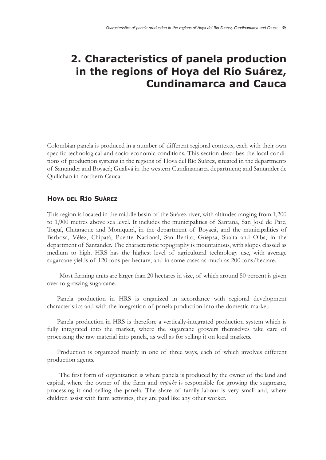# **2. Characteristics of panela production in the regions of Hoya del Río Suárez, Cundinamarca and Cauca**

Colombian panela is produced in a number of different regional contexts, each with their own specific technological and socio-economic conditions. This section describes the local conditions of production systems in the regions of Hoya del Río Suárez, situated in the departments of Santander and Boyacá; Gualivá in the western Cundinamarca department; and Santander de Quilichao in northern Cauca.

## **HOYA DEL RÍO SUÁREZ**

This region is located in the middle basin of the Suárez river, with altitudes ranging from 1,200 to 1,900 metres above sea level. It includes the municipalities of Santana, San José de Pare, Togüí, Chitaraque and Moniquirá, in the department of Boyacá, and the municipalities of Barbosa, Vélez, Chipatá, Puente Nacional, San Benito, Güepsa, Suaita and Oiba, in the department of Santander. The characteristic topography is mountainous, with slopes classed as medium to high. HRS has the highest level of agricultural technology use, with average sugarcane yields of 120 tons per hectare, and in some cases as much as 200 tons/hectare.

Most farming units are larger than 20 hectares in size, of which around 50 percent is given over to growing sugarcane.

Panela production in HRS is organized in accordance with regional development characteristics and with the integration of panela production into the domestic market.

Panela production in HRS is therefore a vertically-integrated production system which is fully integrated into the market, where the sugarcane growers themselves take care of processing the raw material into panela, as well as for selling it on local markets.

Production is organized mainly in one of three ways, each of which involves different production agents.

The first form of organization is where panela is produced by the owner of the land and capital, where the owner of the farm and *trapiche* is responsible for growing the sugarcane, processing it and selling the panela. The share of family labour is very small and, where children assist with farm activities, they are paid like any other worker.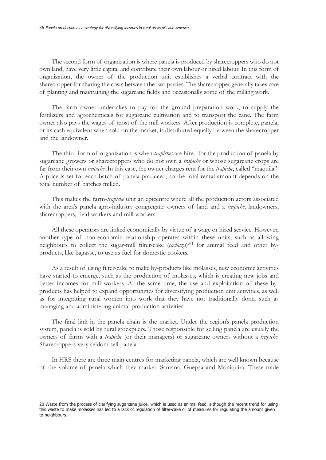The second form of organization is where panela is produced by sharecroppers who do not own land, have very little capital and contribute their own labour or hired labour. In this form of organization, the owner of the production unit establishes a verbal contract with the sharecropper for sharing the costs between the two parties. The sharecropper generally takes care of planting and maintaining the sugarcane fields and occasionally some of the milling work.

The farm owner undertakes to pay for the ground preparation work, to supply the fertilizers and agrochemicals for sugarcane cultivation and to transport the cane. The farm owner also pays the wages of most of the mill workers. After production is complete, panela, or its cash equivalent when sold on the market, is distributed equally between the sharecropper and the landowner.

The third form of organization is when *trapiches* are hired for the production of panela by sugarcane growers or sharecroppers who do not own a *trapiche* or whose sugarcane crops are far from their own *trapiche*. In this case, the owner charges rent for the *trapiche*, called "maquila". A price is set for each batch of panela produced, so the total rental amount depends on the total number of batches milled.

This makes the farm-*trapiche* unit an epicentre where all the production actors associated with the area's panela agro-industry congregate: owners of land and a *trapiche*, landowners, sharecroppers, field workers and mill workers.

All these operators are linked economically by virtue of a wage or hired service. However, another type of non-economic relationship operates within these units, such as allowing neighbours to collect the sugar-mill filter-cake (*cachaza*)<sup>20</sup> for animal feed and other byproducts, like bagasse, to use as fuel for domestic cookers.

As a result of using filter-cake to make by-products like molasses, new economic activities have started to emerge, such as the production of molasses, which is creating new jobs and better incomes for mill workers. At the same time, the use and exploitation of these byproducts has helped to expand opportunities for diversifying production unit activities, as well as for integrating rural women into work that they have not traditionally done, such as managing and administering animal production activities.

The final link in the panela chain is the market. Under the region's panela production system, panela is sold by rural stockpilers. Those responsible for selling panela are usually the owners of farms with a *trapiche* (or their managers) or sugarcane owners without a *trapiche*. Sharecroppers very seldom sell panela.

In HRS there are three main centres for marketing panela, which are well known because of the volume of panela which they market: Santana, Guepsa and Moniquirá. These trade

<sup>20</sup> Waste from the process of clarifying sugarcane juice, which is used as animal feed, although the recent trend for using this waste to make molasses has led to a lack of regulation of filter-cake or of measures for regulating the amount given to neighbours.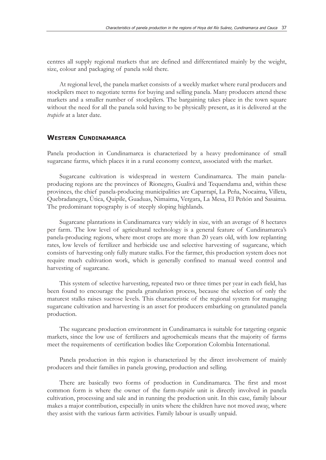centres all supply regional markets that are defined and differentiated mainly by the weight, size, colour and packaging of panela sold there.

At regional level, the panela market consists of a weekly market where rural producers and stockpilers meet to negotiate terms for buying and selling panela. Many producers attend these markets and a smaller number of stockpilers. The bargaining takes place in the town square without the need for all the panela sold having to be physically present, as it is delivered at the *trapiche* at a later date.

## **WESTERN CUNDINAMARCA**

Panela production in Cundinamarca is characterized by a heavy predominance of small sugarcane farms, which places it in a rural economy context, associated with the market.

Sugarcane cultivation is widespread in western Cundinamarca. The main panelaproducing regions are the provinces of Rionegro, Gualivá and Tequendama and, within these provinces, the chief panela-producing municipalities are Caparrapí, La Peña, Nocaima, Villeta, Quebradanegra, Útica, Quipile, Guaduas, Nimaima, Vergara, La Mesa, El Peñón and Sasaima. The predominant topography is of steeply sloping highlands.

Sugarcane plantations in Cundinamarca vary widely in size, with an average of 8 hectares per farm. The low level of agricultural technology is a general feature of Cundinamarca's panela-producing regions, where most crops are more than 20 years old, with low replanting rates, low levels of fertilizer and herbicide use and selective harvesting of sugarcane, which consists of harvesting only fully mature stalks. For the farmer, this production system does not require much cultivation work, which is generally confined to manual weed control and harvesting of sugarcane.

This system of selective harvesting, repeated two or three times per year in each field, has been found to encourage the panela granulation process, because the selection of only the maturest stalks raises sucrose levels. This characteristic of the regional system for managing sugarcane cultivation and harvesting is an asset for producers embarking on granulated panela production.

The sugarcane production environment in Cundinamarca is suitable for targeting organic markets, since the low use of fertilizers and agrochemicals means that the majority of farms meet the requirements of certification bodies like Corporation Colombia International.

Panela production in this region is characterized by the direct involvement of mainly producers and their families in panela growing, production and selling.

There are basically two forms of production in Cundinamarca. The first and most common form is where the owner of the farm-*trapiche* unit is directly involved in panela cultivation, processing and sale and in running the production unit. In this case, family labour makes a major contribution, especially in units where the children have not moved away, where they assist with the various farm activities. Family labour is usually unpaid.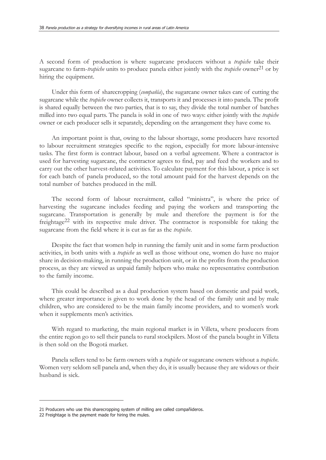A second form of production is where sugarcane producers without a *trapiche* take their sugarcane to farm-*trapiche* units to produce panela either jointly with the *trapiche* owner<sup>21</sup> or by hiring the equipment.

Under this form of sharecropping (*compañía*), the sugarcane owner takes care of cutting the sugarcane while the *trapiche* owner collects it, transports it and processes it into panela. The profit is shared equally between the two parties, that is to say, they divide the total number of batches milled into two equal parts. The panela is sold in one of two ways: either jointly with the *trapiche* owner or each producer sells it separately, depending on the arrangement they have come to.

An important point is that, owing to the labour shortage, some producers have resorted to labour recruitment strategies specific to the region, especially for more labour-intensive tasks. The first form is contract labour, based on a verbal agreement. Where a contractor is used for harvesting sugarcane, the contractor agrees to find, pay and feed the workers and to carry out the other harvest-related activities. To calculate payment for this labour, a price is set for each batch of panela produced, so the total amount paid for the harvest depends on the total number of batches produced in the mill.

The second form of labour recruitment, called "ministra", is where the price of harvesting the sugarcane includes feeding and paying the workers and transporting the sugarcane. Transportation is generally by mule and therefore the payment is for the freightage22 with its respective mule driver. The contractor is responsible for taking the sugarcane from the field where it is cut as far as the *trapiche*.

Despite the fact that women help in running the family unit and in some farm production activities, in both units with a *trapiche* as well as those without one, women do have no major share in decision-making, in running the production unit, or in the profits from the production process, as they are viewed as unpaid family helpers who make no representative contribution to the family income.

This could be described as a dual production system based on domestic and paid work, where greater importance is given to work done by the head of the family unit and by male children, who are considered to be the main family income providers, and to women's work when it supplements men's activities.

With regard to marketing, the main regional market is in Villeta, where producers from the entire region go to sell their panela to rural stockpilers. Most of the panela bought in Villeta is then sold on the Bogotá market.

Panela sellers tend to be farm owners with a *trapiche* or sugarcane owners without a *trapiche*. Women very seldom sell panela and, when they do, it is usually because they are widows or their husband is sick.

<sup>21</sup> Producers who use this sharecropping system of milling are called compañideros.

<sup>22</sup> Freightage is the payment made for hiring the mules.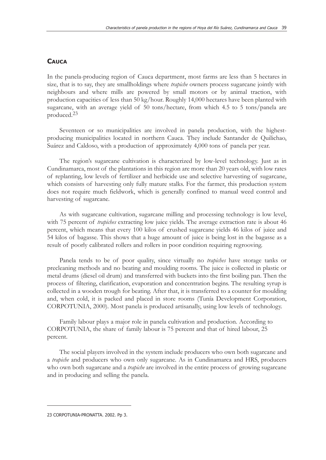#### **CAUCA**

In the panela-producing region of Cauca department, most farms are less than 5 hectares in size, that is to say, they are smallholdings where *trapiche* owners process sugarcane jointly with neighbours and where mills are powered by small motors or by animal traction, with production capacities of less than 50 kg/hour. Roughly 14,000 hectares have been planted with sugarcane, with an average yield of 50 tons/hectare, from which 4.5 to 5 tons/panela are produced.23

Seventeen or so municipalities are involved in panela production, with the highestproducing municipalities located in northern Cauca. They include Santander de Quilichao, Suárez and Caldoso, with a production of approximately 4,000 tons of panela per year.

The region's sugarcane cultivation is characterized by low-level technology. Just as in Cundinamarca, most of the plantations in this region are more than 20 years old, with low rates of replanting, low levels of fertilizer and herbicide use and selective harvesting of sugarcane, which consists of harvesting only fully mature stalks. For the farmer, this production system does not require much fieldwork, which is generally confined to manual weed control and harvesting of sugarcane.

As with sugarcane cultivation, sugarcane milling and processing technology is low level, with 75 percent of *trapiches* extracting low juice yields. The average extraction rate is about 46 percent, which means that every 100 kilos of crushed sugarcane yields 46 kilos of juice and 54 kilos of bagasse. This shows that a huge amount of juice is being lost in the bagasse as a result of poorly calibrated rollers and rollers in poor condition requiring regrooving.

Panela tends to be of poor quality, since virtually no *trapiches* have storage tanks or precleaning methods and no beating and moulding rooms. The juice is collected in plastic or metal drums (diesel oil drum) and transferred with buckets into the first boiling pan. Then the process of filtering, clarification, evaporation and concentration begins. The resulting syrup is collected in a wooden trough for beating. After that, it is transferred to a counter for moulding and, when cold, it is packed and placed in store rooms (Tunía Development Corporation, CORPOTUNIA, 2000). Most panela is produced artisanally, using low levels of technology.

Family labour plays a major role in panela cultivation and production. According to CORPOTUNIA, the share of family labour is 75 percent and that of hired labour, 25 percent.

The social players involved in the system include producers who own both sugarcane and a *trapiche* and producers who own only sugarcane. As in Cundinamarca and HRS, producers who own both sugarcane and a *trapiche* are involved in the entire process of growing sugarcane and in producing and selling the panela.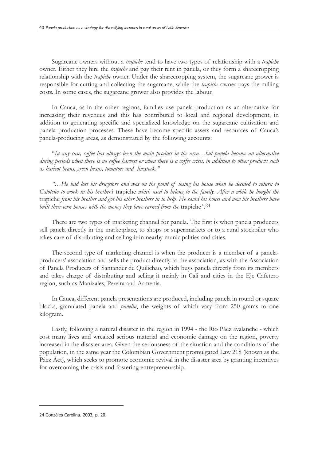Sugarcane owners without a *trapiche* tend to have two types of relationship with a *trapiche* owner. Either they hire the *trapiche* and pay their rent in panela, or they form a sharecropping relationship with the *trapiche* owner. Under the sharecropping system, the sugarcane grower is responsible for cutting and collecting the sugarcane, while the *trapiche* owner pays the milling costs. In some cases, the sugarcane grower also provides the labour.

In Cauca, as in the other regions, families use panela production as an alternative for increasing their revenues and this has contributed to local and regional development, in addition to generating specific and specialized knowledge on the sugarcane cultivation and panela production processes. These have become specific assets and resources of Cauca's panela-producing areas, as demonstrated by the following accounts:

"*In any case, coffee has always been the main product in the area…but panela became an alternative during periods when there is no coffee harvest or when there is a coffee crisis, in addition to other products such as haricot beans, green beans, tomatoes and livestock."*

*"…He had lost his drugstore and was on the point of losing his house when he decided to return to Caloteño to work in his brother's* trapiche *which used to belong to the family. After a while he bought the* trapiche *from his brother and got his other brothers in to help. He saved his house and now his brothers have built their own houses with the money they have earned from the* trapiche*".*24

There are two types of marketing channel for panela. The first is when panela producers sell panela directly in the marketplace, to shops or supermarkets or to a rural stockpiler who takes care of distributing and selling it in nearby municipalities and cities.

The second type of marketing channel is when the producer is a member of a panelaproducers' association and sells the product directly to the association, as with the Association of Panela Producers of Santander de Quilichao, which buys panela directly from its members and takes charge of distributing and selling it mainly in Cali and cities in the Eje Cafetero region, such as Manizales, Pereira and Armenia.

In Cauca, different panela presentations are produced, including panela in round or square blocks, granulated panela and *panelin*, the weights of which vary from 250 grams to one kilogram.

Lastly, following a natural disaster in the region in 1994 - the Río Páez avalanche - which cost many lives and wreaked serious material and economic damage on the region, poverty increased in the disaster area. Given the seriousness of the situation and the conditions of the population, in the same year the Colombian Government promulgated Law 218 (known as the Páez Act), which seeks to promote economic revival in the disaster area by granting incentives for overcoming the crisis and fostering entrepreneurship.

<sup>24</sup> Gonzáles Carolina. 2003, p. 20.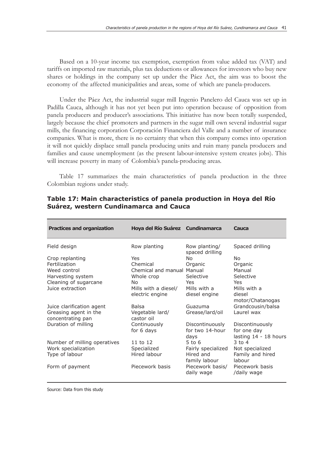Based on a 10-year income tax exemption, exemption from value added tax (VAT) and tariffs on imported raw materials, plus tax deductions or allowances for investors who buy new shares or holdings in the company set up under the Páez Act, the aim was to boost the economy of the affected municipalities and areas, some of which are panela-producers.

Under the Páez Act, the industrial sugar mill Ingenio Panelero del Cauca was set up in Padilla Cauca, although it has not yet been put into operation because of opposition from panela producers and producer's associations. This initiative has now been totally suspended, largely because the chief promoters and partners in the sugar mill own several industrial sugar mills, the financing corporation Corporación Financiera del Valle and a number of insurance companies. What is more, there is no certainty that when this company comes into operation it will not quickly displace small panela producing units and ruin many panela producers and families and cause unemployment (as the present labour-intensive system creates jobs). This will increase poverty in many of Colombia's panela-producing areas.

Table 17 summarizes the main characteristics of panela production in the three Colombian regions under study.

| <b>Practices and organization</b>          | Hoya del Río Suárez Cundinamarca |                                    | Cauca                          |
|--------------------------------------------|----------------------------------|------------------------------------|--------------------------------|
| Field design                               | Row planting                     | Row planting/<br>spaced drilling   | Spaced drilling                |
| Crop replanting                            | Yes                              | No.                                | No                             |
| Fertilization                              | Chemical                         | Organic                            | Organic                        |
| Weed control                               | Chemical and manual Manual       |                                    | Manual                         |
| Harvesting system                          | Whole crop                       | Selective                          | Selective                      |
| Cleaning of sugarcane                      | No.                              | Yes.                               | Yes                            |
| Juice extraction                           | Mills with a diesel/             | Mills with a                       | Mills with a                   |
|                                            | electric engine                  | diesel engine                      | diesel<br>motor/Chatanogas     |
| Juice clarification agent                  | <b>Balsa</b>                     | Guazuma                            | Grandcousin/balsa              |
| Greasing agent in the<br>concentrating pan | Vegetable lard/<br>castor oil    | Grease/lard/oil                    | Laurel wax                     |
| Duration of milling                        | Continuously<br>for 6 days       | Discontinuously<br>for two 14-hour | Discontinuously<br>for one day |
|                                            |                                  | days                               | lasting 14 - 18 hours          |
| Number of milling operatives               | 11 to 12                         | $5$ to 6                           | $3$ to $4$                     |
| Work specialization                        | Specialized                      | Fairly specialized                 | Not specialized                |
| Type of labour                             | Hired labour                     | Hired and<br>family labour         | Family and hired<br>labour     |
| Form of payment                            | Piecework basis                  | Piecework basis/<br>daily wage     | Piecework basis<br>/daily wage |

## **Table 17: Main characteristics of panela production in Hoya del Río Suárez, western Cundinamarca and Cauca**

Source: Data from this study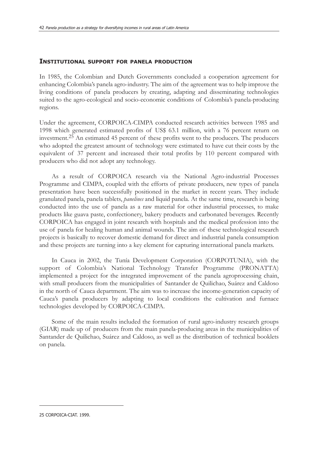#### **INSTITUTIONAL SUPPORT FOR PANELA PRODUCTION**

In 1985, the Colombian and Dutch Governments concluded a cooperation agreement for enhancing Colombia's panela agro-industry. The aim of the agreement was to help improve the living conditions of panela producers by creating, adapting and disseminating technologies suited to the agro-ecological and socio-economic conditions of Colombia's panela-producing regions.

Under the agreement, CORPOICA-CIMPA conducted research activities between 1985 and 1998 which generated estimated profits of US\$ 63.1 million, with a 76 percent return on investment.25 An estimated 45 percent of these profits went to the producers. The producers who adopted the greatest amount of technology were estimated to have cut their costs by the equivalent of 37 percent and increased their total profits by 110 percent compared with producers who did not adopt any technology.

As a result of CORPOICA research via the National Agro-industrial Processes Programme and CIMPA, coupled with the efforts of private producers, new types of panela presentation have been successfully positioned in the market in recent years. They include granulated panela, panela tablets, *panelines* and liquid panela. At the same time, research is being conducted into the use of panela as a raw material for other industrial processes, to make products like guava paste, confectionery, bakery products and carbonated beverages. Recently CORPOICA has engaged in joint research with hospitals and the medical profession into the use of panela for healing human and animal wounds. The aim of these technological research projects is basically to recover domestic demand for direct and industrial panela consumption and these projects are turning into a key element for capturing international panela markets.

In Cauca in 2002, the Tunía Development Corporation (CORPOTUNIA), with the support of Colombia's National Technology Transfer Programme (PRONATTA) implemented a project for the integrated improvement of the panela agroprocessing chain, with small producers from the municipalities of Santander de Quilichao, Suárez and Caldoso in the north of Cauca department. The aim was to increase the income-generation capacity of Cauca's panela producers by adapting to local conditions the cultivation and furnace technologies developed by CORPOICA-CIMPA.

Some of the main results included the formation of rural agro-industry research groups (GIAR) made up of producers from the main panela-producing areas in the municipalities of Santander de Quilichao, Suárez and Caldoso, as well as the distribution of technical booklets on panela.

<sup>25</sup> CORPOICA-CIAT. 1999.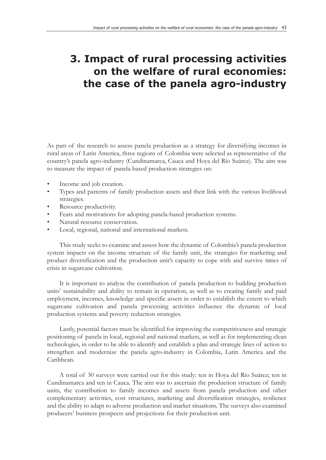# **3. Impact of rural processing activities on the welfare of rural economies: the case of the panela agro-industry**

As part of the research to assess panela production as a strategy for diversifying incomes in rural areas of Latin America, three regions of Colombia were selected as representative of the country's panela agro-industry (Cundinamarca, Cauca and Hoya del Río Suárez). The aim was to measure the impact of panela-based production strategies on:

- Income and job creation.
- Types and patterns of family production assets and their link with the various livelihood strategies.
- Resource productivity.
- Fears and motivations for adopting panela-based production systems.
- Natural resource conservation.
- Local, regional, national and international markets.

This study seeks to examine and assess how the dynamic of Colombia's panela production system impacts on the income structure of the family unit, the strategies for marketing and product diversification and the production unit's capacity to cope with and survive times of crisis in sugarcane cultivation.

It is important to analyse the contribution of panela production to building production units' sustainability and ability to remain in operation, as well as to creating family and paid employment, incomes, knowledge and specific assets in order to establish the extent to which sugarcane cultivation and panela processing activities influence the dynamic of local production systems and poverty reduction strategies.

Lastly, potential factors must be identified for improving the competitiveness and strategic positioning of panela in local, regional and national markets, as well as for implementing clean technologies, in order to be able to identify and establish a plan and strategic lines of action to strengthen and modernize the panela agro-industry in Colombia, Latin America and the Caribbean.

A total of 30 surveys were carried out for this study: ten in Hoya del Río Suárez; ten in Cundinamarca and ten in Cauca. The aim was to ascertain the production structure of family units, the contribution to family incomes and assets from panela production and other complementary activities, cost structures, marketing and diversification strategies, resilience and the ability to adapt to adverse production and market situations. The surveys also examined producers' business prospects and projections for their production unit.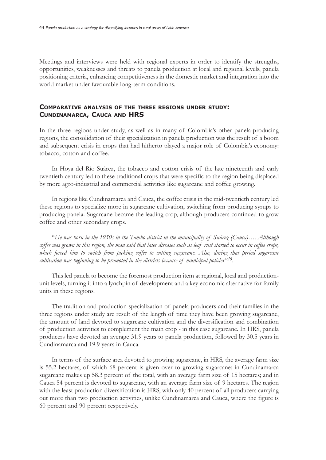Meetings and interviews were held with regional experts in order to identify the strengths, opportunities, weaknesses and threats to panela production at local and regional levels, panela positioning criteria, enhancing competitiveness in the domestic market and integration into the world market under favourable long-term conditions.

## **COMPARATIVE ANALYSIS OF THE THREE REGIONS UNDER STUDY: CUNDINAMARCA, CAUCA AND HRS**

In the three regions under study, as well as in many of Colombia's other panela-producing regions, the consolidation of their specialization in panela production was the result of a boom and subsequent crisis in crops that had hitherto played a major role of Colombia's economy: tobacco, cotton and coffee.

In Hoya del Río Suárez, the tobacco and cotton crisis of the late nineteenth and early twentieth century led to these traditional crops that were specific to the region being displaced by more agro-industrial and commercial activities like sugarcane and coffee growing.

In regions like Cundinamarca and Cauca, the coffee crisis in the mid-twentieth century led these regions to specialize more in sugarcane cultivation, switching from producing syrups to producing panela. Sugarcane became the leading crop, although producers continued to grow coffee and other secondary crops.

"*He was born in the 1950s in the Tambo district in the municipality of Suárez (Cauca)…. Although coffee was grown in this region, the man said that later diseases such as leaf rust started to occur in coffee crops, which forced him to switch from picking coffee to cutting sugarcane. Also, during that period sugarcane cultivation was beginning to be promoted in the districts because of municipal policies"26.*

This led panela to become the foremost production item at regional, local and productionunit levels, turning it into a lynchpin of development and a key economic alternative for family units in these regions.

The tradition and production specialization of panela producers and their families in the three regions under study are result of the length of time they have been growing sugarcane, the amount of land devoted to sugarcane cultivation and the diversification and combination of production activities to complement the main crop - in this case sugarcane. In HRS, panela producers have devoted an average 31.9 years to panela production, followed by 30.5 years in Cundinamarca and 19.9 years in Cauca.

In terms of the surface area devoted to growing sugarcane, in HRS, the average farm size is 55.2 hectares, of which 68 percent is given over to growing sugarcane; in Cundinamarca sugarcane makes up 58.3 percent of the total, with an average farm size of 15 hectares; and in Cauca 54 percent is devoted to sugarcane, with an average farm size of 9 hectares. The region with the least production diversification is HRS, with only 40 percent of all producers carrying out more than two production activities, unlike Cundinamarca and Cauca, where the figure is 60 percent and 90 percent respectively.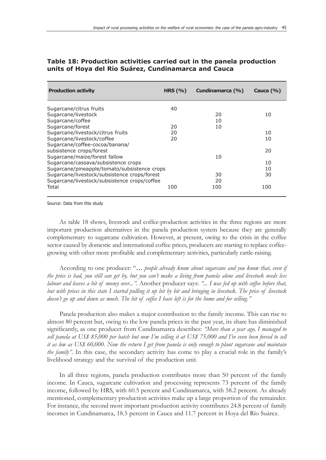| <b>Production activity</b>                   | HRS $(\%)$ | Cundinamarca (%) | Cauca $(\% )$ |
|----------------------------------------------|------------|------------------|---------------|
| Sugarcane/citrus fruits                      | 40         |                  |               |
| Sugarcane/livestock                          |            | 20               | 10            |
| Sugarcane/coffee                             |            | 10               |               |
| Sugarcane/forest                             | 20         | 10               |               |
| Sugarcane/livestock/citrus fruits            | 20         |                  | 10            |
| Sugarcane/livestock/coffee                   | 20         |                  | 10            |
| Sugarcane/coffee-cocoa/banana/               |            |                  |               |
| subsistence crops/forest                     |            |                  | 20            |
| Sugarcane/maize/forest fallow                |            | 10               |               |
| Sugarcane/cassava/subsistence crops          |            |                  | 10            |
| Sugarcane/pineapple/tomato/subsistence crops |            |                  | 10            |
| Sugarcane/livestock/subsistence crops/forest |            | 30               | 30            |
| Sugarcane/livestock/subsistence crops/coffee |            | 20               |               |
| Total                                        | 100        | 100              | 100           |

## **Table 18: Production activities carried out in the panela production units of Hoya del Río Suárez, Cundinamarca and Cauca**

Source: Data from this study

As table 18 shows, livestock and coffee-production activities in the three regions are more important production alternatives in the panela production system because they are generally complementary to sugarcane cultivation. However, at present, owing to the crisis in the coffee sector caused by domestic and international coffee prices, producers are starting to replace coffeegrowing with other more profitable and complementary activities, particularly cattle-raising.

According to one producer: "*… people already know about sugarcane and you know that, even if the price is bad, you still can get by, but you can't make a living from panela alone and livestock needs less labour and leaves a bit of money over..."*. Another producer says: *"... I was fed up with coffee before that, but with prices in this state I started pulling it up bit by bit and bringing in livestock. The price of livestock doesn't go up and down as much. The bit of coffee I have left is for the home and for selling."*

Panela production also makes a major contribution to the family income. This can rise to almost 80 percent but, owing to the low panela prices in the past year, its share has diminished significantly, as one producer from Cundinamarca describes: *"More than a year ago, I managed to sell panela at US\$ 85,000 per batch but now I'm selling it at US\$ 75,000 and I've even been forced to sell it as low as US\$ 60,000. Now the return I get from panela is only enough to plant sugarcane and maintain the family*". In this case, the secondary activity has come to play a crucial role in the family's livelihood strategy and the survival of the production unit.

In all three regions, panela production contributes more than 50 percent of the family income. In Cauca, sugarcane cultivation and processing represents 73 percent of the family income, followed by HRS, with 60.5 percent and Cundinamarca, with 58.2 percent. As already mentioned, complementary production activities make up a large proportion of the remainder. For instance, the second most important production activity contributes 24.8 percent of family incomes in Cundinamarca, 18.5 percent in Cauca and 11.7 percent in Hoya del Río Suárez.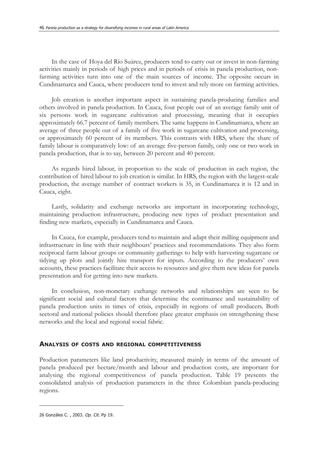In the case of Hoya del Río Suárez, producers tend to carry out or invest in non-farming activities mainly in periods of high prices and in periods of crisis in panela production, nonfarming activities turn into one of the main sources of income. The opposite occurs in Cundinamarca and Cauca, where producers tend to invest and rely more on farming activities.

Job creation is another important aspect in sustaining panela-producing families and others involved in panela production. In Cauca, four people out of an average family unit of six persons work in sugarcane cultivation and processing, meaning that it occupies approximately 66.7 percent of family members. The same happens in Cundinamarca, where an average of three people out of a family of five work in sugarcane cultivation and processing, or approximately 60 percent of its members. This contrasts with HRS, where the share of family labour is comparatively low: of an average five-person family, only one or two work in panela production, that is to say, between 20 percent and 40 percent.

As regards hired labour, in proportion to the scale of production in each region, the contribution of hired labour to job creation is similar. In HRS, the region with the largest-scale production, the average number of contract workers is 35, in Cundinamarca it is 12 and in Cauca, eight.

Lastly, solidarity and exchange networks are important in incorporating technology, maintaining production infrastructure, producing new types of product presentation and finding new markets, especially in Cundinamarca and Cauca.

In Cauca, for example, producers tend to maintain and adapt their milling equipment and infrastructure in line with their neighbours' practices and recommendations. They also form reciprocal farm labour groups or community gatherings to help with harvesting sugarcane or tidying up plots and jointly hire transport for inputs. According to the producers' own accounts, these practices facilitate their access to resources and give them new ideas for panela presentation and for getting into new markets.

In conclusion, non-monetary exchange networks and relationships are seen to be significant social and cultural factors that determine the continuance and sustainability of panela production units in times of crisis, especially in regions of small producers. Both sectoral and national policies should therefore place greater emphasis on strengthening these networks and the local and regional social fabric.

#### **ANALYSIS OF COSTS AND REGIONAL COMPETITIVENESS**

Production parameters like land productivity, measured mainly in terms of the amount of panela produced per hectare/month and labour and production costs, are important for analysing the regional competitiveness of panela production. Table 19 presents the consolidated analysis of production parameters in the three Colombian panela-producing regions.

<sup>26</sup> Gonzáles C. , 2003. Op. Cit. Pp 19.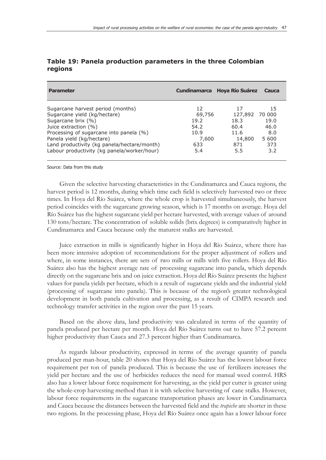| <b>Parameter</b>                            | Cundinamarca Hoya Río Suárez |         | Cauca  |
|---------------------------------------------|------------------------------|---------|--------|
| Sugarcane harvest period (months)           | 12                           | 17      | 15     |
| Sugarcane yield (kg/hectare)                | 69,756                       | 127,892 | 70 000 |
| Sugarcane brix (%)                          | 19.2                         | 18.3    | 19.0   |
| Juice extraction (%)                        | 54.2                         | 60.4    | 46.0   |
| Processing of sugarcane into panela (%)     | 10.9                         | 11.6    | 8.0    |
| Panela yield (kg/hectare)                   | 7,600                        | 14,800  | 5 600  |
| Land productivity (kg panela/hectare/month) | 633                          | 871     | 373    |
| Labour productivity (kg panela/worker/hour) | 5.4                          | 5.5     | 3.2    |

| Table 19: Panela production parameters in the three Colombian |  |  |  |
|---------------------------------------------------------------|--|--|--|
| regions                                                       |  |  |  |

Source: Data from this study

Given the selective harvesting characteristics in the Cundinamarca and Cauca regions, the harvest period is 12 months, during which time each field is selectively harvested two or three times. In Hoya del Río Suárez, where the whole crop is harvested simultaneously, the harvest period coincides with the sugarcane growing season, which is 17 months on average. Hoya del Río Suárez has the highest sugarcane yield per hectare harvested, with average values of around 130 tons/hectare. The concentration of soluble solids (brix degrees) is comparatively higher in Cundinamarca and Cauca because only the maturest stalks are harvested.

Juice extraction in mills is significantly higher in Hoya del Río Suárez, where there has been more intensive adoption of recommendations for the proper adjustment of rollers and where, in some instances, there are sets of two mills or mills with five rollers. Hoya del Río Suárez also has the highest average rate of processing sugarcane into panela, which depends directly on the sugarcane brix and on juice extraction. Hoya del Río Suárez presents the highest values for panela yields per hectare, which is a result of sugarcane yields and the industrial yield (processing of sugarcane into panela). This is because of the region's greater technological development in both panela cultivation and processing, as a result of CIMPA research and technology transfer activities in the region over the past 15 years.

Based on the above data, land productivity was calculated in terms of the quantity of panela produced per hectare per month. Hoya del Río Suárez turns out to have 57.2 percent higher productivity than Cauca and 27.3 percent higher than Cundinamarca.

As regards labour productivity, expressed in terms of the average quantity of panela produced per man-hour, table 20 shows that Hoya del Río Suárez has the lowest labour force requirement per ton of panela produced. This is because the use of fertilizers increases the yield per hectare and the use of herbicides reduces the need for manual weed control. HRS also has a lower labour force requirement for harvesting, as the yield per cutter is greater using the whole-crop harvesting method than it is with selective harvesting of cane stalks. However, labour force requirements in the sugarcane transportation phases are lower in Cundinamarca and Cauca because the distances between the harvested field and the *trapiche* are shorter in these two regions. In the processing phase, Hoya del Río Suárez once again has a lower labour force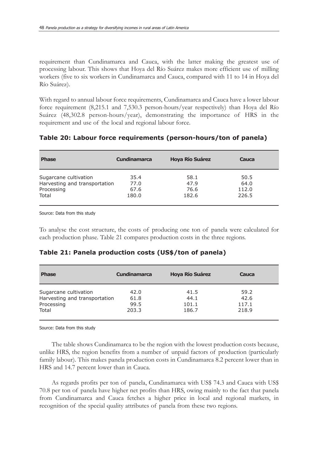requirement than Cundinamarca and Cauca, with the latter making the greatest use of processing labour. This shows that Hoya del Río Suárez makes more efficient use of milling workers (five to six workers in Cundinamarca and Cauca, compared with 11 to 14 in Hoya del Río Suárez).

With regard to annual labour force requirements, Cundinamarca and Cauca have a lower labour force requirement (8,215.1 and 7,530.3 person-hours/year respectively) than Hoya del Río Suárez (48,302.8 person-hours/year), demonstrating the importance of HRS in the requirement and use of the local and regional labour force.

| <b>Phase</b>                  | <b>Cundinamarca</b> | <b>Hoya Río Suárez</b> | Cauca |
|-------------------------------|---------------------|------------------------|-------|
| Sugarcane cultivation         | 35.4                | 58.1                   | 50.5  |
| Harvesting and transportation | 77.0                | 47.9                   | 64.0  |
| Processing                    | 67.6                | 76.6                   | 112.0 |
| Total                         | 180.0               | 182.6                  | 226.5 |

### **Table 20: Labour force requirements (person-hours/ton of panela)**

Source: Data from this study

To analyse the cost structure, the costs of producing one ton of panela were calculated for each production phase. Table 21 compares production costs in the three regions.

|  |  | Table 21: Panela production costs (US\$/ton of panela) |  |  |  |  |
|--|--|--------------------------------------------------------|--|--|--|--|
|--|--|--------------------------------------------------------|--|--|--|--|

| <b>Phase</b>                  | <b>Cundinamarca</b> | <b>Hoya Río Suárez</b> | Cauca |  |
|-------------------------------|---------------------|------------------------|-------|--|
| Sugarcane cultivation         | 42.0                | 41.5                   | 59.2  |  |
| Harvesting and transportation | 61.8                | 44.1                   | 42.6  |  |
| Processing                    | 99.5                | 101.1                  | 117.1 |  |
| Total                         | 203.3               | 186.7                  | 218.9 |  |

Source: Data from this study

The table shows Cundinamarca to be the region with the lowest production costs because, unlike HRS, the region benefits from a number of unpaid factors of production (particularly family labour). This makes panela production costs in Cundinamarca 8.2 percent lower than in HRS and 14.7 percent lower than in Cauca.

As regards profits per ton of panela, Cundinamarca with US\$ 74.3 and Cauca with US\$ 70.8 per ton of panela have higher net profits than HRS, owing mainly to the fact that panela from Cundinamarca and Cauca fetches a higher price in local and regional markets, in recognition of the special quality attributes of panela from these two regions.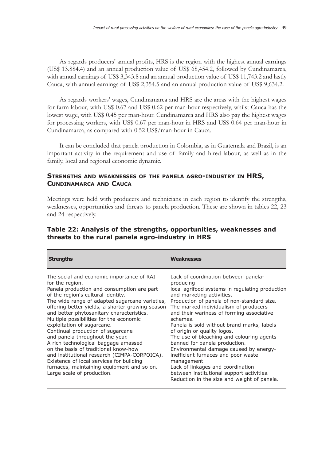As regards producers' annual profits, HRS is the region with the highest annual earnings (US\$ 13.884.4) and an annual production value of US\$ 68,454.2, followed by Cundinamarca, with annual earnings of US\$ 3,343.8 and an annual production value of US\$ 11,743.2 and lastly Cauca, with annual earnings of US\$ 2,354.5 and an annual production value of US\$ 9,634.2.

As regards workers' wages, Cundinamarca and HRS are the areas with the highest wages for farm labour, with US\$ 0.67 and US\$ 0.62 per man-hour respectively, whilst Cauca has the lowest wage, with US\$ 0.45 per man-hour. Cundinamarca and HRS also pay the highest wages for processing workers, with US\$ 0.67 per man-hour in HRS and US\$ 0.64 per man-hour in Cundinamarca, as compared with 0.52 US\$/man-hour in Cauca.

It can be concluded that panela production in Colombia, as in Guatemala and Brazil, is an important activity in the requirement and use of family and hired labour, as well as in the family, local and regional economic dynamic.

## **STRENGTHS AND WEAKNESSES OF THE PANELA AGRO-INDUSTRY IN HRS, CUNDINAMARCA AND CAUCA**

Meetings were held with producers and technicians in each region to identify the strengths, weaknesses, opportunities and threats to panela production. These are shown in tables 22, 23 and 24 respectively.

## **Table 22: Analysis of the strengths, opportunities, weaknesses and threats to the rural panela agro-industry in HRS**

| <b>Strengths</b>                                                                                                                                                                                                                                                                                                                                                                                                                                                                                                                                                                                                                                                                                             | <b>Weaknesses</b>                                                                                                                                                                                                                                                                                                                                                                                                                                                                                                                                                                                                                                                             |
|--------------------------------------------------------------------------------------------------------------------------------------------------------------------------------------------------------------------------------------------------------------------------------------------------------------------------------------------------------------------------------------------------------------------------------------------------------------------------------------------------------------------------------------------------------------------------------------------------------------------------------------------------------------------------------------------------------------|-------------------------------------------------------------------------------------------------------------------------------------------------------------------------------------------------------------------------------------------------------------------------------------------------------------------------------------------------------------------------------------------------------------------------------------------------------------------------------------------------------------------------------------------------------------------------------------------------------------------------------------------------------------------------------|
| The social and economic importance of RAI<br>for the region.<br>Panela production and consumption are part<br>of the region's cultural identity.<br>The wide range of adapted sugarcane varieties,<br>offering better yields, a shorter growing season<br>and better phytosanitary characteristics.<br>Multiple possibilities for the economic<br>exploitation of sugarcane.<br>Continual production of sugarcane<br>and panela throughout the year.<br>A rich technological baggage amassed<br>on the basis of traditional know-how<br>and institutional research (CIMPA-CORPOICA).<br>Existence of local services for building<br>furnaces, maintaining equipment and so on.<br>Large scale of production. | Lack of coordination between panela-<br>producing<br>local agrifood systems in regulating production<br>and marketing activities.<br>Production of panela of non-standard size.<br>The marked individualism of producers<br>and their wariness of forming associative<br>schemes.<br>Panela is sold without brand marks, labels<br>of origin or quality logos.<br>The use of bleaching and colouring agents<br>banned for panela production.<br>Environmental damage caused by energy-<br>inefficient furnaces and poor waste<br>management.<br>Lack of linkages and coordination<br>between institutional support activities.<br>Reduction in the size and weight of panela. |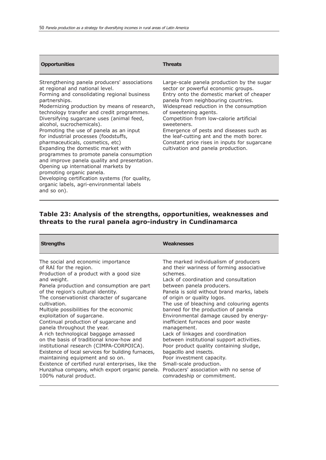| <b>Opportunities</b>                                                                                                                                                                                                                                                                                                                                                                                                                                                                                                                                                                                                                                                                                                                                                | Threats                                                                                                                                                                                                                                                                                                                                                                                                                                                                          |
|---------------------------------------------------------------------------------------------------------------------------------------------------------------------------------------------------------------------------------------------------------------------------------------------------------------------------------------------------------------------------------------------------------------------------------------------------------------------------------------------------------------------------------------------------------------------------------------------------------------------------------------------------------------------------------------------------------------------------------------------------------------------|----------------------------------------------------------------------------------------------------------------------------------------------------------------------------------------------------------------------------------------------------------------------------------------------------------------------------------------------------------------------------------------------------------------------------------------------------------------------------------|
| Strengthening panela producers' associations<br>at regional and national level.<br>Forming and consolidating regional business<br>partnerships.<br>Modernizing production by means of research,<br>technology transfer and credit programmes.<br>Diversifying sugarcane uses (animal feed,<br>alcohol, sucrochemicals).<br>Promoting the use of panela as an input<br>for industrial processes (foodstuffs,<br>pharmaceuticals, cosmetics, etc)<br>Expanding the domestic market with<br>programmes to promote panela consumption<br>and improve panela quality and presentation.<br>Opening up international markets by<br>promoting organic panela.<br>Developing certification systems (for quality,<br>organic labels, agri-environmental labels<br>and so on). | Large-scale panela production by the sugar<br>sector or powerful economic groups.<br>Entry onto the domestic market of cheaper<br>panela from neighbouring countries.<br>Widespread reduction in the consumption<br>of sweetening agents.<br>Competition from low-calorie artificial<br>sweeteners.<br>Emergence of pests and diseases such as<br>the leaf-cutting ant and the moth borer.<br>Constant price rises in inputs for sugarcane<br>cultivation and panela production. |

# **Table 23: Analysis of the strengths, opportunities, weaknesses and threats to the rural panela agro-industry in Cundinamarca**

| <b>Strengths</b>                                   | <b>Weaknesses</b>                          |
|----------------------------------------------------|--------------------------------------------|
| The social and economic importance                 | The marked individualism of producers      |
| of RAI for the region.                             | and their wariness of forming associative  |
| Production of a product with a good size           | schemes.                                   |
| and weight.                                        | Lack of coordination and consultation      |
| Panela production and consumption are part         | between panela producers.                  |
| of the region's cultural identity.                 | Panela is sold without brand marks, labels |
| The conservationist character of sugarcane         | of origin or quality logos.                |
| cultivation.                                       | The use of bleaching and colouring agents  |
| Multiple possibilities for the economic            | banned for the production of panela        |
| exploitation of sugarcane.                         | Environmental damage caused by energy-     |
| Continual production of sugarcane and              | inefficient furnaces and poor waste        |
| panela throughout the year.                        | management.                                |
| A rich technological baggage amassed               | Lack of linkages and coordination          |
| on the basis of traditional know-how and           | between institutional support activities.  |
| institutional research (CIMPA-CORPOICA).           | Poor product quality containing sludge,    |
| Existence of local services for building furnaces, | bagacillo and insects.                     |
| maintaining equipment and so on.                   | Poor investment capacity.                  |
| Existence of certified rural enterprises, like the | Small-scale production.                    |
| Hunzahua company, which export organic panela.     | Producers' association with no sense of    |
| 100% natural product.                              | comradeship or commitment.                 |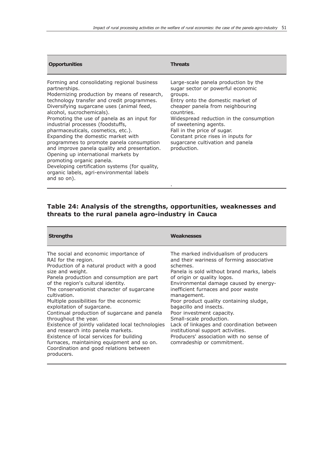| <b>Opportunities</b>                                                                                                                                                                                                                                                                                                                                                                                                                                                                                                                                                                                                                                                               | Threats                                                                                                                                                                                                                                                                                                                                                                 |
|------------------------------------------------------------------------------------------------------------------------------------------------------------------------------------------------------------------------------------------------------------------------------------------------------------------------------------------------------------------------------------------------------------------------------------------------------------------------------------------------------------------------------------------------------------------------------------------------------------------------------------------------------------------------------------|-------------------------------------------------------------------------------------------------------------------------------------------------------------------------------------------------------------------------------------------------------------------------------------------------------------------------------------------------------------------------|
| Forming and consolidating regional business<br>partnerships.<br>Modernizing production by means of research,<br>technology transfer and credit programmes.<br>Diversifying sugarcane uses (animal feed,<br>alcohol, sucrochemicals).<br>Promoting the use of panela as an input for<br>industrial processes (foodstuffs,<br>pharmaceuticals, cosmetics, etc.).<br>Expanding the domestic market with<br>programmes to promote panela consumption<br>and improve panela quality and presentation.<br>Opening up international markets by<br>promoting organic panela.<br>Developing certification systems (for quality,<br>organic labels, agri-environmental labels<br>and so on). | Large-scale panela production by the<br>sugar sector or powerful economic<br>groups.<br>Entry onto the domestic market of<br>cheaper panela from neighbouring<br>countries.<br>Widespread reduction in the consumption<br>of sweetening agents.<br>Fall in the price of sugar.<br>Constant price rises in inputs for<br>sugarcane cultivation and panela<br>production. |

## **Table 24: Analysis of the strengths, opportunities, weaknesses and threats to the rural panela agro-industry in Cauca**

.

| <b>Strengths</b>                                                                                                                                                                                                                                                                                                                                                                                                                                                                                                                                                                                                                                                                | <b>Weaknesses</b>                                                                                                                                                                                                                                                                                                                                                                                                                                                                                                                                                   |
|---------------------------------------------------------------------------------------------------------------------------------------------------------------------------------------------------------------------------------------------------------------------------------------------------------------------------------------------------------------------------------------------------------------------------------------------------------------------------------------------------------------------------------------------------------------------------------------------------------------------------------------------------------------------------------|---------------------------------------------------------------------------------------------------------------------------------------------------------------------------------------------------------------------------------------------------------------------------------------------------------------------------------------------------------------------------------------------------------------------------------------------------------------------------------------------------------------------------------------------------------------------|
| The social and economic importance of<br>RAI for the region.<br>Production of a natural product with a good<br>size and weight.<br>Panela production and consumption are part<br>of the region's cultural identity.<br>The conservationist character of sugarcane<br>cultivation.<br>Multiple possibilities for the economic<br>exploitation of sugarcane.<br>Continual production of sugarcane and panela<br>throughout the year.<br>Existence of jointly validated local technologies<br>and research into panela markets.<br>Existence of local services for building<br>furnaces, maintaining equipment and so on.<br>Coordination and good relations between<br>producers. | The marked individualism of producers<br>and their wariness of forming associative<br>schemes.<br>Panela is sold without brand marks, labels<br>of origin or quality logos.<br>Environmental damage caused by energy-<br>inefficient furnaces and poor waste<br>management.<br>Poor product quality containing sludge,<br>bagacillo and insects.<br>Poor investment capacity.<br>Small-scale production.<br>Lack of linkages and coordination between<br>institutional support activities.<br>Producers' association with no sense of<br>comradeship or commitment. |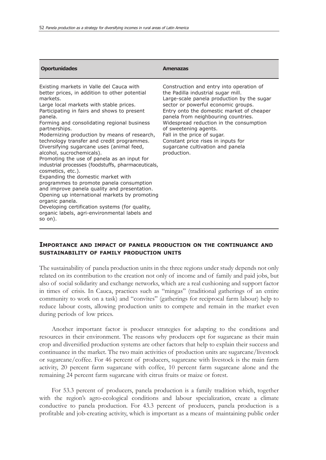| <b>Oportunidades</b>                                                                                                                                                                                                                                                                                                                                                                                                                                                                                                                                                                                                                                                                                                                                                                                                                                                                             | <b>Amenazas</b>                                                                                                                                                                                                                                                                                                                                                                                                                                     |
|--------------------------------------------------------------------------------------------------------------------------------------------------------------------------------------------------------------------------------------------------------------------------------------------------------------------------------------------------------------------------------------------------------------------------------------------------------------------------------------------------------------------------------------------------------------------------------------------------------------------------------------------------------------------------------------------------------------------------------------------------------------------------------------------------------------------------------------------------------------------------------------------------|-----------------------------------------------------------------------------------------------------------------------------------------------------------------------------------------------------------------------------------------------------------------------------------------------------------------------------------------------------------------------------------------------------------------------------------------------------|
| Existing markets in Valle del Cauca with<br>better prices, in addition to other potential<br>markets.<br>Large local markets with stable prices.<br>Participating in fairs and shows to present<br>panela.<br>Forming and consolidating regional business<br>partnerships.<br>Modernizing production by means of research,<br>technology transfer and credit programmes.<br>Diversifying sugarcane uses (animal feed,<br>alcohol, sucrochemicals).<br>Promoting the use of panela as an input for<br>industrial processes (foodstuffs, pharmaceuticals,<br>cosmetics, etc.).<br>Expanding the domestic market with<br>programmes to promote panela consumption<br>and improve panela quality and presentation.<br>Opening up international markets by promoting<br>organic panela.<br>Developing certification systems (for quality,<br>organic labels, agri-environmental labels and<br>so on). | Construction and entry into operation of<br>the Padilla industrial sugar mill.<br>Large-scale panela production by the sugar<br>sector or powerful economic groups.<br>Entry onto the domestic market of cheaper<br>panela from neighbouring countries.<br>Widespread reduction in the consumption<br>of sweetening agents.<br>Fall in the price of sugar.<br>Constant price rises in inputs for<br>sugarcane cultivation and panela<br>production. |

#### **IMPORTANCE AND IMPACT OF PANELA PRODUCTION ON THE CONTINUANCE AND SUSTAINABILITY OF FAMILY PRODUCTION UNITS**

The sustainability of panela production units in the three regions under study depends not only related on its contribution to the creation not only of income and of family and paid jobs, but also of social solidarity and exchange networks, which are a real cushioning and support factor in times of crisis. In Cauca, practices such as "mingas" (traditional gatherings of an entire community to work on a task) and "convites" (gatherings for reciprocal farm labour) help to reduce labour costs, allowing production units to compete and remain in the market even during periods of low prices.

Another important factor is producer strategies for adapting to the conditions and resources in their environment. The reasons why producers opt for sugarcane as their main crop and diversified production systems are other factors that help to explain their success and continuance in the market. The two main activities of production units are sugarcane/livestock or sugarcane/coffee. For 46 percent of producers, sugarcane with livestock is the main farm activity, 20 percent farm sugarcane with coffee, 10 percent farm sugarcane alone and the remaining 24 percent farm sugarcane with citrus fruits or maize or forest.

For 53.3 percent of producers, panela production is a family tradition which, together with the region's agro-ecological conditions and labour specialization, create a climate conductive to panela production. For 43.3 percent of producers, panela production is a profitable and job-creating activity, which is important as a means of maintaining public order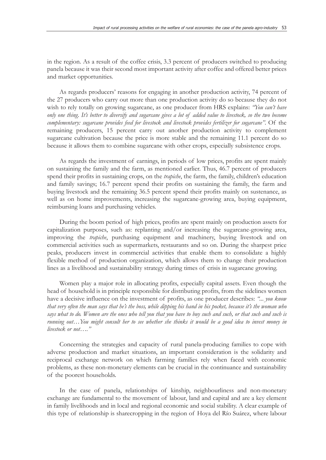in the region. As a result of the coffee crisis, 3.3 percent of producers switched to producing panela because it was their second most important activity after coffee and offered better prices and market opportunities.

As regards producers' reasons for engaging in another production activity, 74 percent of the 27 producers who carry out more than one production activity do so because they do not wish to rely totally on growing sugarcane, as one producer from HRS explains: *"You can't have only one thing. It's better to diversify and sugarcane gives a lot of added value to livestock, so the two become complementary: sugarcane provides feed for livestock and livestock provides fertilizer for sugarcane"*. Of the remaining producers, 15 percent carry out another production activity to complement sugarcane cultivation because the price is more stable and the remaining 11.1 percent do so because it allows them to combine sugarcane with other crops, especially subsistence crops.

As regards the investment of earnings, in periods of low prices, profits are spent mainly on sustaining the family and the farm, as mentioned earlier. Thus, 46.7 percent of producers spend their profits in sustaining crops, on the *trapiche*, the farm, the family, children's education and family savings; 16.7 percent spend their profits on sustaining the family, the farm and buying livestock and the remaining 36.5 percent spend their profits mainly on sustenance, as well as on home improvements, increasing the sugarcane-growing area, buying equipment, reimbursing loans and purchasing vehicles.

During the boom period of high prices, profits are spent mainly on production assets for capitalization purposes, such as: replanting and/or increasing the sugarcane-growing area, improving the *trapiche*, purchasing equipment and machinery, buying livestock and on commercial activities such as supermarkets, restaurants and so on. During the sharpest price peaks, producers invest in commercial activities that enable them to consolidate a highly flexible method of production organization, which allows them to change their production lines as a livelihood and sustainability strategy during times of crisis in sugarcane growing.

Women play a major role in allocating profits, especially capital assets. Even though the head of household is in principle responsible for distributing profits, from the sidelines women have a decisive influence on the investment of profits, as one producer describes: *"... you know that very often the man says that he's the boss, while dipping his hand in his pocket, because it's the woman who says what to do. Women are the ones who tell you that you have to buy such and such, or that such and such is running out…You might consult her to see whether she thinks it would be a good idea to invest money in livestock or not…."*

Concerning the strategies and capacity of rural panela-producing families to cope with adverse production and market situations, an important consideration is the solidarity and reciprocal exchange network on which farming families rely when faced with economic problems, as these non-monetary elements can be crucial in the continuance and sustainability of the poorest households.

In the case of panela, relationships of kinship, neighbourliness and non-monetary exchange are fundamental to the movement of labour, land and capital and are a key element in family livelihoods and in local and regional economic and social stability. A clear example of this type of relationship is sharecropping in the region of Hoya del Río Suárez, where labour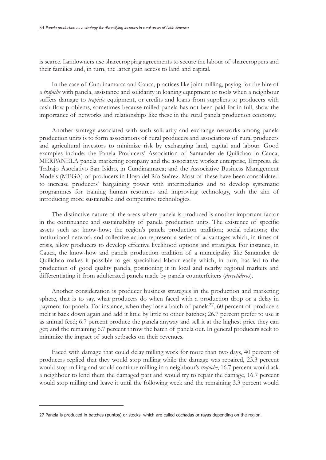is scarce. Landowners use sharecropping agreements to secure the labour of sharecroppers and their families and, in turn, the latter gain access to land and capital.

In the case of Cundinamarca and Cauca, practices like joint milling, paying for the hire of a *trapiche* with panela, assistance and solidarity in loaning equipment or tools when a neighbour suffers damage to *trapiche* equipment, or credits and loans from suppliers to producers with cash-flow problems, sometimes because milled panela has not been paid for in full, show the importance of networks and relationships like these in the rural panela production economy.

Another strategy associated with such solidarity and exchange networks among panela production units is to form associations of rural producers and associations of rural producers and agricultural investors to minimize risk by exchanging land, capital and labour. Good examples include: the Panela Producers' Association of Santander de Quilichao in Cauca; MERPANELA panela marketing company and the associative worker enterprise, Empresa de Trabajo Asociativo San Isidro, in Cundinamarca; and the Associative Business Management Models (MEGA) of producers in Hoya del Río Suárez. Most of these have been consolidated to increase producers' bargaining power with intermediaries and to develop systematic programmes for training human resources and improving technology, with the aim of introducing more sustainable and competitive technologies.

The distinctive nature of the areas where panela is produced is another important factor in the continuance and sustainability of panela production units. The existence of specific assets such as: know-how; the region's panela production tradition; social relations; the institutional network and collective action represent a series of advantages which, in times of crisis, allow producers to develop effective livelihood options and strategies. For instance, in Cauca, the know-how and panela production tradition of a municipality like Santander de Quilichao makes it possible to get specialized labour easily which, in turn, has led to the production of good quality panela, positioning it in local and nearby regional markets and differentiating it from adulterated panela made by panela counterfeiters (*derretideros*).

Another consideration is producer business strategies in the production and marketing sphere, that is to say, what producers do when faced with a production drop or a delay in payment for panela. For instance, when they lose a batch of panela<sup>27</sup>, 60 percent of producers melt it back down again and add it little by little to other batches; 26.7 percent prefer to use it as animal feed; 6.7 percent produce the panela anyway and sell it at the highest price they can get; and the remaining 6.7 percent throw the batch of panela out. In general producers seek to minimize the impact of such setbacks on their revenues.

Faced with damage that could delay milling work for more than two days, 40 percent of producers replied that they would stop milling while the damage was repaired, 23.3 percent would stop milling and would continue milling in a neighbour's *trapiche*, 16.7 percent would ask a neighbour to lend them the damaged part and would try to repair the damage, 16.7 percent would stop milling and leave it until the following week and the remaining 3.3 percent would

<sup>27</sup> Panela is produced in batches (puntos) or stocks, which are called cochadas or rayas depending on the region.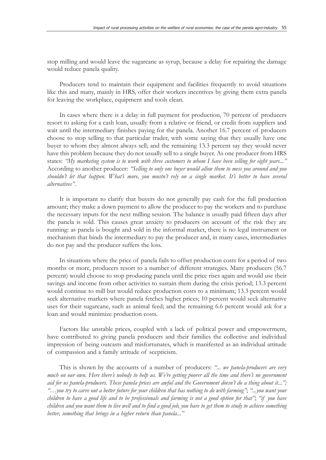stop milling and would leave the sugarcane as syrup, because a delay for repairing the damage would reduce panela quality.

Producers tend to maintain their equipment and facilities frequently to avoid situations like this and many, mainly in HRS, offer their workers incentives by giving them extra panela for leaving the workplace, equipment and tools clean.

In cases where there is a delay in full payment for production, 70 percent of producers resort to asking for a cash loan, usually from a relative or friend, or credit from suppliers and wait until the intermediary finishes paying for the panela. Another 16.7 percent of producers choose to stop selling to that particular trader, with some saying that they usually have one buyer to whom they almost always sell; and the remaining 13.3 percent say they would never have this problem because they do not usually sell to a single buyer. As one producer from HRS states: *"My marketing system is to work with three customers to whom I have been selling for eight years..."* According to another producer: *"Selling to only one buyer would allow them to mess you around and you shouldn't let that happen. What's more, you mustn't rely on a single market. It's better to have several alternatives"*.

It is important to clarify that buyers do not generally pay cash for the full production amount; they make a down payment to allow the producer to pay the workers and to purchase the necessary inputs for the next milling session. The balance is usually paid fifteen days after the panela is sold. This causes great anxiety to producers on account of the risk they are running: as panela is bought and sold in the informal market, there is no legal instrument or mechanism that binds the intermediary to pay the producer and, in many cases, intermediaries do not pay and the producer suffers the loss.

In situations where the price of panela fails to offset production costs for a period of two months or more, producers resort to a number of different strategies. Many producers (56.7 percent) would choose to stop producing panela until the price rises again and would use their savings and income from other activities to sustain them during the crisis period; 13.3 percent would continue to mill but would reduce production costs to a minimum; 13.3 percent would seek alternative markets where panela fetches higher prices; 10 percent would seek alternative uses for their sugarcane, such as animal feed; and the remaining 6.6 percent would ask for a loan and would minimize production costs.

Factors like unstable prices, coupled with a lack of political power and empowerment, have contributed to giving panela producers and their families the collective and individual impression of being outcasts and misfortunates, which is manifested as an individual attitude of compassion and a family attitude of scepticism.

This is shown by the accounts of a number of producers: *"... we panela-producers are very much on our own. Here there's nobody to help us. We're getting poorer all the time and there's no government aid for us panela-producers. These panela prices are awful and the Government doesn't do a thing about it..."; "…you try to carve out a better future for your children that has nothing to do with farming"*; *"...you want your children to have a good life and to be professionals and farming is not a good option for that"*; *"if you have children and you want them to live well and to find a good job, you have to get them to study to achieve something better, something that brings in a higher return than panela..."*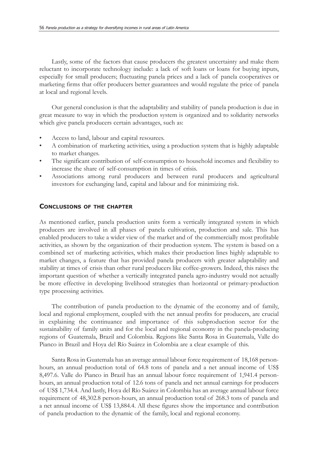Lastly, some of the factors that cause producers the greatest uncertainty and make them reluctant to incorporate technology include: a lack of soft loans or loans for buying inputs, especially for small producers; fluctuating panela prices and a lack of panela cooperatives or marketing firms that offer producers better guarantees and would regulate the price of panela at local and regional levels.

Our general conclusion is that the adaptability and stability of panela production is due in great measure to way in which the production system is organized and to solidarity networks which give panela producers certain advantages, such as:

- Access to land, labour and capital resources.
- A combination of marketing activities, using a production system that is highly adaptable to market changes.
- The significant contribution of self-consumption to household incomes and flexibility to increase the share of self-consumption in times of crisis.
- Associations among rural producers and between rural producers and agricultural investors for exchanging land, capital and labour and for minimizing risk.

#### **CONCLUSIONS OF THE CHAPTER**

As mentioned earlier, panela production units form a vertically integrated system in which producers are involved in all phases of panela cultivation, production and sale. This has enabled producers to take a wider view of the market and of the commercially most profitable activities, as shown by the organization of their production system. The system is based on a combined set of marketing activities, which makes their production lines highly adaptable to market changes, a feature that has provided panela producers with greater adaptability and stability at times of crisis than other rural producers like coffee-growers. Indeed, this raises the important question of whether a vertically integrated panela agro-industry would not actually be more effective in developing livelihood strategies than horizontal or primary-production type processing activities.

The contribution of panela production to the dynamic of the economy and of family, local and regional employment, coupled with the net annual profits for producers, are crucial in explaining the continuance and importance of this subproduction sector for the sustainability of family units and for the local and regional economy in the panela-producing regions of Guatemala, Brazil and Colombia. Regions like Santa Rosa in Guatemala, Valle do Pianco in Brazil and Hoya del Río Suárez in Colombia are a clear example of this.

Santa Rosa in Guatemala has an average annual labour force requirement of 18,168 personhours, an annual production total of 64.8 tons of panela and a net annual income of US\$ 8,497.6. Valle do Pianco in Brazil has an annual labour force requirement of 1,941.4 personhours, an annual production total of 12.6 tons of panela and net annual earnings for producers of US\$ 1,734.4. And lastly, Hoya del Río Suárez in Colombia has an average annual labour force requirement of 48,302.8 person-hours, an annual production total of 268.3 tons of panela and a net annual income of US\$ 13,884.4. All these figures show the importance and contribution of panela production to the dynamic of the family, local and regional economy.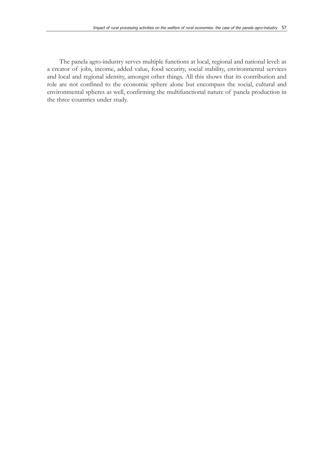The panela agro-industry serves multiple functions at local, regional and national level: as a creator of jobs, income, added value, food security, social stability, environmental services and local and regional identity, amongst other things. All this shows that its contribution and role are not confined to the economic sphere alone but encompass the social, cultural and environmental spheres as well, confirming the multifunctional nature of panela production in the three countries under study.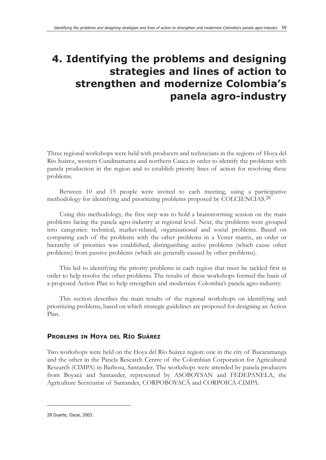# **4. Identifying the problems and designing strategies and lines of action to strengthen and modernize Colombia's panela agro-industry**

Three regional workshops were held with producers and technicians in the regions of Hoya del Río Suárez, western Cundinamarca and northern Cauca in order to identify the problems with panela production in the region and to establish priority lines of action for resolving these problems.

Between 10 and 15 people were invited to each meeting, using a participative methodology for identifying and prioritizing problems proposed by COLCIENCIAS.<sup>28</sup>

Using this methodology, the first step was to hold a brainstorming session on the main problems facing the panela agro-industry at regional level. Next, the problems were grouped into categories: technical, market-related, organizational and social problems. Based on comparing each of the problems with the other problems in a Vester matrix, an order or hierarchy of priorities was established, distinguishing active problems (which cause other problems) from passive problems (which are generally caused by other problems).

This led to identifying the priority problems in each region that must be tackled first in order to help resolve the other problems. The results of these workshops formed the basis of a proposed Action Plan to help strengthen and modernize Colombia's panela agro-industry.

This section describes the main results of the regional workshops on identifying and prioritizing problems, based on which strategic guidelines are proposed for designing an Action Plan.

## **PROBLEMS IN HOYA DEL RÍO SUÁREZ**

Two workshops were held on the Hoya del Río Suárez region: one in the city of Bucaramanga and the other in the Panela Research Centre of the Colombian Corporation for Agricultural Research (CIMPA) in Barbosa, Santander. The workshops were attended by panela producers from Boyacá and Santander, represented by ASOBOYSAN and FEDEPANELA, the Agriculture Secretariat of Santander, CORPOBOYACÁ and CORPOICA-CIMPA.

<sup>28</sup> Duarte, Oscar, 2003.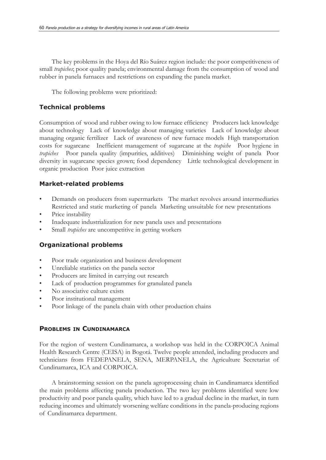The key problems in the Hoya del Río Suárez region include: the poor competitiveness of small *trapiches*; poor quality panela; environmental damage from the consumption of wood and rubber in panela furnaces and restrictions on expanding the panela market.

The following problems were prioritized:

## **Technical problems**

Consumption of wood and rubber owing to low furnace efficiency Producers lack knowledge about technology Lack of knowledge about managing varieties Lack of knowledge about managing organic fertilizer Lack of awareness of new furnace models High transportation costs for sugarcane Inefficient management of sugarcane at the *trapiche* Poor hygiene in *trapiches* Poor panela quality (impurities, additives) Diminishing weight of panela Poor diversity in sugarcane species grown; food dependency Little technological development in organic production Poor juice extraction

## **Market-related problems**

- Demands on producers from supermarkets The market revolves around intermediaries Restricted and static marketing of panela Marketing unsuitable for new presentations
- Price instability
- Inadequate industrialization for new panela uses and presentations
- Small *trapiches* are uncompetitive in getting workers

## **Organizational problems**

- Poor trade organization and business development
- Unreliable statistics on the panela sector
- Producers are limited in carrying out research
- Lack of production programmes for granulated panela
- No associative culture exists
- Poor institutional management
- Poor linkage of the panela chain with other production chains

## **PROBLEMS IN CUNDINAMARCA**

For the region of western Cundinamarca, a workshop was held in the CORPOICA Animal Health Research Centre (CEISA) in Bogotá. Twelve people attended, including producers and technicians from FEDEPANELA, SENA, MERPANELA, the Agriculture Secretariat of Cundinamarca, ICA and CORPOICA.

A brainstorming session on the panela agroprocessing chain in Cundinamarca identified the main problems affecting panela production. The two key problems identified were low productivity and poor panela quality, which have led to a gradual decline in the market, in turn reducing incomes and ultimately worsening welfare conditions in the panela-producing regions of Cundinamarca department.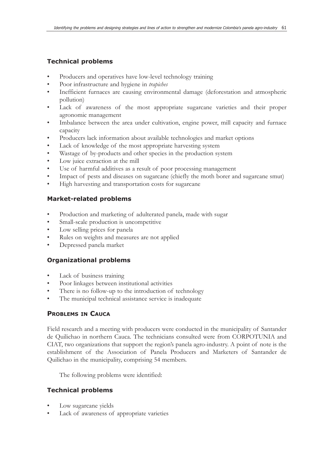## **Technical problems**

- Producers and operatives have low-level technology training
- Poor infrastructure and hygiene in *trapiches*
- Inefficient furnaces are causing environmental damage (deforestation and atmospheric pollution)
- Lack of awareness of the most appropriate sugarcane varieties and their proper agronomic management
- Imbalance between the area under cultivation, engine power, mill capacity and furnace capacity
- Producers lack information about available technologies and market options
- Lack of knowledge of the most appropriate harvesting system
- Wastage of by-products and other species in the production system
- Low juice extraction at the mill
- Use of harmful additives as a result of poor processing management
- Impact of pests and diseases on sugarcane (chiefly the moth borer and sugarcane smut)
- High harvesting and transportation costs for sugarcane

### **Market-related problems**

- Production and marketing of adulterated panela, made with sugar
- Small-scale production is uncompetitive
- Low selling prices for panela
- Rules on weights and measures are not applied
- Depressed panela market

## **Organizational problems**

- Lack of business training
- Poor linkages between institutional activities
- There is no follow-up to the introduction of technology
- The municipal technical assistance service is inadequate

## **PROBLEMS IN CAUCA**

Field research and a meeting with producers were conducted in the municipality of Santander de Quilichao in northern Cauca. The technicians consulted were from CORPOTUNIA and CIAT, two organizations that support the region's panela agro-industry. A point of note is the establishment of the Association of Panela Producers and Marketers of Santander de Quilichao in the municipality, comprising 54 members.

The following problems were identified:

## **Technical problems**

- Low sugarcane yields
- Lack of awareness of appropriate varieties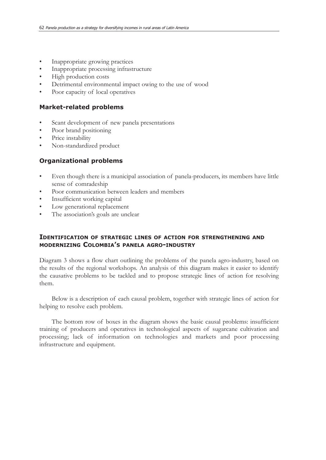- Inappropriate growing practices
- Inappropriate processing infrastructure
- High production costs
- Detrimental environmental impact owing to the use of wood
- Poor capacity of local operatives

#### **Market-related problems**

- Scant development of new panela presentations
- Poor brand positioning
- Price instability
- Non-standardized product

#### **Organizational problems**

- Even though there is a municipal association of panela-producers, its members have little sense of comradeship
- Poor communication between leaders and members
- Insufficient working capital
- Low generational replacement
- The association's goals are unclear

### **IDENTIFICATION OF STRATEGIC LINES OF ACTION FOR STRENGTHENING AND MODERNIZING COLOMBIA'S PANELA AGRO-INDUSTRY**

Diagram 3 shows a flow chart outlining the problems of the panela agro-industry, based on the results of the regional workshops. An analysis of this diagram makes it easier to identify the causative problems to be tackled and to propose strategic lines of action for resolving them.

Below is a description of each causal problem, together with strategic lines of action for helping to resolve each problem.

The bottom row of boxes in the diagram shows the basic causal problems: insufficient training of producers and operatives in technological aspects of sugarcane cultivation and processing; lack of information on technologies and markets and poor processing infrastructure and equipment.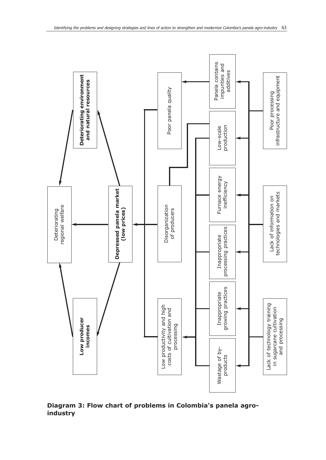

**Diagram 3: Flow chart of problems in Colombia's panela agroindustry**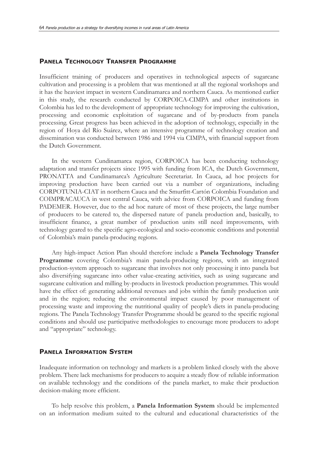#### **PANELA TECHNOLOGY TRANSFER PROGRAMME**

Insufficient training of producers and operatives in technological aspects of sugarcane cultivation and processing is a problem that was mentioned at all the regional workshops and it has the heaviest impact in western Cundinamarca and northern Cauca. As mentioned earlier in this study, the research conducted by CORPOICA-CIMPA and other institutions in Colombia has led to the development of appropriate technology for improving the cultivation, processing and economic exploitation of sugarcane and of by-products from panela processing. Great progress has been achieved in the adoption of technology, especially in the region of Hoya del Río Suárez, where an intensive programme of technology creation and dissemination was conducted between 1986 and 1994 via CIMPA, with financial support from the Dutch Government.

In the western Cundinamarca region, CORPOICA has been conducting technology adaptation and transfer projects since 1995 with funding from ICA, the Dutch Government, PRONATTA and Cundinamarca's Agriculture Secretariat. In Cauca, ad hoc projects for improving production have been carried out via a number of organizations, including CORPOTUNIA-CIAT in northern Cauca and the Smurfitt-Cartón Colombia Foundation and COIMPRACAUCA in west central Cauca, with advice from CORPOICA and funding from PADEMER. However, due to the ad hoc nature of most of these projects, the large number of producers to be catered to, the dispersed nature of panela production and, basically, to insufficient finance, a great number of production units still need improvements, with technology geared to the specific agro-ecological and socio-economic conditions and potential of Colombia's main panela-producing regions.

Any high-impact Action Plan should therefore include a **Panela Technology Transfer Programme** covering Colombia's main panela-producing regions, with an integrated production-system approach to sugarcane that involves not only processing it into panela but also diversifying sugarcane into other value-creating activities, such as using sugarcane and sugarcane cultivation and milling by-products in livestock production programmes. This would have the effect of: generating additional revenues and jobs within the family production unit and in the region; reducing the environmental impact caused by poor management of processing waste and improving the nutritional quality of people's diets in panela-producing regions. The Panela Technology Transfer Programme should be geared to the specific regional conditions and should use participative methodologies to encourage more producers to adopt and "appropriate" technology.

#### **PANELA INFORMATION SYSTEM**

Inadequate information on technology and markets is a problem linked closely with the above problem. There lack mechanisms for producers to acquire a steady flow of reliable information on available technology and the conditions of the panela market, to make their production decision-making more efficient.

To help resolve this problem, a **Panela Information System** should be implemented on an information medium suited to the cultural and educational characteristics of the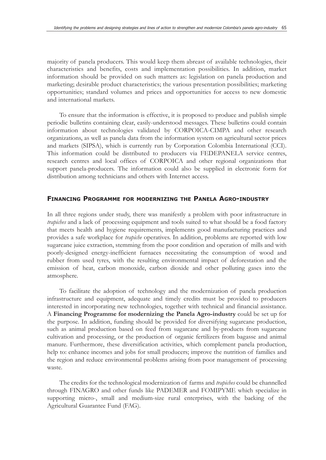majority of panela producers. This would keep them abreast of available technologies, their characteristics and benefits, costs and implementation possibilities. In addition, market information should be provided on such matters as: legislation on panela production and marketing; desirable product characteristics; the various presentation possibilities; marketing opportunities; standard volumes and prices and opportunities for access to new domestic and international markets.

To ensure that the information is effective, it is proposed to produce and publish simple periodic bulletins containing clear, easily-understood messages. These bulletins could contain information about technologies validated by CORPOICA-CIMPA and other research organizations, as well as panela data from the information system on agricultural sector prices and markets (SIPSA), which is currently run by Corporation Colombia International (CCI). This information could be distributed to producers via FEDEPANELA service centres, research centres and local offices of CORPOICA and other regional organizations that support panela-producers. The information could also be supplied in electronic form for distribution among technicians and others with Internet access.

#### **FINANCING PROGRAMME FOR MODERNIZING THE PANELA AGRO-INDUSTRY**

In all three regions under study, there was manifestly a problem with poor infrastructure in *trapiches* and a lack of processing equipment and tools suited to what should be a food factory that meets health and hygiene requirements, implements good manufacturing practices and provides a safe workplace for *trapiche* operatives. In addition, problems are reported with low sugarcane juice extraction, stemming from the poor condition and operation of mills and with poorly-designed energy-inefficient furnaces necessitating the consumption of wood and rubber from used tyres, with the resulting environmental impact of deforestation and the emission of heat, carbon monoxide, carbon dioxide and other polluting gases into the atmosphere.

To facilitate the adoption of technology and the modernization of panela production infrastructure and equipment, adequate and timely credits must be provided to producers interested in incorporating new technologies, together with technical and financial assistance. A **Financing Programme for modernizing the Panela Agro-industry** could be set up for the purpose. In addition, funding should be provided for diversifying sugarcane production, such as animal production based on feed from sugarcane and by-products from sugarcane cultivation and processing, or the production of organic fertilizers from bagasse and animal manure. Furthermore, these diversification activities, which complement panela production, help to: enhance incomes and jobs for small producers; improve the nutrition of families and the region and reduce environmental problems arising from poor management of processing waste.

The credits for the technological modernization of farms and *trapiches* could be channelled through FINAGRO and other funds like PADEMER and FOMIPYME which specialize in supporting micro-, small and medium-size rural enterprises, with the backing of the Agricultural Guarantee Fund (FAG).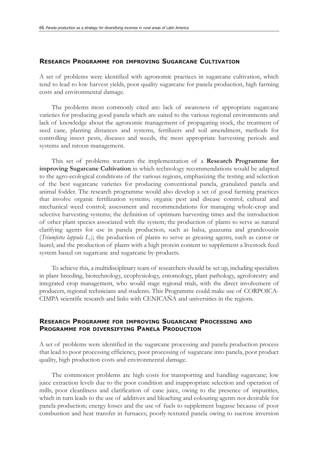#### **RESEARCH PROGRAMME FOR IMPROVING SUGARCANE CULTIVATION**

A set of problems were identified with agronomic practices in sugarcane cultivation, which tend to lead to low harvest yields, poor quality sugarcane for panela production, high farming costs and environmental damage.

The problems most commonly cited are: lack of awareness of appropriate sugarcane varieties for producing good panela which are suited to the various regional environments and lack of knowledge about the agronomic management of propagating stock, the treatment of seed cane, planting distances and systems, fertilizers and soil amendment, methods for controlling insect pests, diseases and weeds, the most appropriate harvesting periods and systems and ratoon management.

This set of problems warrants the implementation of a **Research Programme for improving Sugarcane Cultivation** in which technology recommendations would be adapted to the agro-ecological conditions of the various regions, emphasizing the testing and selection of the best sugarcane varieties for producing conventional panela, granulated panela and animal fodder. The research programme would also develop a set of good farming practices that involve organic fertilization systems; organic pest and disease control; cultural and mechanical weed control; assessment and recommendations for managing whole-crop and selective harvesting systems; the definition of optimum harvesting times and the introduction of other plant species associated with the system; the production of plants to serve as natural clarifying agents for use in panela production, such as balsa, guazuma and grandcousin (*Triumfetta lappula L.*); the production of plants to serve as greasing agents, such as castor or laurel; and the production of plants with a high protein content to supplement a livestock feed system based on sugarcane and sugarcane by-products.

To achieve this, a multidisciplinary team of researchers should be set up, including specialists in plant breeding, biotechnology, ecophysiology, entomology, plant pathology, agroforestry and integrated crop management, who would stage regional trials, with the direct involvement of producers, regional technicians and students. This Programme could make use of CORPOICA-CIMPA scientific research and links with CENICAÑA and universities in the regions.

### **RESEARCH PROGRAMME FOR IMPROVING SUGARCANE PROCESSING AND PROGRAMME FOR DIVERSIFYING PANELA PRODUCTION**

A set of problems were identified in the sugarcane processing and panela production process that lead to poor processing efficiency, poor processing of sugarcane into panela, poor product quality, high production costs and environmental damage.

The commonest problems are high costs for transporting and handling sugarcane; low juice extraction levels due to the poor condition and inappropriate selection and operation of mills; poor cleanliness and clarification of cane juice, owing to the presence of impurities, which in turn leads to the use of additives and bleaching and colouring agents not desirable for panela production; energy losses and the use of fuels to supplement bagasse because of poor combustion and heat transfer in furnaces; poorly-textured panela owing to sucrose inversion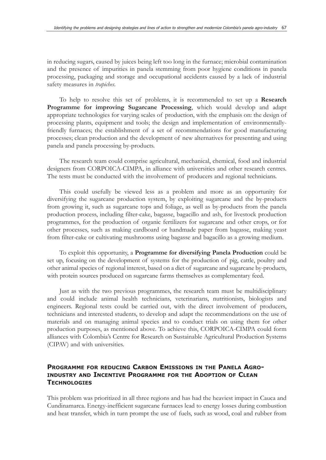in reducing sugars, caused by juices being left too long in the furnace; microbial contamination and the presence of impurities in panela stemming from poor hygiene conditions in panela processing, packaging and storage and occupational accidents caused by a lack of industrial safety measures in *trapiches*.

To help to resolve this set of problems, it is recommended to set up a **Research Programme for improving Sugarcane Processing**, which would develop and adapt appropriate technologies for varying scales of production, with the emphasis on: the design of processing plants, equipment and tools; the design and implementation of environmentallyfriendly furnaces; the establishment of a set of recommendations for good manufacturing processes; clean production and the development of new alternatives for presenting and using panela and panela processing by-products.

The research team could comprise agricultural, mechanical, chemical, food and industrial designers from CORPOICA-CIMPA, in alliance with universities and other research centres. The tests must be conducted with the involvement of producers and regional technicians.

This could usefully be viewed less as a problem and more as an opportunity for diversifying the sugarcane production system, by exploiting sugarcane and the by-products from growing it, such as sugarcane tops and foliage, as well as by-products from the panela production process, including filter-cake, bagasse, bagacillo and ash, for livestock production programmes, for the production of organic fertilizers for sugarcane and other crops, or for other processes, such as making cardboard or handmade paper from bagasse, making yeast from filter-cake or cultivating mushrooms using bagasse and bagacillo as a growing medium.

To exploit this opportunity, a **Programme for diversifying Panela Production** could be set up, focusing on the development of systems for the production of pig, cattle, poultry and other animal species of regional interest, based on a diet of sugarcane and sugarcane by-products, with protein sources produced on sugarcane farms themselves as complementary feed.

Just as with the two previous programmes, the research team must be multidisciplinary and could include animal health technicians, veterinarians, nutritionists, biologists and engineers. Regional tests could be carried out, with the direct involvement of producers, technicians and interested students, to develop and adapt the recommendations on the use of materials and on managing animal species and to conduct trials on using them for other production purposes, as mentioned above. To achieve this, CORPOICA-CIMPA could form alliances with Colombia's Centre for Research on Sustainable Agricultural Production Systems (CIPAV) and with universities.

### **PROGRAMME FOR REDUCING CARBON EMISSIONS IN THE PANELA AGRO-INDUSTRY AND INCENTIVE PROGRAMME FOR THE ADOPTION OF CLEAN TECHNOLOGIES**

This problem was prioritized in all three regions and has had the heaviest impact in Cauca and Cundinamarca. Energy-inefficient sugarcane furnaces lead to energy losses during combustion and heat transfer, which in turn prompt the use of fuels, such as wood, coal and rubber from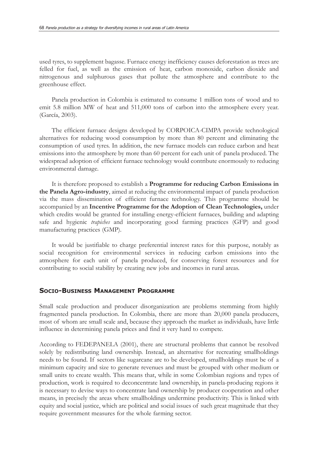used tyres, to supplement bagasse. Furnace energy inefficiency causes deforestation as trees are felled for fuel, as well as the emission of heat, carbon monoxide, carbon dioxide and nitrogenous and sulphurous gases that pollute the atmosphere and contribute to the greenhouse effect.

Panela production in Colombia is estimated to consume 1 million tons of wood and to emit 5.8 million MW of heat and 511,000 tons of carbon into the atmosphere every year. (García, 2003).

The efficient furnace designs developed by CORPOICA-CIMPA provide technological alternatives for reducing wood consumption by more than 80 percent and eliminating the consumption of used tyres. In addition, the new furnace models can reduce carbon and heat emissions into the atmosphere by more than 60 percent for each unit of panela produced. The widespread adoption of efficient furnace technology would contribute enormously to reducing environmental damage.

It is therefore proposed to establish a **Programme for reducing Carbon Emissions in the Panela Agro-industry**, aimed at reducing the environmental impact of panela production via the mass dissemination of efficient furnace technology. This programme should be accompanied by an **Incentive Programme for the Adoption of Clean Technologies,** under which credits would be granted for installing energy-efficient furnaces, building and adapting safe and hygienic *trapiches* and incorporating good farming practices (GFP) and good manufacturing practices (GMP).

It would be justifiable to charge preferential interest rates for this purpose, notably as social recognition for environmental services in reducing carbon emissions into the atmosphere for each unit of panela produced, for conserving forest resources and for contributing to social stability by creating new jobs and incomes in rural areas.

#### **SOCIO-BUSINESS MANAGEMENT PROGRAMME**

Small scale production and producer disorganization are problems stemming from highly fragmented panela production. In Colombia, there are more than 20,000 panela producers, most of whom are small scale and, because they approach the market as individuals, have little influence in determining panela prices and find it very hard to compete.

According to FEDEPANELA (2001), there are structural problems that cannot be resolved solely by redistributing land ownership. Instead, an alternative for recreating smallholdings needs to be found. If sectors like sugarcane are to be developed, smallholdings must be of a minimum capacity and size to generate revenues and must be grouped with other medium or small units to create wealth. This means that, while in some Colombian regions and types of production, work is required to deconcentrate land ownership, in panela-producing regions it is necessary to devise ways to concentrate land ownership by producer cooperation and other means, in precisely the areas where smallholdings undermine productivity. This is linked with equity and social justice, which are political and social issues of such great magnitude that they require government measures for the whole farming sector.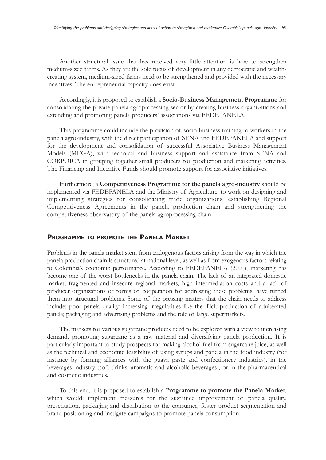Another structural issue that has received very little attention is how to strengthen medium-sized farms. As they are the sole focus of development in any democratic and wealthcreating system, medium-sized farms need to be strengthened and provided with the necessary incentives. The entrepreneurial capacity does exist.

Accordingly, it is proposed to establish a **Socio-Business Management Programme** for consolidating the private panela agroprocessing sector by creating business organizations and extending and promoting panela producers' associations via FEDEPANELA.

This programme could include the provision of socio-business training to workers in the panela agro-industry, with the direct participation of SENA and FEDEPANELA and support for the development and consolidation of successful Associative Business Management Models (MEGA), with technical and business support and assistance from SENA and CORPOICA in grouping together small producers for production and marketing activities. The Financing and Incentive Funds should promote support for associative initiatives.

Furthermore, a **Competitiveness Programme for the panela agro-industry** should be implemented via FEDEPANELA and the Ministry of Agriculture, to work on designing and implementing strategies for consolidating trade organizations, establishing Regional Competitiveness Agreements in the panela production chain and strengthening the competitiveness observatory of the panela agroprocessing chain.

#### **PROGRAMME TO PROMOTE THE PANELA MARKET**

Problems in the panela market stem from endogenous factors arising from the way in which the panela production chain is structured at national level, as well as from exogenous factors relating to Colombia's economic performance. According to FEDEPANELA (2001), marketing has become one of the worst bottlenecks in the panela chain. The lack of an integrated domestic market, fragmented and insecure regional markets, high intermediation costs and a lack of producer organizations or forms of cooperation for addressing these problems, have turned them into structural problems. Some of the pressing matters that the chain needs to address include: poor panela quality; increasing irregularities like the illicit production of adulterated panela; packaging and advertising problems and the role of large supermarkets.

The markets for various sugarcane products need to be explored with a view to increasing demand, promoting sugarcane as a raw material and diversifying panela production. It is particularly important to study prospects for making alcohol fuel from sugarcane juice, as well as the technical and economic feasibility of using syrups and panela in the food industry (for instance by forming alliances with the guava paste and confectionery industries), in the beverages industry (soft drinks, aromatic and alcoholic beverages), or in the pharmaceutical and cosmetic industries.

To this end, it is proposed to establish a **Programme to promote the Panela Market**, which would: implement measures for the sustained improvement of panela quality, presentation, packaging and distribution to the consumer; foster product segmentation and brand positioning and instigate campaigns to promote panela consumption.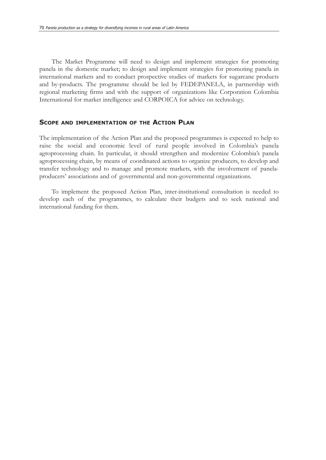The Market Programme will need to design and implement strategies for promoting panela in the domestic market; to design and implement strategies for promoting panela in international markets and to conduct prospective studies of markets for sugarcane products and by-products. The programme should be led by FEDEPANELA, in partnership with regional marketing firms and with the support of organizations like Corporation Colombia International for market intelligence and CORPOICA for advice on technology.

#### **SCOPE AND IMPLEMENTATION OF THE ACTION PLAN**

The implementation of the Action Plan and the proposed programmes is expected to help to raise the social and economic level of rural people involved in Colombia's panela agroprocessing chain. In particular, it should strengthen and modernize Colombia's panela agroprocessing chain, by means of coordinated actions to organize producers, to develop and transfer technology and to manage and promote markets, with the involvement of panelaproducers' associations and of governmental and non-governmental organizations.

To implement the proposed Action Plan, inter-institutional consultation is needed to develop each of the programmes, to calculate their budgets and to seek national and international funding for them.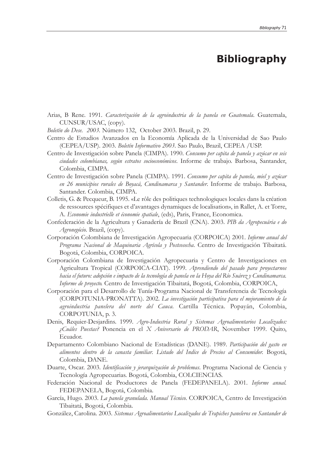## **Bibliography**

- Arias, B Rene. 1991. *Caracterización de la agroindustria de la panela en Guatemala*. Guatemala, CUNSUR/USAC, (copy).
- *Boletín do Dese. 2003.* Número 132, October 2003. Brazil, p. 29.
- Centro de Estudios Avanzados en la Economía Aplicada de la Universidad de Sao Paulo (CEPEA/USP). 2003. *Boletín Informativo 2003*. Sao Paulo, Brazil, CEPEA /USP.
- Centro de Investigación sobre Panela (CIMPA). 1990. *Consumo per capita de panela y azúcar en seis ciudades colombianas, según estratos socioeconómicos*. Informe de trabajo. Barbosa, Santander, Colombia, CIMPA.
- Centro de Investigación sobre Panela (CIMPA). 1991. *Consumo per capita de panela, miel y azúcar en 26 municipios rurales de Boyacá, Cundinamarca y Santander*. Informe de trabajo. Barbosa, Santander. Colombia, CIMPA.
- Colletis, G. & Pecqueur, B. 1995. «Le rôle des politiques technologiques locales dans la création de ressources spécifiques et d'avantages dynamiques de localisation», in Rallet, A. et Torre, A. *Economie industrielle et économie spatiale*, (eds), Paris, France, Economica.
- Confederación de la Agricultura y Ganadería de Brazil (CNA). 2003. *PIB da Agropecuária e do Agronegócio*. Brazil, (copy).
- Corporación Colombiana de Investigación Agropecuaria (CORPOICA) 2001. *Informe anual del Programa Nacional de Maquinaria Agrícola y Postcosecha*. Centro de Investigación Tibaitatá. Bogotá, Colombia, CORPOICA.
- Corporación Colombiana de Investigación Agropecuaria y Centro de Investigaciones en Agricultura Tropical (CORPOICA-CIAT). 1999. *Aprendiendo del pasado para proyectarnos hacia el futuro: adopción e impacto de la tecnología de panela en la Hoya del Río Suárez y Cundinamarca. Informe de proyecto.* Centro de Investigación Tibaitatá, Bogotá, Colombia, CORPOICA,
- Corporación para el Desarrollo de Tunía-Programa Nacional de Transferencia de Tecnología (CORPOTUNIA-PRONATTA). 2002. *La investigación participativa para el mejoramiento de la agroindustria panelera del norte del Cauca.* Cartilla Técnica. Popayán, Colombia, CORPOTUNIA, p. 3.
- Denis, Requier-Desjardins. 1999. *Agro-Industria Rural y Sistemas Agroalimentarios Localizados: ¿Cuáles Puestas?* Ponencia en el *X Aniversario de PRODAR*, November 1999. Quito, Ecuador.
- Departamento Colombiano Nacional de Estadísticas (DANE). 1989. *Participación del gasto en alimentos dentro de la canasta familiar. Listado del Indice de Precios al Consumidor.* Bogotá, Colombia, DANE.
- Duarte, Oscar. 2003. *Identificación y jerarquización de problemas*. Programa Nacional de Ciencia y Tecnología Agropecuarias. Bogotá, Colombia, COLCIENCIAS.
- Federación Nacional de Productores de Panela (FEDEPANELA). 2001. *Informe anual.* FEDEPANELA, Bogotá, Colombia.
- García, Hugo. 2003. *La panela granulada. Manual Técnico*. CORPOICA, Centro de Investigación Tibaitatá, Bogotá, Colombia.
- González, Carolina. 2003. *Sistemas Agroalimentarios Localizados de Trapiches paneleros en Santander de*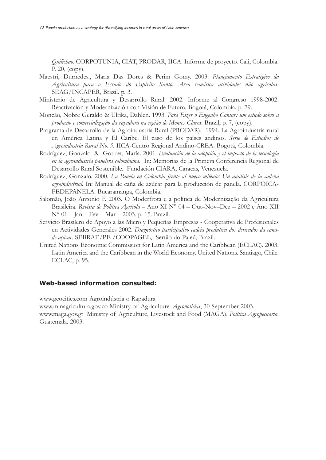*Quilichao*. CORPOTUNIA, CIAT, PRODAR, IICA. Informe de proyecto. Cali, Colombia. P. 20, (copy).

- Maestri, Durnedes., Maria Das Dores & Perim Gomy. 2003. *Planejamento Estratégico da Agricultura para o Estado do Espírito Santo. Area temática atividades não agrícolas*. SEAG/INCAPER, Brazil. p. 3.
- Ministerio de Agricultura y Desarrollo Rural. 2002. Informe al Congreso 1998-2002. Reactivación y Modernización con Visión de Futuro. Bogotá, Colombia. p. 79.
- Moncão, Nobre Geraldo & Ulrika, Dahlen. 1993. *Para Fazer o Engenho Cantar: um estudo sobre a produção e comercialização da rapadura na região de Montes Claros*. Brazil, p. 7, (copy).
- Programa de Desarrollo de la Agroindustria Rural (PRODAR). 1994. La Agroindustria rural en América Latina y El Caribe. El caso de los países andinos. *Serie de Estudios de Agroindustria Rural No. 5*. IICA-Centro Regional Andino-CREA. Bogotá, Colombia.
- Rodríguez, Gonzalo & Gottret, María. 2001. *Evaluación de la adopción y el impacto de la tecnología en la agroindustria panelera colombiana*. In: Memorias de la Primera Conferencia Regional de Desarrollo Rural Sostenible. Fundación CIARA, Caracas, Venezuela.
- Rodríguez, Gonzalo. 2000. *La Panela en Colombia frente al nuevo milenio: Un análisis de la cadena agroindustrial.* In: Manual de caña de azúcar para la producción de panela. CORPOICA-FEDEPANELA. Bucaramanga, Colombia.
- Salomão, João Antonio F. 2003. O Moderfrota e a política de Modernização da Agricultura Brasileira. *Revista de Política Agrícola* – Ano XI N° 04 – Out–Nov–Dez – 2002 e Ano XII N° 01 – Jan – Fev – Mar – 2003. p. 15. Brazil.
- Servicio Brasilero de Apoyo a las Micro y Pequeñas Empresas Cooperativa de Profesionales en Actividades Generales 2002. *Diagnóstico participativo cadeia produtiva dos derivados da canade-açúcar*. SEBRAE/PE /COOPAGEL, Sertão do Pajeú, Brazil.
- United Nations Economic Commission for Latin America and the Caribbean (ECLAC). 2003. Latin America and the Caribbean in the World Economy. United Nations. Santiago, Chile. ECLAC, p. 95.

#### **Web-based information consulted:**

www.geocities.com Agroindústria o Rapadura

www.minagricultura.gov.co Ministry of Agriculture. *Agronoticias*, 30 September 2003. www.maga.gov.gt Ministry of Agriculture, Livestock and Food (MAGA). *Política Agropecuaria*. Guatemala. 2003.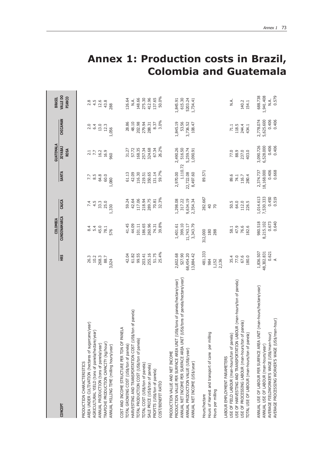|                                                                                                              |                     | <b>COLOMBIA</b>    |                    |                     | <b>GUATEMALA</b>              |                    | <b>BRASIL</b>             |
|--------------------------------------------------------------------------------------------------------------|---------------------|--------------------|--------------------|---------------------|-------------------------------|--------------------|---------------------------|
| CONCEPT                                                                                                      | HRS                 | CUNDINAMARCA       | CAUCA              | <b>SANTA</b>        | <b>JOYABAJ</b><br><b>ROSA</b> | CHICAMAN           | <b>VALLE DO</b><br>PIANCO |
| AREA UNDER CULTIVATION (hectares of sugarcane/year)<br>PRODUCTION CHARACTERISTICS                            | 26.3                | 8.4                | 7.4                | 7.7                 | 2.1                           | 2.0                | 2.8                       |
| AGRICULTURAL YIELD (tons of panela/hectare/year)                                                             | 10.2                | 5.4                | 4.5                | 8.5                 | 7.7                           | 6.4                | 4.5                       |
| ANNUAL PRODUCTION (tons of panela/year)                                                                      | 268.3               | 45.0               | 33.3               | 64.8                | 16.2                          | 13.0               | 12.6                      |
| TRAPICHE PRODUCTION CAPACITY (kg/hour)                                                                       | 88.7                | 78.1               | 25.0               | 60.0                | 16.9                          | 12.3               | 43.8                      |
| ANNUAL MILLING TIME (milling hours/year)                                                                     | 3,024               | 576                | 1,330              | 1,080               | 960                           | 1,056              | 288                       |
| COST AND INCOME STRUCTURE PER TON OF PANELA<br>TOTAL GROWING COST (US\$/ton of panela)                       | 42.04               | 41.45              | 59.24              | 61.13               | 31.27                         | 28.86              | 126.64                    |
| of panela)<br>HARVESTING AND TRANSPORTATION COST (US\$/ton                                                   | 61.82               | 44.09              | 42.64              | 42.09               | 57.72                         | 48.10              | N.A.                      |
| roTAL PRODUCTION COST (US\$/ton of panela)                                                                   | 99.55               | 101.11             | 117.06             | 116.30              | 168.35                        | 202.98             | 148.66                    |
| TOTAL COST (US\$/ton of panela)                                                                              | 203.41              | 186.65             | 218.94             | 219.51              | 257.34                        | 279.94             | 275.30                    |
| SALE PRICE (US\$/ton of panela)                                                                              | 255.16              | 260.96             | 289.75             | 350.65              | 324.68                        | 288.31             | 412.96                    |
| PROFITS (US\$/ton of panela)                                                                                 | 51.75               | 74.31              | 70.81              | 131.14              | 67.34                         | 8.37               | 137.65                    |
| COST/BENEFIT RATIO                                                                                           | 25.4%               | 39.8%              | 32.3%              | 59.7%               | 26.2%                         | 3.0%               | 50.0%                     |
| PRODUCTION VALUE PER SURFACE AREA UNIT (US\$/tons of panela/hectare/year)<br>PRODUCTION VALUE AND NET INCOME | 2,602.68            |                    | 1,298.08           | 2,970.00            | 2,490.26                      | 1,845.19           | 1,845.91                  |
| ANNUAL NET INCOME PER SURFACE AREA UNIT (US\$/tons of panela/hectare/year)                                   | 527.90              | 399.10<br>1,401.61 | 317.22             | 1.110.72            | 516.50                        | 53.56              | 615.30                    |
| ANNUAL PRODUCTION VALUE (US\$/year)                                                                          | 68,454.20           | 11,743.17          | 9,634.19           | 22,722.08           | 5,259.74                      | 3,736.52           | 5203.24                   |
| ANNUAL NET INCOME (US\$/year)                                                                                | 13,884.42           | 3,343.79           | 2,354.34           | 8,497.60            | 1,090.91                      | 108.47             | 1,734.41                  |
| Hours/hectare                                                                                                | 481.333             | 312,000            | 282.667            | 89.571              |                               |                    |                           |
| Hours of Harvest and transport of cane per milling                                                           | 984                 | 180                | $\overline{a}$     |                     |                               |                    |                           |
| Hours per milling                                                                                            | 2,136<br>1,152      | 288                | $\approx$          |                     |                               |                    |                           |
| LABOUR EMPLOYMENT PARAMETERS                                                                                 |                     |                    |                    |                     |                               |                    |                           |
| USE OF FIELD LABOUR (man-hours/ton of panela)                                                                | 35.4                | 58.1               | 50.5               | 89.6                | 77.0                          | 71.1               | Ν.Α.                      |
| USE OF HARVESTING AND TRANSPORTATION LABOUR (man-hours/ton of panela)                                        | 77.0                | 47.9               | 64.0               | 74.1                | 88.9                          | 118.5              |                           |
| USE OF PROCESSING LABOUR (man-hours/ton of panela)                                                           | 67.6                | 76.6               | 112.0<br>226.5     | 116.7               | 237.0                         | 244.4              | 140.2                     |
| TOTAL USE OF LABOUR (man-hours/ton of panela)                                                                | 180.0               | 182.6              |                    | 280.4               | 403.0                         | 434.1              | 154.1                     |
| ANNUAL USE OF LABOUR PER SURFACE AREA UNIT (man-hours/hectare/year)                                          | 1,836.507           | 980.518            | 1,014.613          | 2,374.737           | 3,090.726                     | 2,778.074          | 688.738                   |
| AVERAGE FIELDWORKER'S WAGE (US\$/man-hour)<br>ANNUAL USE OF LABOUR (man-hours/year)                          | 0.621<br>48,302.831 | 8,215.102<br>0.673 | 0.450<br>7,530.333 | 18,168.000<br>0.406 | 6,528.000<br>0.406            | 5,625.600<br>0.406 | 1,941.408<br>N.A.         |
| -hour)<br>AVERAGE PROCESSING WORKER'S WAGE (US\$/man                                                         | $\prec$             | 0.640              | 0.519              | 0.668               | 0.406                         | 0.406              | 0.579                     |
|                                                                                                              |                     |                    |                    |                     |                               |                    |                           |

# **Annex 1: Production costs in Brazil, Colombia and Guatemala**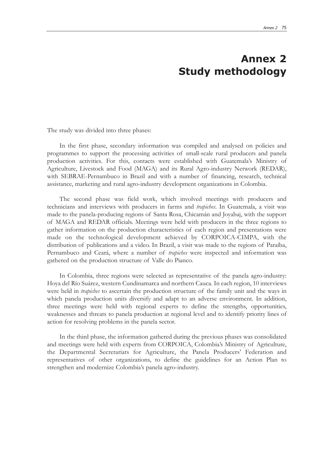## **Annex 2 Study methodology**

The study was divided into three phases:

In the first phase, secondary information was compiled and analysed on policies and programmes to support the processing activities of small-scale rural producers and panela production activities. For this, contacts were established with Guatemala's Ministry of Agriculture, Livestock and Food (MAGA) and its Rural Agro-industry Network (REDAR), with SEBRAE-Pernambuco in Brazil and with a number of financing, research, technical assistance, marketing and rural agro-industry development organizations in Colombia.

The second phase was field work, which involved meetings with producers and technicians and interviews with producers in farms and *trapiches*. In Guatemala, a visit was made to the panela-producing regions of Santa Rosa, Chicamán and Joyabaj, with the support of MAGA and REDAR officials. Meetings were held with producers in the three regions to gather information on the production characteristics of each region and presentations were made on the technological development achieved by CORPOICA-CIMPA, with the distribution of publications and a video. In Brazil, a visit was made to the regions of Paraíba, Pernambuco and Ceará, where a number of *trapiches* were inspected and information was gathered on the production structure of Valle do Pianco.

In Colombia, three regions were selected as representative of the panela agro-industry: Hoya del Río Suárez, western Cundinamarca and northern Cauca. In each region, 10 interviews were held in *trapiches* to ascertain the production structure of the family unit and the ways in which panela production units diversify and adapt to an adverse environment. In addition, three meetings were held with regional experts to define the strengths, opportunities, weaknesses and threats to panela production at regional level and to identify priority lines of action for resolving problems in the panela sector.

In the third phase, the information gathered during the previous phases was consolidated and meetings were held with experts from CORPOICA, Colombia's Ministry of Agriculture, the Departmental Secretariats for Agriculture, the Panela Producers' Federation and representatives of other organizations, to define the guidelines for an Action Plan to strengthen and modernize Colombia's panela agro-industry.